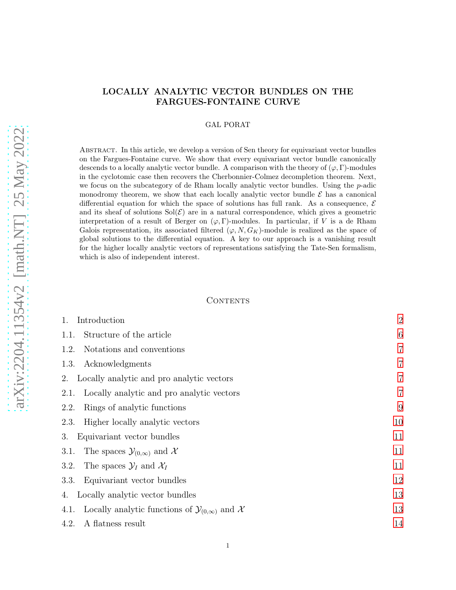# arXiv:2204.11354v2 [math.NT] 25 May 2022 [arXiv:2204.11354v2 \[math.NT\] 25 May 2022](http://arxiv.org/abs/2204.11354v2)

# LOCALLY ANALYTIC VECTOR BUNDLES ON THE FARGUES-FONTAINE CURVE

# GAL PORAT

Abstract. In this article, we develop a version of Sen theory for equivariant vector bundles on the Fargues-Fontaine curve. We show that every equivariant vector bundle canonically descends to a locally analytic vector bundle. A comparison with the theory of  $(\varphi, \Gamma)$ -modules in the cyclotomic case then recovers the Cherbonnier-Colmez decompletion theorem. Next, we focus on the subcategory of de Rham locally analytic vector bundles. Using the p-adic monodromy theorem, we show that each locally analytic vector bundle  $\mathcal E$  has a canonical differential equation for which the space of solutions has full rank. As a consequence,  $\mathcal E$ and its sheaf of solutions  $Sol(\mathcal{E})$  are in a natural correspondence, which gives a geometric interpretation of a result of Berger on  $(\varphi, \Gamma)$ -modules. In particular, if V is a de Rham Galois representation, its associated filtered  $(\varphi, N, G_K)$ -module is realized as the space of global solutions to the differential equation. A key to our approach is a vanishing result for the higher locally analytic vectors of representations satisfying the Tate-Sen formalism, which is also of independent interest.

### CONTENTS

| 1.<br>Introduction                                                     | $\overline{2}$ |
|------------------------------------------------------------------------|----------------|
| Structure of the article<br>1.1.                                       | 6              |
| Notations and conventions<br>1.2.                                      | $\overline{7}$ |
| Acknowledgments<br>1.3.                                                | $\overline{7}$ |
| Locally analytic and pro analytic vectors<br>2.                        | $\overline{7}$ |
| Locally analytic and pro analytic vectors<br>2.1.                      | $\overline{7}$ |
| Rings of analytic functions<br>2.2.                                    | 9              |
| Higher locally analytic vectors<br>2.3.                                | 10             |
| Equivariant vector bundles<br>3.                                       | 11             |
| The spaces $\mathcal{Y}_{(0,\infty)}$ and X<br>3.1.                    | 11             |
| The spaces $\mathcal{Y}_I$ and $\mathcal{X}_I$<br>3.2.                 | 11             |
| Equivariant vector bundles<br>3.3.                                     | 12             |
| Locally analytic vector bundles<br>4.                                  | 13             |
| Locally analytic functions of $\mathcal{Y}_{(0,\infty)}$ and X<br>4.1. | 13             |
| A flatness result<br>4.2.                                              | 14             |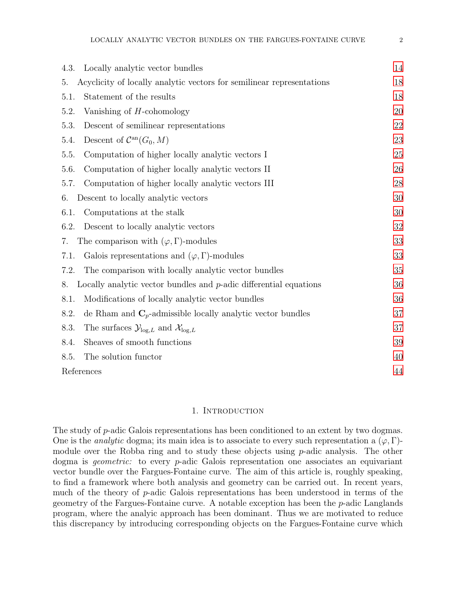| Locally analytic vector bundles<br>4.3.                                            | 14 |
|------------------------------------------------------------------------------------|----|
| Acyclicity of locally analytic vectors for semilinear representations<br>5.        | 18 |
| Statement of the results<br>5.1.                                                   | 18 |
| Vanishing of $H$ -cohomology<br>5.2.                                               | 20 |
| Descent of semilinear representations<br>5.3.                                      | 22 |
| Descent of $\mathcal{C}^{\rm an}(G_0,M)$<br>5.4.                                   | 23 |
| 5.5.<br>Computation of higher locally analytic vectors I                           | 25 |
| 5.6.<br>Computation of higher locally analytic vectors II                          | 26 |
| Computation of higher locally analytic vectors III<br>5.7.                         | 28 |
| Descent to locally analytic vectors<br>6.                                          | 30 |
| 6.1.<br>Computations at the stalk                                                  | 30 |
| 6.2.<br>Descent to locally analytic vectors                                        | 32 |
| The comparison with $(\varphi, \Gamma)$ -modules<br>7.                             | 33 |
| Galois representations and $(\varphi, \Gamma)$ -modules<br>7.1.                    | 33 |
| The comparison with locally analytic vector bundles<br>7.2.                        | 35 |
| Locally analytic vector bundles and $p$ -adic differential equations<br>8.         | 36 |
| Modifications of locally analytic vector bundles<br>8.1.                           | 36 |
| de Rham and $C_p$ -admissible locally analytic vector bundles<br>8.2.              | 37 |
| The surfaces $\mathcal{Y}_{\text{log},L}$ and $\mathcal{X}_{\text{log},L}$<br>8.3. | 37 |
| Sheaves of smooth functions<br>8.4.                                                | 39 |
| The solution functor<br>8.5.                                                       | 40 |
| References                                                                         | 44 |

### 1. INTRODUCTION

<span id="page-1-0"></span>The study of p-adic Galois representations has been conditioned to an extent by two dogmas. One is the *analytic* dogma; its main idea is to associate to every such representation a  $(\varphi, \Gamma)$ module over the Robba ring and to study these objects using  $p$ -adic analysis. The other dogma is *geometric*: to every *p*-adic Galois representation one associates an equivariant vector bundle over the Fargues-Fontaine curve. The aim of this article is, roughly speaking, to find a framework where both analysis and geometry can be carried out. In recent years, much of the theory of p-adic Galois representations has been understood in terms of the geometry of the Fargues-Fontaine curve. A notable exception has been the p-adic Langlands program, where the analyic approach has been dominant. Thus we are motivated to reduce this discrepancy by introducing corresponding objects on the Fargues-Fontaine curve which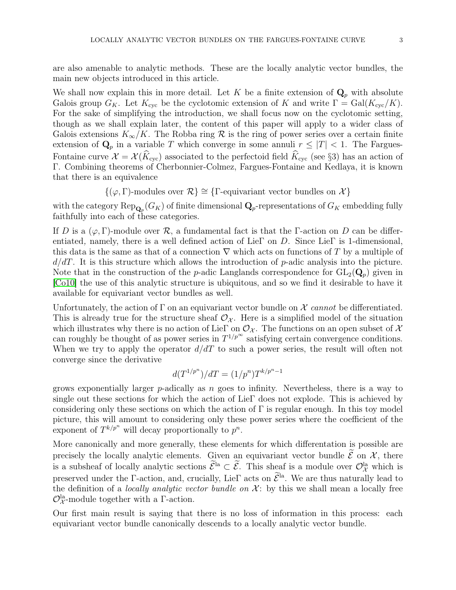are also amenable to analytic methods. These are the locally analytic vector bundles, the main new objects introduced in this article.

We shall now explain this in more detail. Let K be a finite extension of  $\mathbf{Q}_p$  with absolute Galois group  $G_K$ . Let  $K_{\text{cyc}}$  be the cyclotomic extension of K and write  $\Gamma = \text{Gal}(K_{\text{cyc}}/K)$ . For the sake of simplifying the introduction, we shall focus now on the cyclotomic setting, though as we shall explain later, the content of this paper will apply to a wider class of Galois extensions  $K_{\infty}/K$ . The Robba ring R is the ring of power series over a certain finite extension of  $\mathbf{Q}_p$  in a variable T which converge in some annuli  $r \leq |T| < 1$ . The Fargues-Fontaine curve  $\mathcal{X} = \mathcal{X}(\widehat{K}_{\text{cyc}})$  associated to the perfectoid field  $\widehat{K}_{\text{cyc}}$  (see §3) has an action of Γ. Combining theorems of Cherbonnier-Colmez, Fargues-Fontaine and Kedlaya, it is known that there is an equivalence

$$
\{(\varphi,\Gamma)
$$
-modules over  $\mathcal{R}\}\cong{\Gamma}$ -equivariant vector bundles on  $\mathcal{X}$ 

with the category  $\mathrm{Rep}_{\mathbf{Q}_p}(G_K)$  of finite dimensional  $\mathbf{Q}_p$ -representations of  $G_K$  embedding fully faithfully into each of these categories.

If D is a  $(\varphi, \Gamma)$ -module over R, a fundamental fact is that the  $\Gamma$ -action on D can be differentiated, namely, there is a well defined action of LieΓ on D. Since LieΓ is 1-dimensional, this data is the same as that of a connection  $\nabla$  which acts on functions of T by a multiple of  $d/dT$ . It is this structure which allows the introduction of p-adic analysis into the picture. Note that in the construction of the *p*-adic Langlands correspondence for  $GL_2(Q_p)$  given in [\[Co10\]](#page-43-1) the use of this analytic structure is ubiquitous, and so we find it desirable to have it available for equivariant vector bundles as well.

Unfortunately, the action of  $\Gamma$  on an equivariant vector bundle on  $\mathcal X$  cannot be differentiated. This is already true for the structure sheaf  $\mathcal{O}_{\mathcal{X}}$ . Here is a simplified model of the situation which illustrates why there is no action of LieΓ on  $\mathcal{O}_{\mathcal{X}}$ . The functions on an open subset of X can roughly be thought of as power series in  $T^{1/p^{\infty}}$  satisfying certain convergence conditions. When we try to apply the operator  $d/dT$  to such a power series, the result will often not converge since the derivative

$$
d(T^{1/p^n})/dT = (1/p^n)T^{k/p^n - 1}
$$

grows exponentially larger  $p$ -adically as n goes to infinity. Nevertheless, there is a way to single out these sections for which the action of LieΓ does not explode. This is achieved by considering only these sections on which the action of  $\Gamma$  is regular enough. In this toy model picture, this will amount to considering only these power series where the coefficient of the exponent of  $T^{k/p^n}$  will decay proportionally to  $p^n$ .

More canonically and more generally, these elements for which differentation is possible are precisely the locally analytic elements. Given an equivariant vector bundle  $\widetilde{\mathcal{E}}$  on  $\mathcal{X}$ , there is a subsheaf of locally analytic sections  $\mathcal{E}^{\text{la}} \subset \mathcal{E}$ . This sheaf is a module over  $\mathcal{O}_{\mathcal{X}}^{\text{la}}$  which is preserved under the Γ-action, and, crucially, LieΓ acts on  $\tilde{\mathcal{E}}^{Ia}$ . We are thus naturally lead to the definition of a *locally analytic vector bundle on*  $\mathcal{X}$ : by this we shall mean a locally free  $\mathcal{O}_{\mathcal{X}}^{\text{la}}$ -module together with a  $\Gamma$ -action.

Our first main result is saying that there is no loss of information in this process: each equivariant vector bundle canonically descends to a locally analytic vector bundle.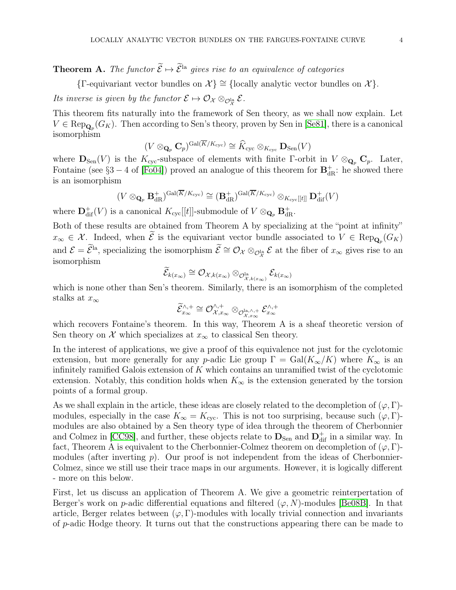{ $\Gamma$ -equivariant vector bundles on  $\mathcal{X}$ } ≅ {locally analytic vector bundles on  $\mathcal{X}$ }.

Its inverse is given by the functor  $\mathcal{E} \mapsto \mathcal{O}_{\mathcal{X}} \otimes_{\mathcal{O}_\mathcal{X}^{\text{la}}} \mathcal{E}$ .

This theorem fits naturally into the framework of Sen theory, as we shall now explain. Let  $V \in \text{Rep}_{\mathbf{Q}_p}(G_K)$ . Then according to Sen's theory, proven by Sen in [\[Se81\]](#page-44-0), there is a canonical isomorphism

$$
(V \otimes_{\mathbf{Q}_p} \mathbf{C}_p)^{\mathrm{Gal}(\overline{K}/K_{\mathrm{cyc}})} \cong \widehat{K}_{\mathrm{cyc}} \otimes_{K_{\mathrm{cyc}}} \mathbf{D}_{\mathrm{Sen}}(V)
$$

where  $\mathbf{D}_{\text{Sen}}(V)$  is the  $K_{\text{cyc}}$ -subspace of elements with finite Γ-orbit in  $V \otimes_{\mathbf{Q}_p} \mathbf{C}_p$ . Later, Fontaine (see  $\S3 - 4$  of [\[Fo04\]](#page-43-2)) proved an analogue of this theorem for  $\mathbf{B}^+_{\text{dR}}$ : he showed there is an isomorphism

$$
(V \otimes_{\mathbf{Q}_p} \mathbf{B}_{\mathrm{dR}}^+)^{\mathrm{Gal}(\overline{K}/K_{\mathrm{cyc}})} \cong (\mathbf{B}_{\mathrm{dR}}^+)^{\mathrm{Gal}(\overline{K}/K_{\mathrm{cyc}})} \otimes_{K_{\mathrm{cyc}}[[t]]} \mathbf{D}_{\mathrm{dif}}^+(V)
$$

where  $\mathbf{D}_\text{dif}^+(V)$  is a canonical  $K_\text{cyc}[[t]]$ -submodule of  $V \otimes_{\mathbf{Q}_p} \mathbf{B}_\text{dR}^+$ .

Both of these results are obtained from Theorem A by specializing at the "point at infinity"  $x_{\infty} \in \mathcal{X}$ . Indeed, when  $\mathcal{E}$  is the equivariant vector bundle associated to  $V \in \text{Rep}_{\mathbf{Q}_p}(G_K)$ and  $\mathcal{E} = \mathcal{E}^{\text{la}}$ , specializing the isomorphism  $\mathcal{E} \cong \mathcal{O}_{\mathcal{X}} \otimes_{\mathcal{O}_{\mathcal{X}}^{\text{la}}} \mathcal{E}$  at the fiber of  $x_{\infty}$  gives rise to an isomorphism

$$
\widetilde{\mathcal{E}}_{k(x_\infty)} \cong \mathcal{O}_{\mathcal{X}, k(x_\infty)} \otimes_{\mathcal{O}_{\mathcal{X}, k(x_\infty)}^{\text{la}}} \mathcal{E}_{k(x_\infty)}
$$

which is none other than Sen's theorem. Similarly, there is an isomorphism of the completed stalks at  $x_{\infty}$ 

$$
\widetilde{\mathcal{E}}_{x_\infty}^{\wedge,+} \cong \mathcal{O}_{\mathcal{X},x_\infty}^{\wedge,+} \otimes_{\mathcal{O}_{\mathcal{X},x_\infty}^{\text{la},\wedge,+}} \mathcal{E}_{x_\infty}^{\wedge,+}
$$

which recovers Fontaine's theorem. In this way, Theorem A is a sheaf theoretic version of Sen theory on  $\mathcal X$  which specializes at  $x_{\infty}$  to classical Sen theory.

In the interest of applications, we give a proof of this equivalence not just for the cyclotomic extension, but more generally for any p-adic Lie group  $\Gamma = \text{Gal}(K_{\infty}/K)$  where  $K_{\infty}$  is an infinitely ramified Galois extension of  $K$  which contains an unramified twist of the cyclotomic extension. Notably, this condition holds when  $K_{\infty}$  is the extension generated by the torsion points of a formal group.

As we shall explain in the article, these ideas are closely related to the decompletion of  $(\varphi, \Gamma)$ modules, especially in the case  $K_{\infty} = K_{\text{cyc}}$ . This is not too surprising, because such  $(\varphi, \Gamma)$ modules are also obtained by a Sen theory type of idea through the theorem of Cherbonnier and Colmez in [\[CC98\]](#page-43-3), and further, these objects relate to  $\mathbf{D}_{\text{Sen}}$  and  $\mathbf{D}^+_{\text{dif}}$  in a similar way. In fact, Theorem A is equivalent to the Cherbonnier-Colmez theorem on decompletion of  $(\varphi, \Gamma)$ modules (after inverting  $p$ ). Our proof is not independent from the ideas of Cherbonnier-Colmez, since we still use their trace maps in our arguments. However, it is logically different - more on this below.

First, let us discuss an application of Theorem A. We give a geometric reinterpertation of Berger's work on p-adic differential equations and filtered  $(\varphi, N)$ -modules [\[Be08B\]](#page-43-4). In that article, Berger relates between  $(\varphi, \Gamma)$ -modules with locally trivial connection and invariants of p-adic Hodge theory. It turns out that the constructions appearing there can be made to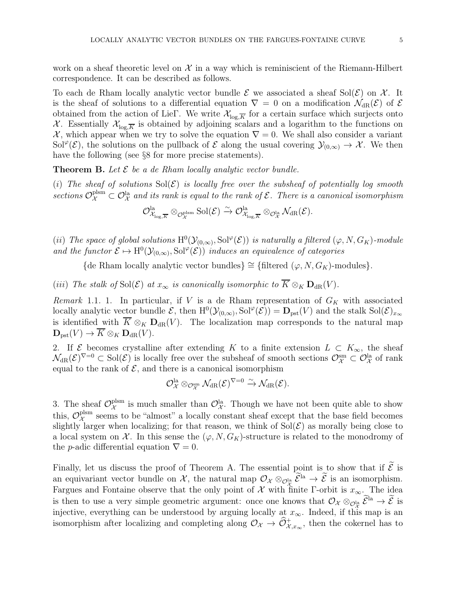work on a sheaf theoretic level on  $\mathcal X$  in a way which is reminiscient of the Riemann-Hilbert correspondence. It can be described as follows.

To each de Rham locally analytic vector bundle  $\mathcal E$  we associated a sheaf Sol $(\mathcal E)$  on X. It is the sheaf of solutions to a differential equation  $\nabla = 0$  on a modification  $\mathcal{N}_{dR}(\mathcal{E})$  of  $\mathcal E$ obtained from the action of LieΓ. We write  $\mathcal{X}_{\log K}$  for a certain surface which surjects onto X. Essentially  $\mathcal{X}_{\text{log},\overline{K}}$  is obtained by adjoining scalars and a logarithm to the functions on X, which appear when we try to solve the equation  $\nabla = 0$ . We shall also consider a variant  $Sol^{\varphi}(\mathcal{E}),$  the solutions on the pullback of  $\mathcal E$  along the usual covering  $\mathcal Y_{(0,\infty)} \to \mathcal X$ . We then have the following (see §8 for more precise statements).

**Theorem B.** Let  $\mathcal{E}$  be a de Rham locally analytic vector bundle.

(i) The sheaf of solutions  $Sol(\mathcal{E})$  is locally free over the subsheaf of potentially log smooth sections  $\mathcal{O}_\mathcal{X}^{\text{plsm}} \subset \mathcal{O}_\mathcal{X}^{\text{la}}$  and its rank is equal to the rank of  $\mathcal{E}$ . There is a canonical isomorphism

$$
\mathcal{O}^{\rm la}_{\mathcal{X}_{\log,\overline{K}}}\otimes_{\mathcal{O}^{\rm plsm}_\mathcal{X}}\mathrm{Sol}(\mathcal{E})\stackrel{\sim}{\to} \mathcal{O}^{\rm la}_{\mathcal{X}_{\log,\overline{K}}}\otimes_{\mathcal{O}^{\rm la}_\mathcal{X}}\mathcal{N}_{\rm dR}(\mathcal{E}).
$$

(ii) The space of global solutions  $H^0(\mathcal{Y}_{(0,\infty)}, \text{Sol}^{\varphi}(\mathcal{E}))$  is naturally a filtered  $(\varphi, N, G_K)$ -module and the functor  $\mathcal{E} \mapsto H^0(\mathcal{Y}_{(0,\infty)}, \text{Sol}^\varphi(\mathcal{E}))$  induces an equivalence of categories

{de Rham locally analytic vector bundles}  $\cong$  {filtered  $(\varphi, N, G_K)$ -modules}.

(iii) The stalk of Sol $(\mathcal{E})$  at  $x_{\infty}$  is canonically isomorphic to  $\overline{K} \otimes_K \mathbf{D}_{dR}(V)$ .

Remark 1.1. 1. In particular, if V is a de Rham representation of  $G_K$  with associated locally analytic vector bundle  $\mathcal{E}$ , then  $H^0(\mathcal{Y}_{(0,\infty)},\text{Sol}^{\varphi}(\mathcal{E})) = \mathbf{D}_{\text{pst}}(V)$  and the stalk  $\text{Sol}(\mathcal{E})_{x_{\infty}}$ is identified with  $\overline{K} \otimes_K \mathbf{D}_{dR}(V)$ . The localization map corresponds to the natural map  $\mathbf{D}_{\text{pst}}(V) \to \overline{K} \otimes_K \mathbf{D}_{\text{dR}}(V).$ 

2. If  $\mathcal{E}$  becomes crystalline after extending K to a finite extension  $L \subset K_{\infty}$ , the sheaf  $\mathcal{N}_{\mathrm{dR}}(\mathcal{E})^{\nabla=0} \subset \mathrm{Sol}(\mathcal{E})$  is locally free over the subsheaf of smooth sections  $\mathcal{O}_{\mathcal{X}}^{\mathrm{sm}} \subset \mathcal{O}_{\mathcal{X}}^{\mathrm{la}}$  of rank equal to the rank of  $\mathcal{E}$ , and there is a canonical isomorphism

$$
\mathcal{O}_{\mathcal{X}}^{\mathrm{la}} \otimes_{\mathcal{O}_{\mathcal{X}}^{\mathrm{sm}}} \mathcal{N}_{\mathrm{dR}}(\mathcal{E})^{\nabla=0} \xrightarrow{\sim} \mathcal{N}_{\mathrm{dR}}(\mathcal{E}).
$$

3. The sheaf  $\mathcal{O}_{\mathcal{X}}^{\text{plsm}}$  is much smaller than  $\mathcal{O}_{\mathcal{X}}^{\text{la}}$ . Though we have not been quite able to show this,  $\mathcal{O}_{\mathcal{X}}^{\text{plsm}}$  seems to be "almost" a locally constant sheaf except that the base field becomes slightly larger when localizing; for that reason, we think of  $Sol(\mathcal{E})$  as morally being close to a local system on  $\mathcal X$ . In this sense the  $(\varphi, N, G_K)$ -structure is related to the monodromy of the *p*-adic differential equation  $\nabla = 0$ .

Finally, let us discuss the proof of Theorem A. The essential point is to show that if  $\tilde{\mathcal{E}}$  is an equivariant vector bundle on  $\mathcal{X}$ , the natural map  $\mathcal{O}_{\mathcal{X}} \otimes_{\mathcal{O}_{\mathcal{X}}^{\text{la}}} \mathcal{E}^{\text{la}} \to \mathcal{E}$  is an isomorphism. Fargues and Fontaine observe that the only point of X with finite Γ-orbit is  $x_{\infty}$ . The idea is then to use a very simple geometric argument: once one knows that  $\mathcal{O}_{\mathcal{X}} \otimes_{\mathcal{O}_{\mathcal{X}}^{\text{la}}} \mathcal{E}^{\text{la}} \to \mathcal{E}$  is injective, everything can be understood by arguing locally at  $x_{\infty}$ . Indeed, if this map is an isomorphism after localizing and completing along  $\mathcal{O}_\mathcal{X} \to \widehat{\mathcal{O}}^+_{\mathcal{X},x_\infty}$ , then the cokernel has to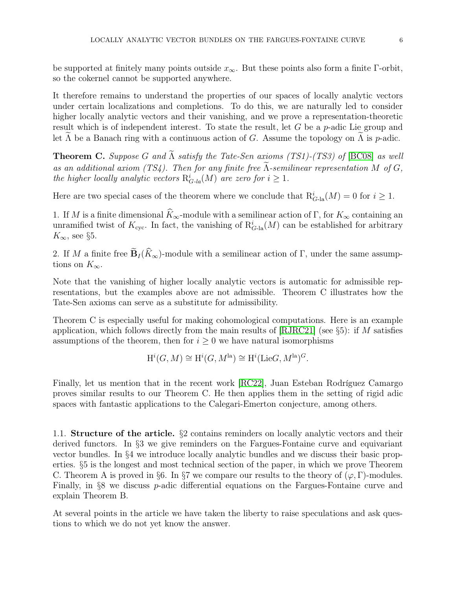be supported at finitely many points outside  $x_{\infty}$ . But these points also form a finite Γ-orbit, so the cokernel cannot be supported anywhere.

It therefore remains to understand the properties of our spaces of locally analytic vectors under certain localizations and completions. To do this, we are naturally led to consider higher locally analytic vectors and their vanishing, and we prove a representation-theoretic result which is of independent interest. To state the result, let G be a p-adic Lie group and let  $\Lambda$  be a Banach ring with a continuous action of G. Assume the topology on  $\Lambda$  is p-adic.

**Theorem C.** Suppose G and  $\widetilde{\Lambda}$  satisfy the Tate-Sen axioms (TS1)-(TS3) of [\[BC08\]](#page-43-5) as well as an additional axiom (TS4). Then for any finite free  $\Lambda$ -semilinear representation M of G, the higher locally analytic vectors  $R_{G-la}^{i}(M)$  are zero for  $i \geq 1$ .

Here are two special cases of the theorem where we conclude that  $R_{G\text{-la}}^i(M) = 0$  for  $i \geq 1$ .

1. If M is a finite dimensional  $\widehat{K}_{\infty}$ -module with a semilinear action of Γ, for  $K_{\infty}$  containing an unramified twist of  $K_{\text{cyc}}$ . In fact, the vanishing of  $\mathrm{R}^i_{G-\text{la}}(M)$  can be established for arbitrary  $K_{\infty}$ , see §5.

2. If M a finite free  $\widetilde{\mathbf{B}}_I(\widehat{K}_{\infty})$ -module with a semilinear action of Γ, under the same assumptions on  $K_{\infty}$ .

Note that the vanishing of higher locally analytic vectors is automatic for admissible representations, but the examples above are not admissible. Theorem C illustrates how the Tate-Sen axioms can serve as a substitute for admissibility.

Theorem C is especially useful for making cohomological computations. Here is an example application, which follows directly from the main results of  $\vert RJRC21 \vert$  (see §5): if M satisfies assumptions of the theorem, then for  $i \geq 0$  we have natural isomorphisms

$$
H^i(G, M) \cong H^i(G, M^{\text{la}}) \cong H^i(\text{Lie}G, M^{\text{la}})^G.
$$

Finally, let us mention that in the recent work [\[RC22\]](#page-43-7), Juan Esteban Rodríguez Camargo proves similar results to our Theorem C. He then applies them in the setting of rigid adic spaces with fantastic applications to the Calegari-Emerton conjecture, among others.

<span id="page-5-0"></span>1.1. Structure of the article. §2 contains reminders on locally analytic vectors and their derived functors. In §3 we give reminders on the Fargues-Fontaine curve and equivariant vector bundles. In §4 we introduce locally analytic bundles and we discuss their basic properties. §5 is the longest and most technical section of the paper, in which we prove Theorem C. Theorem A is proved in §6. In §7 we compare our results to the theory of  $(\varphi, \Gamma)$ -modules. Finally, in §8 we discuss p-adic differential equations on the Fargues-Fontaine curve and explain Theorem B.

At several points in the article we have taken the liberty to raise speculations and ask questions to which we do not yet know the answer.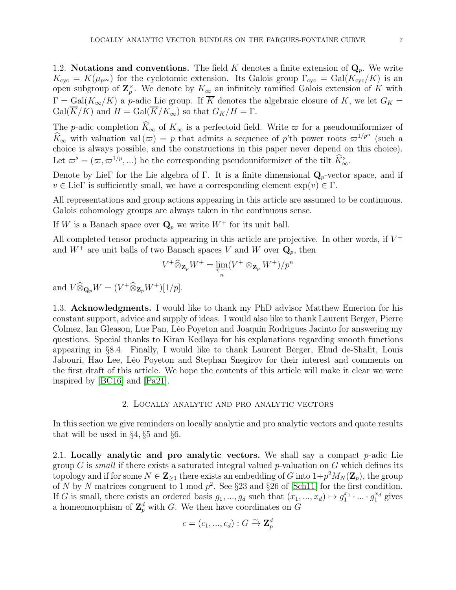<span id="page-6-0"></span>1.2. Notations and conventions. The field K denotes a finite extension of  $\mathbf{Q}_p$ . We write  $K_{\text{cyc}} = K(\mu_{p^{\infty}})$  for the cyclotomic extension. Its Galois group  $\Gamma_{\text{cyc}} = \text{Gal}(K_{\text{cyc}}/K)$  is an open subgroup of  $\mathbf{Z}_p^{\times}$ . We denote by  $K_{\infty}$  an infinitely ramified Galois extension of K with  $\Gamma = \text{Gal}(K_{\infty}/K)$  a p-adic Lie group. If  $\overline{K}$  denotes the algebraic closure of K, we let  $G_K =$  $Gal(\overline{K}/K)$  and  $H = Gal(\overline{K}/K_{\infty})$  so that  $G_K/H = \Gamma$ .

The p-adic completion  $\widehat{K}_{\infty}$  of  $K_{\infty}$  is a perfectoid field. Write  $\varpi$  for a pseudouniformizer of  $\widehat{K}_{\infty}$  with valuation val  $(\varpi) = p$  that admits a sequence of p'th power roots  $\varpi^{1/p^n}$  (such a choice is always possible, and the constructions in this paper never depend on this choice). Let  $\varpi^{\flat} = (\varpi, \varpi^{1/p}, \ldots)$  be the corresponding pseudouniformizer of the tilt  $\hat{K}_{\infty}^{\flat}$ .

Denote by LieΓ for the Lie algebra of Γ. It is a finite dimensional  $\mathbf{Q}_p$ -vector space, and if  $v \in \text{Lie}\Gamma$  is sufficiently small, we have a corresponding element  $\exp(v) \in \Gamma$ .

All representations and group actions appearing in this article are assumed to be continuous. Galois cohomology groups are always taken in the continuous sense.

If W is a Banach space over  $\mathbf{Q}_p$  we write  $W^+$  for its unit ball.

All completed tensor products appearing in this article are projective. In other words, if  $V^+$ and  $W^+$  are unit balls of two Banach spaces V and W over  $\mathbf{Q}_p$ , then

$$
V^+\widehat{\otimes}_{\mathbf{Z}_p}W^+=\varprojlim_n(V^+\otimes_{\mathbf{Z}_p}W^+)/p^n
$$

<span id="page-6-1"></span>and  $V \widehat{\otimes}_{\mathbf{Q}_p} W = (V^+ \widehat{\otimes}_{\mathbf{Z}_p} W^+)[1/p].$ 

1.3. Acknowledgments. I would like to thank my PhD advisor Matthew Emerton for his constant support, advice and supply of ideas. I would also like to thank Laurent Berger, Pierre Colmez, Ian Gleason, Lue Pan, Léo Poyeton and Joaquín Rodrigues Jacinto for answering my questions. Special thanks to Kiran Kedlaya for his explanations regarding smooth functions appearing in §8.4. Finally, I would like to thank Laurent Berger, Ehud de-Shalit, Louis Jabouri, Hao Lee, Léo Poyeton and Stephan Snegirov for their interest and comments on the first draft of this article. We hope the contents of this article will make it clear we were inspired by [\[BC16\]](#page-43-8) and [\[Pa21\]](#page-43-9).

### 2. Locally analytic and pro analytic vectors

<span id="page-6-2"></span>In this section we give reminders on locally analytic and pro analytic vectors and quote results that will be used in §4, §5 and §6.

<span id="page-6-3"></span>2.1. Locally analytic and pro analytic vectors. We shall say a compact  $p$ -adic Lie group G is small if there exists a saturated integral valued  $p$ -valuation on G which defines its topology and if for some  $N \in \mathbb{Z}_{\geq 1}$  there exists an embedding of G into  $1+p^2M_N(\mathbb{Z}_p)$ , the group of N by N matrices congruent to 1 mod  $p^2$ . See §23 and §26 of [\[Sch11\]](#page-43-10) for the first condition. If G is small, there exists an ordered basis  $g_1, ..., g_d$  such that  $(x_1, ..., x_d) \mapsto g_1^{x_1} \cdot ... \cdot g_1^{x_d}$  gives a homeomorphism of  $\mathbb{Z}_p^d$  with G. We then have coordinates on G

$$
c = (c_1, ..., c_d) : G \xrightarrow{\sim} \mathbf{Z}_p^d
$$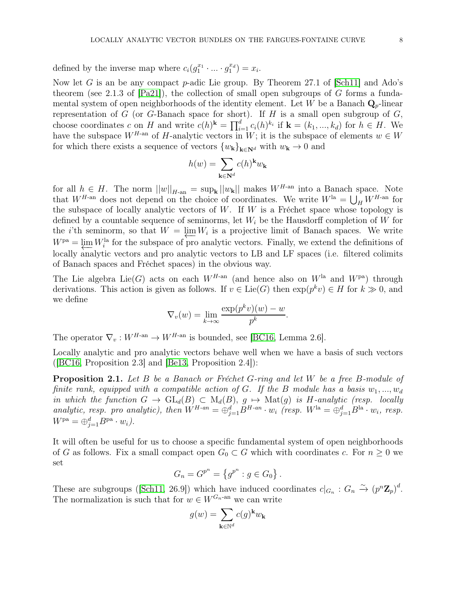defined by the inverse map where  $c_i(g_1^{x_1} \cdot \ldots \cdot g_1^{x_d}) = x_i$ .

Now let G is an be any compact p-adic Lie group. By Theorem 27.1 of  $[Sch11]$  and Ado's theorem (see 2.1.3 of  $[Pa21]$ ), the collection of small open subgroups of G forms a fundamental system of open neighborhoods of the identity element. Let W be a Banach  $\mathbf{Q}_{p}$ -linear representation of  $G$  (or  $G$ -Banach space for short). If  $H$  is a small open subgroup of  $G$ , choose coordinates c on H and write  $c(h)^k = \prod_{i=1}^d c_i(h)^{k_i}$  if  $\mathbf{k} = (k_1, ..., k_d)$  for  $h \in H$ . We have the subspace  $W^{H\text{-an}}$  of H-analytic vectors in W; it is the subspace of elements  $w \in W$ for which there exists a sequence of vectors  ${w_{\mathbf{k}}}_{\mathbf{k}\in\mathbf{N}^d}$  with  $w_{\mathbf{k}} \to 0$  and

$$
h(w) = \sum_{{\mathbf k} \in {\bf N}^d} c(h)^{\mathbf k} w_{\mathbf k}
$$

for all  $h \in H$ . The norm  $||w||_{H\text{-an}} = \sup_{\mathbf{k}} ||w_{\mathbf{k}}||$  makes  $W^{H\text{-an}}$  into a Banach space. Note that  $W^{H\text{-an}}$  does not depend on the choice of coordinates. We write  $W^{\text{la}} = \bigcup_{H} W^{H\text{-an}}$  for the subspace of locally analytic vectors of  $W$ . If  $W$  is a Fréchet space whose topology is defined by a countable sequence of seminorms, let  $W_i$  be the Hausdorff completion of W for the *i*'th seminorm, so that  $W = \underleftarrow{\lim}_{k} W_i$  is a projective limit of Banach spaces. We write  $W^{\text{pa}} = \lim_{k} W^{\text{la}}$  for the subspace of prographic vectors. Finally, we extend the definitions of  $W<sup>pa</sup> = \underline{\lim} W_i<sup>la</sup>$  for the subspace of pro analytic vectors. Finally, we extend the definitions of locally analytic vectors and pro analytic vectors to LB and LF spaces (i.e. filtered colimits of Banach spaces and Fréchet spaces) in the obvious way.

The Lie algebra Lie(G) acts on each  $W^{H\text{-an}}$  (and hence also on  $W^{\text{la}}$  and  $W^{\text{pa}}$ ) through derivations. This action is given as follows. If  $v \in \text{Lie}(G)$  then  $\exp(p^k v) \in H$  for  $k \gg 0$ , and we define

$$
\nabla_v(w) = \lim_{k \to \infty} \frac{\exp(p^k v)(w) - w}{p^k}.
$$

The operator  $\nabla_v : W^{H\text{-an}} \to W^{H\text{-an}}$  is bounded, see [\[BC16,](#page-43-8) Lemma 2.6].

Locally analytic and pro analytic vectors behave well when we have a basis of such vectors ( $[BC16, Proposition 2.3]$  $[BC16, Proposition 2.3]$  and  $[Be13, Proposition 2.4]$ ):

**Proposition 2.1.** Let B be a Banach or Fréchet G-ring and let W be a free B-module of finite rank, equipped with a compatible action of G. If the B module has a basis  $w_1, ..., w_d$ in which the function  $G \to \text{GL}_d(B) \subset M_d(B)$ ,  $g \mapsto \text{Mat}(g)$  is H-analytic (resp. locally analytic, resp. pro analytic), then  $W^{H-an} = \bigoplus_{j=1}^{d} B^{H-an} \cdot w_i$  (resp.  $W^{la} = \bigoplus_{j=1}^{d} B^{la} \cdot w_i$ , resp.  $W^{\text{pa}} = \bigoplus_{j=1}^{d} B^{\text{pa}} \cdot w_i$ .

It will often be useful for us to choose a specific fundamental system of open neighborhoods of G as follows. Fix a small compact open  $G_0 \subset G$  which with coordinates c. For  $n \geq 0$  we set

$$
G_n = G^{p^n} = \{ g^{p^n} : g \in G_0 \} .
$$

These are subgroups ([\[Sch11,](#page-43-10) 26.9]) which have induced coordinates  $c|_{G_n}: G_n \to (p^n \mathbb{Z}_p)^d$ . The normalization is such that for  $w \in W^{G_n}$ -an we can write

$$
g(w) = \sum_{\mathbf{k} \in \mathbb{N}^d} c(g)^{\mathbf{k}} w_{\mathbf{k}}
$$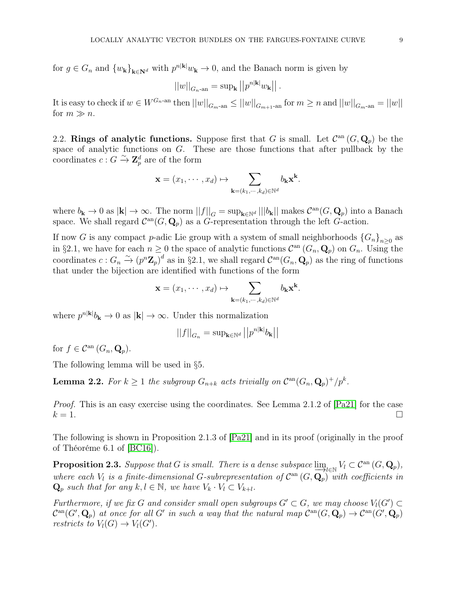for  $g \in G_n$  and  $\{w_k\}_{k \in \mathbb{N}^d}$  with  $p^{n|k|}w_k \to 0$ , and the Banach norm is given by

$$
\left|\left|w\right|\right|_{G_{n}\text{-an}}=\sup_{\mathbf{k}}\left|\left|p^{n|\mathbf{k}|}w_{\mathbf{k}}\right|\right|.
$$

It is easy to check if  $w \in W^{G_n}$ -an then  $||w||_{G_{m}$ -an  $\leq ||w||_{G_{m+1}$ -an for  $m \geq n$  and  $||w||_{G_{m}$ -an  $= ||w||$ for  $m \gg n$ .

<span id="page-8-0"></span>2.2. Rings of analytic functions. Suppose first that G is small. Let  $\mathcal{C}^{\text{an}}(G, \mathbf{Q}_p)$  be the space of analytic functions on G. These are those functions that after pullback by the coordinates  $c: G \xrightarrow{\sim} \mathbf{Z}_{p}^{d}$  are of the form

$$
\mathbf{x} = (x_1, \cdots, x_d) \mapsto \sum_{\mathbf{k} = (k_1, \cdots, k_d) \in \mathbb{N}^d} b_{\mathbf{k}} \mathbf{x}^{\mathbf{k}}.
$$

where  $b_{\mathbf{k}} \to 0$  as  $|\mathbf{k}| \to \infty$ . The norm  $||f||_G = \sup_{\mathbf{k} \in \mathbb{N}^d} |||b_{\mathbf{k}}||$  makes  $\mathcal{C}^{\text{an}}(G, \mathbf{Q}_p)$  into a Banach space. We shall regard  $\mathcal{C}^{\text{an}}(G, \mathbf{Q}_p)$  as a G-representation through the left G-action.

If now G is any compact p-adic Lie group with a system of small neighborhoods  ${G_n}_{n\geq 0}$  as in §2.1, we have for each  $n \geq 0$  the space of analytic functions  $\mathcal{C}^{\text{an}}(G_n, \mathbf{Q}_p)$  on  $G_n$ . Using the coordinates  $c: G_n \to (p^n \mathbb{Z}_p)^d$  as in §2.1, we shall regard  $\mathcal{C}^{\text{an}}(G_n, \mathbf{Q}_p)$  as the ring of functions that under the bijection are identified with functions of the form

$$
\mathbf{x} = (x_1, \cdots, x_d) \mapsto \sum_{\mathbf{k} = (k_1, \cdots, k_d) \in \mathbb{N}^d} b_{\mathbf{k}} \mathbf{x}^{\mathbf{k}}.
$$

where  $p^{n|\mathbf{k}|}b_{\mathbf{k}} \to 0$  as  $|\mathbf{k}| \to \infty$ . Under this normalization

$$
||f||_{G_n}=\sup\nolimits_{\mathbf{k}\in\mathbb{N}^d} \left|\left|p^{n|\mathbf{k}|}b_{\mathbf{k}}\right|\right|
$$

for  $f \in \mathcal{C}^{\text{an}}(G_n, \mathbf{Q}_n)$ .

The following lemma will be used in §5.

**Lemma 2.2.** For  $k \geq 1$  the subgroup  $G_{n+k}$  acts trivially on  $C^{an}(G_n, \mathbf{Q}_p)^+/p^k$ .

Proof. This is an easy exercise using the coordinates. See Lemma 2.1.2 of [\[Pa21\]](#page-43-9) for the case  $k = 1.$ 

The following is shown in Proposition 2.1.3 of [\[Pa21\]](#page-43-9) and in its proof (originally in the proof of Théoréme 6.1 of [\[BC16\]](#page-43-8)).

**Proposition 2.3.** Suppose that G is small. There is a dense subspace  $\lim_{L \to \mathbb{N}} V_l \subset C^{\text{an}}(G, \mathbf{Q}_p)$ ,<br>where each V, is a finite dimensional G expressentation of  $C^{\text{an}}(G, \mathbf{Q})$  with coefficients in where each  $V_l$  is a finite-dimensional G-subrepresentation of  $\mathcal{C}^{\text{an}}(G, \mathbf{Q}_p)$  with coefficients in  $\mathbf{Q}_p$  such that for any  $k, l \in \mathbb{N}$ , we have  $V_k \cdot V_l \subset V_{k+l}$ .

Furthermore, if we fix G and consider small open subgroups  $G' \subset G$ , we may choose  $V_l(G') \subset$  $\mathcal{C}^{\rm an}(G',\mathbf{Q}_p)$  at once for all G' in such a way that the natural map  $\mathcal{C}^{\rm an}(G,\mathbf{Q}_p) \to \mathcal{C}^{\rm an}(G',\mathbf{Q}_p)$ restricts to  $V_l(G) \to V_l(G')$ .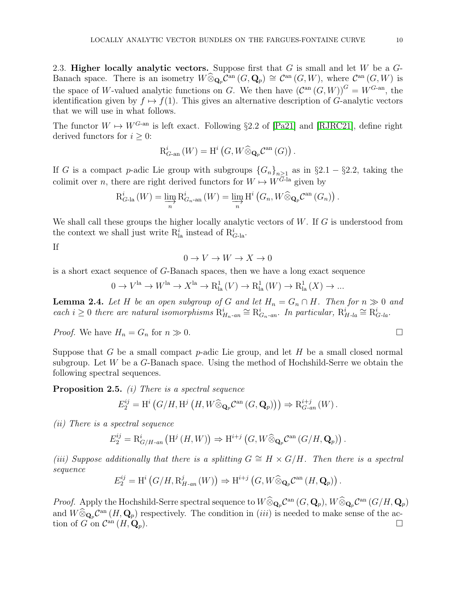<span id="page-9-0"></span>2.3. Higher locally analytic vectors. Suppose first that  $G$  is small and let  $W$  be a  $G$ -Banach space. There is an isometry  $W \widehat{\otimes}_{\mathbf{Q}_p} \mathcal{C}^{\mathrm{an}}(G, \mathbf{Q}_p) \cong \mathcal{C}^{\mathrm{an}}(G, W)$ , where  $\mathcal{C}^{\mathrm{an}}(G, W)$  is the space of W-valued analytic functions on G. We then have  $(C^{an}(G, W))^G = W^{G-an}$ , the identification given by  $f \mapsto f(1)$ . This gives an alternative description of G-analytic vectors that we will use in what follows.

The functor  $W \mapsto W^{G\text{-an}}$  is left exact. Following §2.2 of [\[Pa21\]](#page-43-9) and [\[RJRC21\]](#page-43-6), define right derived functors for  $i \geq 0$ :

$$
\mathrm{R}_{G\text{-an}}^i\left(W\right)=\mathrm{H}^i\left(G,W\widehat{\otimes}_{\mathbf{Q}_p}\mathcal{C}^\mathrm{an}\left(G\right)\right).
$$

If G is a compact p-adic Lie group with subgroups  $\{G_n\}_{n\geq 1}$  as in §2.1 – §2.2, taking the colimit over n, there are right derived functors for  $W \mapsto W^{G-\text{la}}$  given by

$$
R_{G\text{-la}}^{i}(W) = \varinjlim_{n} R_{G_{n}\text{-an}}^{i}(W) = \varinjlim_{n} H^{i}(G_{n}, W \widehat{\otimes}_{\mathbf{Q}_{p}} \mathcal{C}^{\mathrm{an}}(G_{n})).
$$

We shall call these groups the higher locally analytic vectors of  $W$ . If  $G$  is understood from the context we shall just write  $R^i_{la}$  instead of  $R^i_{G \text{-la}}$ .

If

 $0 \to V \to W \to X \to 0$ 

is a short exact sequence of G-Banach spaces, then we have a long exact sequence

$$
0 \to V^{\text{la}} \to W^{\text{la}} \to X^{\text{la}} \to \mathcal{R}_{\text{la}}^1(V) \to \mathcal{R}_{\text{la}}^1(W) \to \mathcal{R}_{\text{la}}^1(X) \to \dots
$$

**Lemma 2.4.** Let H be an open subgroup of G and let  $H_n = G_n \cap H$ . Then for  $n \gg 0$  and each  $i \geq 0$  there are natural isomorphisms  $R_{H_n-an}^i \cong R_{G_n-an}^i$ . In particular,  $R_{H-la}^i \cong R_{G-la}^i$ .

*Proof.* We have  $H_n = G_n$  for  $n \gg 0$ .

Suppose that G be a small compact  $p$ -adic Lie group, and let H be a small closed normal subgroup. Let  $W$  be a  $G$ -Banach space. Using the method of Hochshild-Serre we obtain the following spectral sequences.

**Proposition 2.5.** (i) There is a spectral sequence

$$
E_2^{ij} = \mathrm{H}^i\left(G/H, \mathrm{H}^j\left(H, W \widehat{\otimes}_{\mathbf{Q}_p} \mathcal{C}^{\mathrm{an}}\left(G, \mathbf{Q}_p\right)\right)\right) \Rightarrow \mathrm{R}^{i+j}_{G\text{-}an}\left(W\right).
$$

(ii) There is a spectral sequence

$$
E_2^{ij} = \mathrm{R}^i_{G/H\text{-}an} \left( \mathrm{H}^j \left( H, W \right) \right) \Rightarrow \mathrm{H}^{i+j} \left( G, W \widehat{\otimes}_{\mathbf{Q}_p} \mathcal{C}^{\mathrm{an}} \left( G/H, \mathbf{Q}_p \right) \right).
$$

(iii) Suppose additionally that there is a splitting  $G \cong H \times G/H$ . Then there is a spectral sequence

$$
E_2^{ij} = \mathrm{H}^i\left(G/H, \mathrm{R}_{H\text{-}an}^j\left(W\right)\right) \Rightarrow \mathrm{H}^{i+j}\left(G, W\widehat{\otimes}_{\mathbf{Q}_p}\mathcal{C}^\mathrm{an}\left(H, \mathbf{Q}_p\right)\right).
$$

*Proof.* Apply the Hochshild-Serre spectral sequence to  $W \widehat{\otimes}_{\mathbf{Q}_p} \mathcal{C}^{\mathrm{an}}(G, \mathbf{Q}_p)$ ,  $W \widehat{\otimes}_{\mathbf{Q}_p} \mathcal{C}^{\mathrm{an}}(G/H, \mathbf{Q}_p)$ and  $W \widehat{\otimes}_{\mathbf{Q}_p} \mathcal{C}^{\text{an}}(H, \mathbf{Q}_p)$  respectively. The condition in (*iii*) is needed to make sense of the action of G on  $\mathcal{C}^{\text{an}}(H, \mathbf{Q}_p)$ .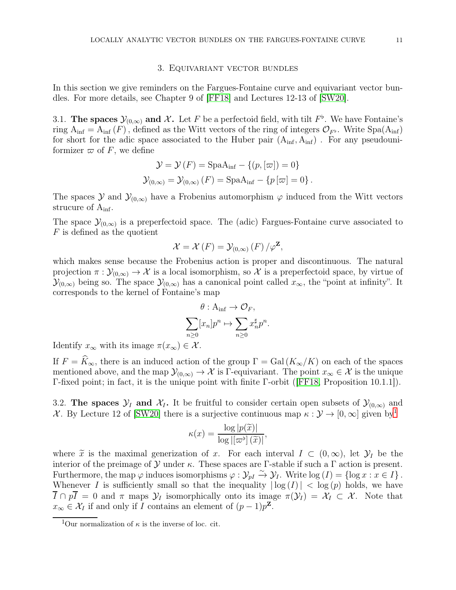### 3. Equivariant vector bundles

<span id="page-10-0"></span>In this section we give reminders on the Fargues-Fontaine curve and equivariant vector bundles. For more details, see Chapter 9 of [\[FF18\]](#page-43-12) and Lectures 12-13 of [\[SW20\]](#page-44-1).

<span id="page-10-1"></span>3.1. The spaces  $\mathcal{Y}_{(0,\infty)}$  and X. Let F be a perfectoid field, with tilt  $F^{\flat}$ . We have Fontaine's ring  $A_{\text{inf}} = A_{\text{inf}}(F)$ , defined as the Witt vectors of the ring of integers  $\mathcal{O}_{F^{\flat}}$ . Write Spa $(A_{\text{inf}})$ for short for the adic space associated to the Huber pair  $(A_{\text{inf}}, A_{\text{inf}})$ . For any pseudouniformizer  $\varpi$  of F, we define

$$
\mathcal{Y} = \mathcal{Y}(F) = \text{SpaA}_{\text{inf}} - \{(p, [\varpi]) = 0\}
$$

$$
\mathcal{Y}_{(0,\infty)} = \mathcal{Y}_{(0,\infty)}(F) = \text{SpaA}_{\text{inf}} - \{p[\varpi] = 0\}.
$$

The spaces  $\mathcal Y$  and  $\mathcal Y_{(0,\infty)}$  have a Frobenius automorphism  $\varphi$  induced from the Witt vectors strucure of  $A_{\text{inf}}$ .

The space  $\mathcal{Y}_{(0,\infty)}$  is a preperfectoid space. The (adic) Fargues-Fontaine curve associated to F is defined as the quotient

$$
\mathcal{X} = \mathcal{X}(F) = \mathcal{Y}_{(0,\infty)}(F) / \varphi^{\mathbf{Z}},
$$

which makes sense because the Frobenius action is proper and discontinuous. The natural projection  $\pi : \mathcal{Y}_{(0,\infty)} \to \mathcal{X}$  is a local isomorphism, so X is a preperfectoid space, by virtue of  $\mathcal{Y}_{(0,\infty)}$  being so. The space  $\mathcal{Y}_{(0,\infty)}$  has a canonical point called  $x_{\infty}$ , the "point at infinity". It corresponds to the kernel of Fontaine's map

$$
\theta: A_{\inf} \to \mathcal{O}_F,
$$
  

$$
\sum_{n\geq 0} [x_n] p^n \mapsto \sum_{n\geq 0} x_n^{\sharp} p^n.
$$

Identify  $x_{\infty}$  with its image  $\pi(x_{\infty}) \in \mathcal{X}$ .

If  $F = \widehat{K}_{\infty}$ , there is an induced action of the group  $\Gamma = \text{Gal}(K_{\infty}/K)$  on each of the spaces mentioned above, and the map  $\mathcal{Y}_{(0,\infty)} \to \mathcal{X}$  is Γ-equivariant. The point  $x_\infty \in \mathcal{X}$  is the unique Γ-fixed point; in fact, it is the unique point with finite Γ-orbit ([\[FF18,](#page-43-12) Proposition 10.1.1]).

<span id="page-10-2"></span>3.2. The spaces  $\mathcal{Y}_I$  and  $\mathcal{X}_I$ . It be fruitful to consider certain open subsets of  $\mathcal{Y}_{(0,\infty)}$  and X. By Lecture 12 of [\[SW20\]](#page-44-1) there is a surjective continuous map  $\kappa : \mathcal{Y} \to [0, \infty]$  given by

$$
\kappa(x) = \frac{\log |p(\widetilde{x})|}{\log |[\varpi^{\flat}](\widetilde{x})|},
$$

where  $\tilde{x}$  is the maximal generization of x. For each interval  $I \subset (0,\infty)$ , let  $\mathcal{Y}_I$  be the interior of the preimage of  $\mathcal Y$  under κ. These spaces are Γ-stable if such a Γ action is present. Furthermore, the map  $\varphi$  induces isomorphisms  $\varphi : \mathcal{Y}_{pI} \overset{\sim}{\to} \mathcal{Y}_I$ . Write  $\log(I) = \{\log x : x \in I\}$ . Whenever I is sufficiently small so that the inequality  $|\log(I)| < \log(p)$  holds, we have  $\overline{I} \cap p\overline{I} = 0$  and  $\pi$  maps  $\mathcal{Y}_I$  isomorphically onto its image  $\pi(\mathcal{Y}_I) = \mathcal{X}_I \subset \mathcal{X}$ . Note that  $x_{\infty} \in \mathcal{X}_I$  if and only if I contains an element of  $(p-1)p^{\mathbf{Z}}$ .

<span id="page-10-3"></span><sup>&</sup>lt;sup>1</sup>Our normalization of  $\kappa$  is the inverse of loc. cit.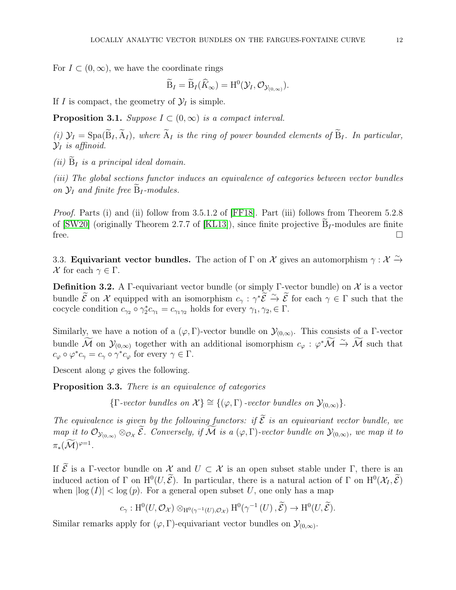For  $I \subset (0,\infty)$ , we have the coordinate rings

$$
\widetilde{\mathrm{B}}_I=\widetilde{\mathrm{B}}_I(\widehat{K}_\infty)=\mathrm{H}^0(\mathcal{Y}_I,\mathcal{O}_{\mathcal{Y}_{(0,\infty)}}).
$$

If I is compact, the geometry of  $\mathcal{Y}_I$  is simple.

**Proposition 3.1.** Suppose  $I \subset (0,\infty)$  is a compact interval.

(i)  $\mathcal{Y}_I = \text{Spa}(\widetilde{B}_I, \widetilde{A}_I)$ , where  $\widetilde{A}_I$  is the ring of power bounded elements of  $\widetilde{B}_I$ . In particular,  $\mathcal{Y}_I$  is affinoid.

(ii)  $\widetilde{B}_I$  is a principal ideal domain.

(iii) The global sections functor induces an equivalence of categories between vector bundles on  $\mathcal{Y}_I$  and finite free  $B_I$ -modules.

Proof. Parts (i) and (ii) follow from 3.5.1.2 of [\[FF18\]](#page-43-12). Part (iii) follows from Theorem 5.2.8 of [\[SW20\]](#page-44-1) (originally Theorem 2.7.7 of [\[KL13\]](#page-43-13)), since finite projective  $B_I$ -modules are finite free.  $\Box$ 

<span id="page-11-0"></span>3.3. **Equivariant vector bundles.** The action of  $\Gamma$  on  $\mathcal X$  gives an automorphism  $\gamma : \mathcal X \xrightarrow{\sim} \mathcal X$ X for each  $\gamma \in \Gamma$ .

**Definition 3.2.** A Γ-equivariant vector bundle (or simply Γ-vector bundle) on X is a vector bundle  $\mathcal{E}$  on  $\mathcal{X}$  equipped with an isomorphism  $c_{\gamma}: \gamma^* \mathcal{E} \stackrel{\sim}{\to} \mathcal{E}$  for each  $\gamma \in \Gamma$  such that the cocycle condition  $c_{\gamma_2} \circ \gamma_2^* c_{\gamma_1} = c_{\gamma_1 \gamma_2}$  holds for every  $\gamma_1, \gamma_2, \in \Gamma$ .

Similarly, we have a notion of a  $(\varphi, \Gamma)$ -vector bundle on  $\mathcal{Y}_{(0,\infty)}$ . This consists of a  $\Gamma$ -vector bundle M on  $\mathcal{Y}_{(0,\infty)}$  together with an additional isomorphism  $c_{\varphi}: \varphi^*\mathcal{M} \stackrel{\sim}{\rightarrow} \mathcal{M}$  such that  $c_{\varphi} \circ \varphi^* c_{\gamma} = c_{\gamma} \circ \gamma^* c_{\varphi}$  for every  $\gamma \in \Gamma$ .

Descent along  $\varphi$  gives the following.

Proposition 3.3. There is an equivalence of categories

 ${\{\Gamma\operatorname{-vector} bundles\ on\ }\mathcal{X}\} \cong {\{\phi,\Gamma\}\operatorname{-vector} bundles\ on\ \mathcal{Y}_{(0,\infty)}\}.$ 

The equivalence is given by the following functors: if  $\tilde{\mathcal{E}}$  is an equivariant vector bundle, we map it to  $\mathcal{O}_{\mathcal{Y}_{(0,\infty)}} \otimes_{\mathcal{O}_{\mathcal{X}}} \mathcal{E}$ . Conversely, if M is a  $(\varphi, \Gamma)$ -vector bundle on  $\mathcal{Y}_{(0,\infty)}$ , we map it to  $\pi_*(\mathcal{M})^{\varphi=1}.$ 

If  $\mathcal E$  is a Γ-vector bundle on  $\mathcal X$  and  $U \subset \mathcal X$  is an open subset stable under Γ, there is an induced action of  $\Gamma$  on  $H^0(U,\mathcal{E})$ . In particular, there is a natural action of  $\Gamma$  on  $H^0(\mathcal{X}_I,\mathcal{E})$ when  $|\log(I)| < \log(p)$ . For a general open subset U, one only has a map

$$
c_{\gamma}: \mathrm{H}^{0}(U, \mathcal{O}_{\mathcal{X}}) \otimes_{\mathrm{H}^{0}(\gamma^{-1}(U), \mathcal{O}_{\mathcal{X}})} \mathrm{H}^{0}(\gamma^{-1}(U), \widetilde{\mathcal{E}}) \to \mathrm{H}^{0}(U, \widetilde{\mathcal{E}}).
$$

Similar remarks apply for  $(\varphi, \Gamma)$ -equivariant vector bundles on  $\mathcal{Y}_{(0,\infty)}$ .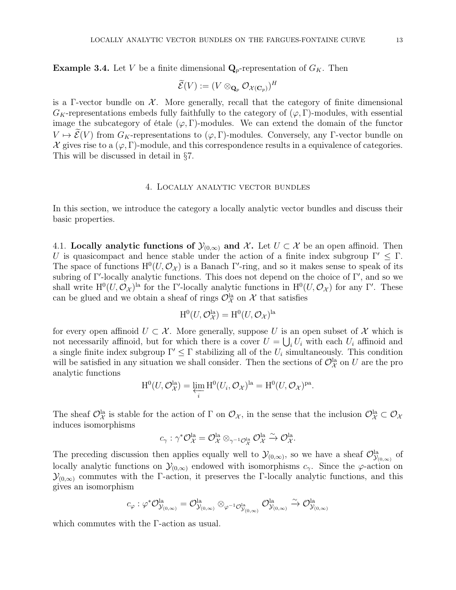**Example 3.4.** Let V be a finite dimensional  $\mathbf{Q}_p$ -representation of  $G_K$ . Then

$$
\widetilde{\mathcal{E}}(V):=(V\otimes_{\mathbf{Q}_p}\mathcal{O}_{\mathcal{X}(\mathbf{C}_p)})^H
$$

is a Γ-vector bundle on  $\mathcal{X}$ . More generally, recall that the category of finite dimensional  $G_K$ -representations embeds fully faithfully to the category of  $(\varphi, \Gamma)$ -modules, with essential image the subcategory of étale  $(\varphi, \Gamma)$ -modules. We can extend the domain of the functor  $V \mapsto \widetilde{\mathcal{E}}(V)$  from  $G_K$ -representations to  $(\varphi, \Gamma)$ -modules. Conversely, any Γ-vector bundle on  $\mathcal X$  gives rise to a  $(\varphi, \Gamma)$ -module, and this correspondence results in a equivalence of categories. This will be discussed in detail in §7.

### 4. Locally analytic vector bundles

<span id="page-12-0"></span>In this section, we introduce the category a locally analytic vector bundles and discuss their basic properties.

<span id="page-12-1"></span>4.1. Locally analytic functions of  $\mathcal{Y}_{(0,\infty)}$  and X. Let  $U \subset \mathcal{X}$  be an open affinoid. Then U is quasicompact and hence stable under the action of a finite index subgroup  $\Gamma' \leq \Gamma$ . The space of functions  $H^0(U, \mathcal{O}_\mathcal{X})$  is a Banach Γ'-ring, and so it makes sense to speak of its subring of Γ ′ -locally analytic functions. This does not depend on the choice of Γ ′ , and so we shall write  $H^0(U, \mathcal{O}_{\mathcal{X}})$ <sup>la</sup> for the Γ'-locally analytic functions in  $H^0(U, \mathcal{O}_{\mathcal{X}})$  for any Γ'. These can be glued and we obtain a sheaf of rings  $\mathcal{O}_\mathcal{X}^{\text{la}}$  on  $\mathcal{X}$  that satisfies

$$
H^0(U, \mathcal{O}_{\mathcal{X}}^{\text{la}}) = H^0(U, \mathcal{O}_{\mathcal{X}})^{\text{la}}
$$

for every open affinoid  $U \subset \mathcal{X}$ . More generally, suppose U is an open subset of X which is not necessarily affinoid, but for which there is a cover  $U = \bigcup_i U_i$  with each  $U_i$  affinoid and a single finite index subgroup  $\Gamma' \leq \Gamma$  stabilizing all of the  $U_i$  simultaneously. This condition will be satisfied in any situation we shall consider. Then the sections of  $\mathcal{O}_{\mathcal{X}}^{\text{la}}$  on U are the pro analytic functions

$$
H^{0}(U, \mathcal{O}_{\mathcal{X}}^{\mathrm{la}}) = \varprojlim_{i} H^{0}(U_{i}, \mathcal{O}_{\mathcal{X}})^{\mathrm{la}} = H^{0}(U, \mathcal{O}_{\mathcal{X}})^{\mathrm{pa}}.
$$

The sheaf  $\mathcal{O}_{\mathcal{X}}^{\text{la}}$  is stable for the action of  $\Gamma$  on  $\mathcal{O}_{\mathcal{X}}$ , in the sense that the inclusion  $\mathcal{O}_{\mathcal{X}}^{\text{la}} \subset \mathcal{O}_{\mathcal{X}}$ induces isomorphisms

$$
c_{\gamma}: \gamma^* \mathcal{O}_{\mathcal{X}}^{\text{la}} = \mathcal{O}_{\mathcal{X}}^{\text{la}} \otimes_{\gamma^{-1} \mathcal{O}_{\mathcal{X}}^{\text{la}}} \mathcal{O}_{\mathcal{X}}^{\text{la}} \xrightarrow{\sim} \mathcal{O}_{\mathcal{X}}^{\text{la}.
$$

The preceding discussion then applies equally well to  $\mathcal{Y}_{(0,\infty)}$ , so we have a sheaf  $\mathcal{O}_{\mathcal{Y}_{(0,\infty)}}^{la}$  of locally analytic functions on  $\mathcal{Y}_{(0,\infty)}$  endowed with isomorphisms  $c_{\gamma}$ . Since the  $\varphi$ -action on  $\mathcal{Y}_{(0,\infty)}$  commutes with the Γ-action, it preserves the Γ-locally analytic functions, and this gives an isomorphism

$$
c_{\varphi} : \varphi^* \mathcal{O}^{\text{la}}_{\mathcal{Y}_{(0,\infty)}} = \mathcal{O}^{\text{la}}_{\mathcal{Y}_{(0,\infty)}} \otimes_{\varphi^{-1} \mathcal{O}^{\text{la}}_{\mathcal{Y}_{(0,\infty)}}} \mathcal{O}^{\text{la}}_{\mathcal{Y}_{(0,\infty)}} \xrightarrow{\sim} \mathcal{O}^{\text{la}}_{\mathcal{Y}_{(0,\infty)}}
$$

which commutes with the Γ-action as usual.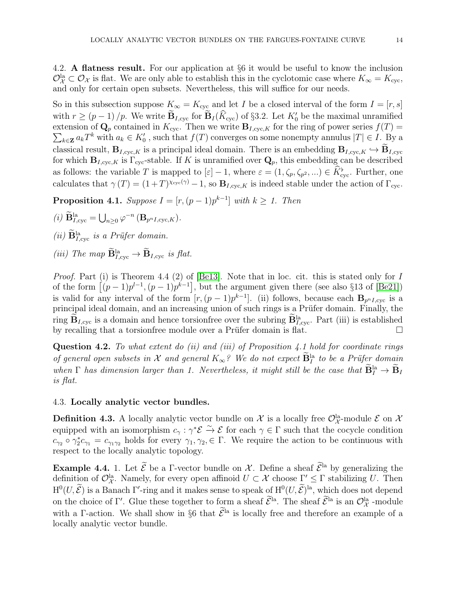<span id="page-13-0"></span>4.2. A flatness result. For our application at §6 it would be useful to know the inclusion  $\mathcal{O}_{\mathcal{X}}^{\text{la}} \subset \mathcal{O}_{\mathcal{X}}$  is flat. We are only able to establish this in the cyclotomic case where  $K_{\infty} = K_{\text{cyc}}$ , and only for certain open subsets. Nevertheless, this will suffice for our needs.

So in this subsection suppose  $K_{\infty} = K_{\text{cyc}}$  and let I be a closed interval of the form  $I = [r, s]$ with  $r \ge (p-1)/p$ . We write  $\mathbf{B}_{I,\text{cyc}}$  for  $\mathbf{B}_{I}(K_{\text{cyc}})$  of §3.2. Let  $K'_{0}$  be the maximal unramified extension of  $\mathbf{Q}_p$  contained in  $K_{\text{cyc}}$ . Then we write  $\mathbf{B}_{I,\text{cyc},K}$  for the ring of power series  $f(T)$  =  $\sum_{k\in\mathbf{Z}} a_k T^k$  with  $a_k \in K'_0$ , such that  $f(T)$  converges on some nonempty annulus  $|T| \in I$ . By a classical result,  $B_{I, cyc,K}$  is a principal ideal domain. There is an embedding  $B_{I, cyc,K} \hookrightarrow \widetilde{B}_{I, cyc}$ for which  $\mathbf{B}_{I,\text{cyc},K}$  is  $\Gamma_{\text{cyc}}$ -stable. If K is unramified over  $\mathbf{Q}_p$ , this embedding can be described as follows: the variable T is mapped to  $[\varepsilon] - 1$ , where  $\varepsilon = (1, \zeta_p, \zeta_{p^2}, ...) \in \hat{K}_{\text{cyc}}^{\flat}$ . Further, one calculates that  $\gamma(T) = (1+T)^{\chi_{\text{cyc}}(\gamma)} - 1$ , so  $\mathbf{B}_{I,\text{cyc},K}$  is indeed stable under the action of  $\Gamma_{\text{cyc}}$ .

**Proposition 4.1.** Suppose  $I = [r, (p-1)p^{k-1}]$  with  $k \geq 1$ . Then

- (i)  $\widetilde{\mathbf{B}}_{I,\mathrm{cyc}}^{\mathrm{la}} = \bigcup_{n\geq 0} \varphi^{-n} \left( \mathbf{B}_{p^n I, \mathrm{cyc}, K} \right).$
- (*ii*)  $\mathbf{B}_{I,\text{cyc}}^{\text{la}}$  is a Prüfer domain.
- (iii) The map  $\mathbf{B}_{I,\text{cyc}}^{\text{la}} \to \mathbf{B}_{I,\text{cyc}}$  is flat.

Proof. Part (i) is Theorem 4.4 (2) of [\[Be13\]](#page-43-11). Note that in loc. cit. this is stated only for I of the form  $[(p-1)p^{l-1}, (p-1)p^{k-1}]$ , but the argument given there (see also §13 of [\[Be21\]](#page-43-14)) is valid for any interval of the form  $[r,(p-1)p^{k-1}]$ . (ii) follows, because each  $\mathbf{B}_{p^nI,\text{cyc}}$  is a principal ideal domain, and an increasing union of such rings is a Prüfer domain. Finally, the ring  $\mathbf{B}_{I,\text{cyc}}$  is a domain and hence torsionfree over the subring  $\mathbf{B}_{I,\text{cyc}}^{\text{la}}$ . Part (iii) is established by recalling that a torsionfree module over a Prüfer domain is flat.

**Question 4.2.** To what extent do (ii) and (iii) of Proposition 4.1 hold for coordinate rings of general open subsets in X and general  $K_{\infty}$ ? We do not expect  $\overline{B}^{\text{la}}_I$  to be a Prüfer domain when  $\Gamma$  has dimension larger than 1. Nevertheless, it might still be the case that  $\mathbf{B}_I^{\text{la}} \to \mathbf{B}_I$ is flat.

# <span id="page-13-1"></span>4.3. Locally analytic vector bundles.

**Definition 4.3.** A locally analytic vector bundle on  $\mathcal{X}$  is a locally free  $\mathcal{O}_{\mathcal{X}}^{la}$ -module  $\mathcal{E}$  on  $\mathcal{X}$ equipped with an isomorphism  $c_{\gamma}: \gamma^* \mathcal{E} \stackrel{\sim}{\rightarrow} \mathcal{E}$  for each  $\gamma \in \Gamma$  such that the cocycle condition  $c_{\gamma_2} \circ \gamma_2^* c_{\gamma_1} = c_{\gamma_1 \gamma_2}$  holds for every  $\gamma_1, \gamma_2, \in \Gamma$ . We require the action to be continuous with respect to the locally analytic topology.

**Example 4.4.** 1. Let  $\widetilde{\mathcal{E}}$  be a Γ-vector bundle on X. Define a sheaf  $\widetilde{\mathcal{E}}^{Ia}$  by generalizing the definition of  $\mathcal{O}_{\mathcal{X}}^{\text{la}}$ . Namely, for every open affinoid  $U \subset \mathcal{X}$  choose  $\Gamma' \leq \Gamma$  stabilizing U. Then  $H^0(U, \mathcal{E})$  is a Banach  $\Gamma'$ -ring and it makes sense to speak of  $H^0(U, \mathcal{E})^{\text{la}}$ , which does not depend on the choice of Γ'. Glue these together to form a sheaf  $\mathcal{E}^{\text{la}}$ . The sheaf  $\mathcal{E}^{\text{la}}$  is an  $\mathcal{O}_{\mathcal{X}}^{\text{la}}$  -module with a Γ-action. We shall show in §6 that  $\tilde{\mathcal{E}}^{\text{la}}$  is locally free and therefore an example of a locally analytic vector bundle.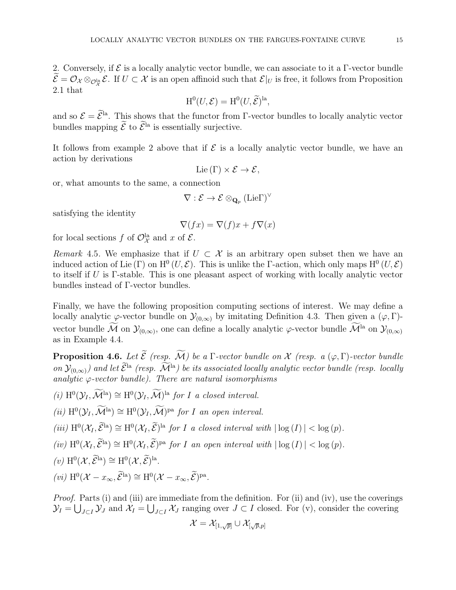2. Conversely, if  $\mathcal E$  is a locally analytic vector bundle, we can associate to it a  $\Gamma$ -vector bundle  $\mathcal{E} = \mathcal{O}_\mathcal{X} \otimes_{\mathcal{O}_\mathcal{X}^{\text{la}}} \mathcal{E}$ . If  $U \subset \mathcal{X}$  is an open affinoid such that  $\mathcal{E}|_U$  is free, it follows from Proposition 2.1 that

$$
H^0(U, \mathcal{E}) = H^0(U, \widetilde{\mathcal{E}})^{la},
$$

and so  $\mathcal{E} = \mathcal{E}^{\text{la}}$ . This shows that the functor from Γ-vector bundles to locally analytic vector bundles mapping  $\widetilde{\mathcal{E}}$  to  $\widetilde{\mathcal{E}}^{l_a}$  is essentially surjective.

It follows from example 2 above that if  $\mathcal E$  is a locally analytic vector bundle, we have an action by derivations

$$
Lie(\Gamma)\times \mathcal{E}\to \mathcal{E},
$$

or, what amounts to the same, a connection

$$
\nabla:\mathcal{E}\rightarrow\mathcal{E}\otimes_{\mathbf{Q}_{p}}(\mathbf{Lie}\Gamma)^{\vee}
$$

satisfying the identity

$$
\nabla(fx) = \nabla(f)x + f\nabla(x)
$$

for local sections f of  $\mathcal{O}_{\mathcal{X}}^{\text{la}}$  and x of  $\mathcal{E}.$ 

Remark 4.5. We emphasize that if  $U \subset \mathcal{X}$  is an arbitrary open subset then we have an induced action of Lie  $(\Gamma)$  on  $H^0(U, \mathcal{E})$ . This is unlike the Γ-action, which only maps  $H^0(U, \mathcal{E})$ to itself if U is Γ-stable. This is one pleasant aspect of working with locally analytic vector bundles instead of Γ-vector bundles.

Finally, we have the following proposition computing sections of interest. We may define a locally analytic  $\varphi$ -vector bundle on  $\mathcal{Y}_{(0,\infty)}$  by imitating Definition 4.3. Then given a  $(\varphi, \Gamma)$ vector bundle M on  $\mathcal{Y}_{(0,\infty)}$ , one can define a locally analytic  $\varphi$ -vector bundle M<sup>la</sup> on  $\mathcal{Y}_{(0,\infty)}$ as in Example 4.4.

**Proposition 4.6.** Let  $\widetilde{\mathcal{E}}$  (resp.  $\widetilde{\mathcal{M}}$ ) be a Γ-vector bundle on X (resp. a  $(\varphi, \Gamma)$ -vector bundle on  $\mathcal{Y}_{(0,\infty)}$ ) and let  $\widetilde{\mathcal{E}}^{Ia}$  (resp.  $\widetilde{\mathcal{M}}^{Ia}$ ) be its associated locally analytic vector bundle (resp. locally analytic  $\varphi$ -vector bundle). There are natural isomorphisms

(i)  $H^0(\mathcal{Y}_I, \mathcal{M}^{\text{la}}) \cong H^0(\mathcal{Y}_I, \mathcal{M})^{\text{la}}$  for I a closed interval.

(ii)  $H^0(\mathcal{Y}_I, \mathcal{M}^{\text{la}}) \cong H^0(\mathcal{Y}_I, \mathcal{M})^{\text{pa}}$  for I an open interval.

(iii)  $\mathrm{H}^{0}(\mathcal{X}_{I}, \mathcal{E}^{\mathrm{la}}) \cong \mathrm{H}^{0}(\mathcal{X}_{I}, \mathcal{E})^{\mathrm{la}}$  for I a closed interval with  $|\log(I)| < \log(p)$ .

(iv)  $\mathrm{H}^{0}(\mathcal{X}_{I}, \mathcal{E}^{\mathrm{la}}) \cong \mathrm{H}^{0}(\mathcal{X}_{I}, \mathcal{E})^{\mathrm{pa}}$  for I an open interval with  $|\log(I)| < \log(p)$ .

 $(v) \ H^{0}(\mathcal{X}, \mathcal{E}^{\text{la}}) \cong H^{0}(\mathcal{X}, \mathcal{E})^{\text{la}}.$ 

 $(vi) \ H^{0}(\mathcal{X} - x_{\infty}, \mathcal{E}^{\text{la}}) \cong H^{0}(\mathcal{X} - x_{\infty}, \mathcal{E})^{\text{pa}}.$ 

Proof. Parts (i) and (iii) are immediate from the definition. For (ii) and (iv), use the coverings  $\mathcal{Y}_I = \bigcup_{J \subset I} \mathcal{Y}_J$  and  $\mathcal{X}_I = \bigcup_{J \subset I} \mathcal{X}_J$  ranging over  $J \subset I$  closed. For (v), consider the covering

$$
\mathcal{X}=\mathcal{X}_{[1,\sqrt{p}]} \cup \mathcal{X}_{[\sqrt{p},p]}
$$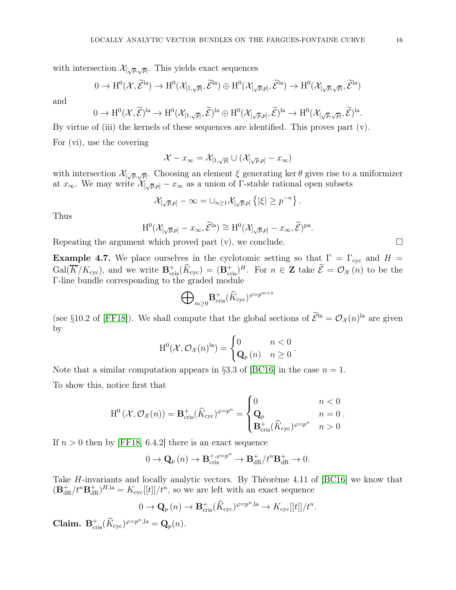with intersection  $\mathcal{X}_{[\sqrt{p},\sqrt{p}]}$ . This yields exact sequences

$$
0 \to H^0(\mathcal{X}, \widetilde{\mathcal{E}}^{la}) \to H^0(\mathcal{X}_{[1,\sqrt{p}]}, \widetilde{\mathcal{E}}^{la}) \oplus H^0(\mathcal{X}_{[\sqrt{p},p]}, \widetilde{\mathcal{E}}^{la}) \to H^0(\mathcal{X}_{[\sqrt{p},\sqrt{p}]}, \widetilde{\mathcal{E}}^{la})
$$

and

$$
0 \to H^0(\mathcal{X}, \widetilde{\mathcal{E}})^{la} \to H^0(\mathcal{X}_{[1, \sqrt{p}]}, \widetilde{\mathcal{E}})^{la} \oplus H^0(\mathcal{X}_{[\sqrt{p}, p]}, \widetilde{\mathcal{E}})^{la} \to H^0(\mathcal{X}_{[\sqrt{p}, \sqrt{p}]}, \widetilde{\mathcal{E}})^{la}.
$$

By virtue of (iii) the kernels of these sequences are identified. This proves part (v).

For (vi), use the covering

$$
\mathcal{X} - x_{\infty} = \mathcal{X}_{[1,\sqrt{p}]} \cup (\mathcal{X}_{[\sqrt{p},p]} - x_{\infty})
$$

with intersection  $\mathcal{X}_{[\sqrt{p},\sqrt{p}]}$ . Choosing an element  $\xi$  generating ker  $\theta$  gives rise to a uniformizer at  $x_{\infty}$ . We may write  $\mathcal{X}_{[\sqrt{p},p]} - x_{\infty}$  as a union of  $\Gamma$ -stable rational open subsets

$$
\mathcal{X}_{[\sqrt{p},p]} - \infty = \cup_{n \geq 1} \mathcal{X}_{[\sqrt{p},p]} \left\{ |\xi| \geq p^{-n} \right\}.
$$

Thus

$$
H^0(\mathcal{X}_{\left[\sqrt{p},p\right]}-x_{\infty},\widetilde{\mathcal{E}}^{\text{la}})\cong H^0(\mathcal{X}_{\left[\sqrt{p},p\right]}-x_{\infty},\widetilde{\mathcal{E}})^{\text{pa}}
$$

.

Repeating the argument which proved part  $(v)$ , we conclude.

**Example 4.7.** We place ourselves in the cyclotomic setting so that  $\Gamma = \Gamma_{\text{cyc}}$  and  $H =$  $Gal(\overline{K}/K_{\text{cyc}})$ , and we write  $\mathbf{B}^{\dagger}_{\text{cris}}(\widehat{K}_{\text{cyc}}) = (\mathbf{B}^{\dagger}_{\text{cris}})^{H}$ . For  $n \in \mathbb{Z}$  take  $\widetilde{\mathcal{E}} = \mathcal{O}_{\mathcal{X}}(n)$  to be the Γ-line bundle corresponding to the graded module

$$
{\bigoplus}_{m\geq 0}{\bf B}_{{\rm cris}}^+(\widehat K_{\rm cyc})^{\varphi=p^{m+n}}
$$

(see §10.2 of [\[FF18\]](#page-43-12)). We shall compute that the global sections of  $\mathcal{E}^{\text{la}} = \mathcal{O}_{\mathcal{X}}(n)^{\text{la}}$  are given by

$$
\mathrm{H}^{0}(\mathcal{X},\mathcal{O}_{\mathcal{X}}(n)^{\mathrm{la}})=\begin{cases}0 & n<0\\ \mathbf{Q}_{p}(n) & n\geq 0\end{cases}.
$$

Note that a similar computation appears in §3.3 of [\[BC16\]](#page-43-8) in the case  $n = 1$ .

To show this, notice first that

$$
\mathrm{H}^0\left(\mathcal{X},\mathcal{O}_{\mathcal{X}}(n)\right) = \mathbf{B}_{\mathrm{cris}}^+(\widehat{K}_{\mathrm{cyc}})^{\varphi=p^n} = \begin{cases} 0 & n < 0\\ \mathbf{Q}_p & n = 0\\ \mathbf{B}_{\mathrm{cris}}^+(\widehat{K}_{\mathrm{cyc}})^{\varphi=p^n} & n > 0 \end{cases}.
$$

If  $n > 0$  then by [\[FF18,](#page-43-12) 6.4.2] there is an exact sequence

$$
0 \to \mathbf{Q}_p(n) \to \mathbf{B}_{\text{cris}}^{+,\varphi=p^n} \to \mathbf{B}_{\text{dR}}^+/t^n\mathbf{B}_{\text{dR}}^+ \to 0.
$$

Take H-invariants and locally analytic vectors. By Théorème 4.11 of [\[BC16\]](#page-43-8) we know that  $(\mathbf{B}_{\text{dR}}^+/t^n\mathbf{B}_{\text{dR}}^+)^{H,\text{la}} = K_{\text{cyc}}[[t]]/t^n$ , so we are left with an exact sequence

$$
0 \to \mathbf{Q}_p(n) \to \mathbf{B}_{\text{cris}}^+(\widehat{K}_{\text{cyc}})^{\varphi=p^n,\mathrm{la}} \to K_{\text{cyc}}[[t]]/t^n.
$$

Claim.  $\mathbf{B}_{\mathrm{cris}}^+(\widehat{K}_{\mathrm{cyc}})^{\varphi=p^n,\mathrm{la}} = \mathbf{Q}_p(n)$ .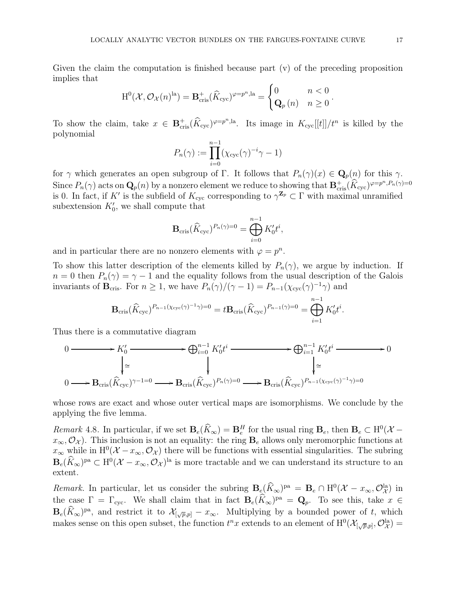Given the claim the computation is finished because part (v) of the preceding proposition implies that

$$
H^{0}(\mathcal{X}, \mathcal{O}_{\mathcal{X}}(n)^{la}) = \mathbf{B}_{\mathrm{cris}}^{+}(\widehat{K}_{\mathrm{cyc}})^{\varphi=p^{n}, \mathrm{la}} = \begin{cases} 0 & n < 0 \\ \mathbf{Q}_{p}(n) & n \ge 0 \end{cases}.
$$

To show the claim, take  $x \in \mathbf{B}_{\text{cris}}^+(\widehat{K}_{\text{cyc}})^{\varphi=p^n,\text{la}}$ . Its image in  $K_{\text{cyc}}[[t]]/t^n$  is killed by the polynomial

$$
P_n(\gamma) := \prod_{i=0}^{n-1} (\chi_{\text{cyc}}(\gamma)^{-i} \gamma - 1)
$$

for  $\gamma$  which generates an open subgroup of Γ. It follows that  $P_n(\gamma)(x) \in \mathbf{Q}_p(n)$  for this  $\gamma$ . Since  $P_n(\gamma)$  acts on  $\mathbf{Q}_p(n)$  by a nonzero element we reduce to showing that  $\mathbf{B}_{\text{cris}}^+(\widehat{K}_{\text{cyc}})^{\varphi=p^n,P_n(\gamma)=0}$ is 0. In fact, if K' is the subfield of  $K_{\text{cyc}}$  corresponding to  $\gamma^{\mathbf{Z}_p} \subset \Gamma$  with maximal unramified subextension  $K'_0$ , we shall compute that

$$
\mathbf{B}_{\mathrm{cris}}(\widehat{K}_{\mathrm{cyc}})^{P_n(\gamma)=0} = \bigoplus_{i=0}^{n-1} K_0't^i,
$$

and in particular there are no nonzero elements with  $\varphi = p^n$ .

To show this latter description of the elements killed by  $P_n(\gamma)$ , we argue by induction. If  $n = 0$  then  $P_n(\gamma) = \gamma - 1$  and the equality follows from the usual description of the Galois invariants of  $\mathbf{B}_{\text{cris}}$ . For  $n \geq 1$ , we have  $P_n(\gamma)/(\gamma - 1) = P_{n-1}(\chi_{\text{cyc}}(\gamma)^{-1}\gamma)$  and

$$
\mathbf{B}_{\mathrm{cris}}(\widehat{K}_{\mathrm{cyc}})^{P_{n-1}(\chi_{\mathrm{cyc}}(\gamma)^{-1}\gamma)=0}=t\mathbf{B}_{\mathrm{cris}}(\widehat{K}_{\mathrm{cyc}})^{P_{n-1}(\gamma)=0}=\bigoplus_{i=1}^{n-1}K_0't^i.
$$

Thus there is a commutative diagram

$$
0 \longrightarrow K_0' \longrightarrow \bigoplus_{i=0}^{n-1} K_0' t^i \longrightarrow \bigoplus_{i=1}^{n-1} K_0' t^i \longrightarrow 0
$$
  
\n
$$
\downarrow \cong \qquad \qquad \downarrow
$$
  
\n
$$
0 \longrightarrow \mathbf{B}_{\mathrm{cris}}(\widehat{K}_{\mathrm{cyc}})^{\gamma-1=0} \longrightarrow \mathbf{B}_{\mathrm{cris}}(\widehat{K}_{\mathrm{cyc}})^{P_n(\gamma)=0} \longrightarrow \mathbf{B}_{\mathrm{cris}}(\widehat{K}_{\mathrm{cyc}})^{P_{n-1}(\chi_{\mathrm{cyc}}(\gamma)^{-1}\gamma)=0}
$$

whose rows are exact and whose outer vertical maps are isomorphisms. We conclude by the applying the five lemma.

Remark 4.8. In particular, if we set  $\mathbf{B}_e(K_\infty) = \mathbf{B}_e^H$  for the usual ring  $\mathbf{B}_e$ , then  $\mathbf{B}_e \subset \mathrm{H}^0(\mathcal{X} - \mathbf{B}_e)$  $x_{\infty}, \mathcal{O}_{\mathcal{X}}$ ). This inclusion is not an equality: the ring  $\mathbf{B}_e$  allows only meromorphic functions at  $x_{\infty}$  while in  $\mathrm{H}^{0}(\mathcal{X}-x_{\infty},\mathcal{O}_{\mathcal{X}})$  there will be functions with essential singularities. The subring  $B_e(\hat{K}_{\infty})^{\text{pa}} \subset \mathrm{H}^0(\mathcal{X}-x_{\infty},\mathcal{O}_{\mathcal{X}})^{\text{la}}$  is more tractable and we can understand its structure to an extent.

Remark. In particular, let us consider the subring  $B_e(K_\infty)^{pa} = B_e \cap H^0(\mathcal{X} - x_\infty, \mathcal{O}_{\mathcal{X}}^{la})$  in the case  $\Gamma = \Gamma_{\text{cyc}}$ . We shall claim that in fact  $\mathbf{B}_{e}(\hat{K}_{\infty})^{\text{pa}} = \mathbf{Q}_{p}$ . To see this, take  $x \in \mathbb{R}$  $\mathbf{B}_e(\hat{K}_{\infty})^{\text{pa}}$ , and restrict it to  $\mathcal{X}_{[\sqrt{p},p]} - x_{\infty}$ . Multiplying by a bounded power of t, which makes sense on this open subset, the function  $t^n x$  extends to an element of  $\mathrm{H}^{0}(\mathcal{X}_{[\sqrt{p},p]},\mathcal{O}_{\mathcal{X}}^{\mathrm{la}})$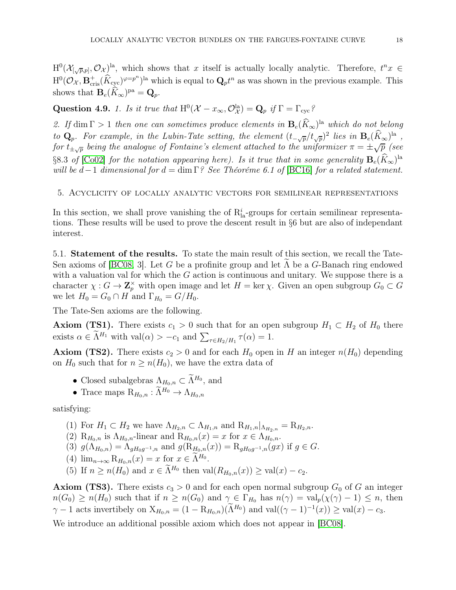$H^0(\mathcal{X}_{\left[\sqrt{p},p\right]},\mathcal{O}_\mathcal{X})$ <sup>la</sup>, which shows that x itself is actually locally analytic. Therefore,  $t^nx \in$  $H^0(\mathcal{O}_{\mathcal{X}}, \mathbf{B}_{\text{cris}}^+(\widehat{K}_{\text{cyc}})^{\varphi=p^n})^{\text{la}}$  which is equal to  $\mathbf{Q}_p t^n$  as was shown in the previous example. This shows that  $\mathbf{B}_e(\hat{K}_{\infty})^{\text{pa}} = \mathbf{Q}_p$ .

Question 4.9. 1. Is it true that  $H^0(\mathcal{X} - x_{\infty}, \mathcal{O}_{\mathcal{X}}^{la}) = Q_p$  if  $\Gamma = \Gamma_{\text{cyc}}$ ?

2. If  $\dim \Gamma > 1$  then one can sometimes produce elements in  $\mathbf{B}_{e}(K_{\infty})^{\text{la}}$  which do not belong to  $\mathbf{Q}_p$ . For example, in the Lubin-Tate setting, the element  $(t_{-\sqrt{p}}/t_{\sqrt{p}})^2$  lies in  $\mathbf{B}_e(\hat{K}_{\infty})^{\text{la}}$ , for  $t_{\pm\sqrt{p}}$  being the analogue of Fontaine's element attached to the uniformizer  $\pi = \pm\sqrt{p}$  (see §8.3 of [\[Co02\]](#page-43-15) for the notation appearing here). Is it true that in some generality  $\mathbf{B}_e(\hat{K}_{\infty})^{\text{la}}$ will be  $d-1$  dimensional for  $d = \dim \Gamma$ ? See Théoréme 6.1 of [\[BC16\]](#page-43-8) for a related statement.

<span id="page-17-0"></span>5. Acyclicity of locally analytic vectors for semilinear representations

In this section, we shall prove vanishing the of  $R_{la}^{i}$ -groups for certain semilinear representations. These results will be used to prove the descent result in §6 but are also of independant interest.

<span id="page-17-1"></span>5.1. Statement of the results. To state the main result of this section, we recall the Tate-Sen axioms of [\[BC08,](#page-43-5) 3]. Let G be a profinite group and let  $\Lambda$  be a G-Banach ring endowed with a valuation val for which the  $G$  action is continuous and unitary. We suppose there is a character  $\chi: G \to \mathbb{Z}_p^{\times}$  with open image and let  $H = \ker \chi$ . Given an open subgroup  $G_0 \subset G$ we let  $H_0 = G_0 \cap H$  and  $\Gamma_{H_0} = G/H_0$ .

The Tate-Sen axioms are the following.

**Axiom (TS1).** There exists  $c_1 > 0$  such that for an open subgroup  $H_1 \subset H_2$  of  $H_0$  there exists  $\alpha \in \widetilde{\Lambda}^{H_1}$  with  $\text{val}(\alpha) > -c_1$  and  $\sum_{\tau \in H_2/H_1} \tau(\alpha) = 1$ .

**Axiom (TS2).** There exists  $c_2 > 0$  and for each  $H_0$  open in H an integer  $n(H_0)$  depending on  $H_0$  such that for  $n \geq n(H_0)$ , we have the extra data of

- Closed subalgebras  $\Lambda_{H_0,n} \subset \Lambda^{H_0}$ , and
- Trace maps  $R_{H_0,n} : \widetilde{\Lambda}^{H_0} \to \Lambda_{H_0,n}$

satisfying:

- (1) For  $H_1 \subset H_2$  we have  $\Lambda_{H_2,n} \subset \Lambda_{H_1,n}$  and  $\mathrm{R}_{H_1,n}|_{\Lambda_{H_2,n}} = \mathrm{R}_{H_2,n}$ .
- (2)  $\mathrm{R}_{H_0,n}$  is  $\Lambda_{H_0,n}$ -linear and  $\mathrm{R}_{H_0,n}(x) = x$  for  $x \in \Lambda_{H_0,n}$ .
- (3)  $g(\Lambda_{H_0,n}) = \Lambda_{gH_0g^{-1},n}$  and  $g(R_{H_0,n}(x)) = R_{gH_0g^{-1},n}(gx)$  if  $g \in G$ .
- (4)  $\lim_{n\to\infty} \mathcal{R}_{H_0,n}(x) = x$  for  $x \in \Lambda^{H_0}$ .
- (5) If  $n \ge n(H_0)$  and  $x \in \widetilde{\Lambda}^{H_0}$  then  $val(R_{H_0,n}(x)) \ge val(x) c_2$ .

**Axiom (TS3).** There exists  $c_3 > 0$  and for each open normal subgroup  $G_0$  of G an integer  $n(G_0) \ge n(H_0)$  such that if  $n \ge n(G_0)$  and  $\gamma \in \Gamma_{H_0}$  has  $n(\gamma) = \text{val}_p(\chi(\gamma) - 1) \le n$ , then  $\gamma - 1$  acts invertibely on  $X_{H_0,n} = (1 - R_{H_0,n})(\Lambda^{H_0})$  and  $val((\gamma - 1)^{-1}(x)) \geq val(x) - c_3$ .

We introduce an additional possible axiom which does not appear in  $|BC08|$ .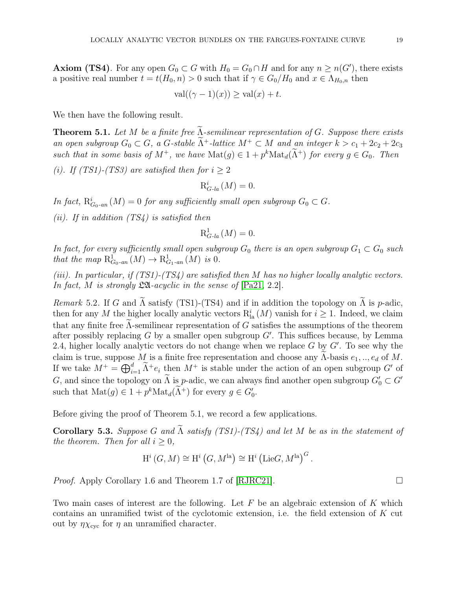**Axiom (TS4)**. For any open  $G_0 \subset G$  with  $H_0 = G_0 \cap H$  and for any  $n \geq n(G')$ , there exists a positive real number  $t = t(H_0, n) > 0$  such that if  $\gamma \in G_0/H_0$  and  $x \in \Lambda_{H_0,n}$  then

$$
\operatorname{val}((\gamma - 1)(x)) \ge \operatorname{val}(x) + t.
$$

We then have the following result.

**Theorem 5.1.** Let M be a finite free  $\widetilde{\Lambda}$ -semilinear representation of G. Suppose there exists an open subgroup  $G_0 \subset G$ , a G-stable  $\Lambda^+$ -lattice  $M^+ \subset M$  and an integer  $k > c_1 + 2c_2 + 2c_3$ such that in some basis of  $M^+$ , we have  $\text{Mat}(g) \in 1 + p^k \text{Mat}_d(\Lambda^+)$  for every  $g \in G_0$ . Then

(i). If (TS1)-(TS3) are satisfied then for  $i \geq 2$ 

$$
\mathrm{R}^i_{G\text{-}la}\left(M\right) = 0.
$$

In fact,  $R^i_{G_0\text{-}an}(M) = 0$  for any sufficiently small open subgroup  $G_0 \subset G$ .

(ii). If in addition  $(TS4)$  is satisfied then

$$
\mathrm{R}^{1}_{G\text{-}la}\left(M\right)=0.
$$

In fact, for every sufficiently small open subgroup  $G_0$  there is an open subgroup  $G_1 \subset G_0$  such that the map  $R^1_{G_0\text{-}an}(M) \to R^1_{G_1\text{-}an}(M)$  is 0.

(iii). In particular, if  $(TS1)$ - $(TS4)$  are satisfied then M has no higher locally analytic vectors. In fact, M is strongly  $\mathfrak{L} \mathfrak{A}$ -acyclic in the sense of  $\lbrack \text{Pa}21, 2.2 \rbrack$ .

Remark 5.2. If G and  $\tilde{\Lambda}$  satisfy (TS1)-(TS4) and if in addition the topology on  $\tilde{\Lambda}$  is p-adic, then for any M the higher locally analytic vectors  $R^i_{la}(M)$  vanish for  $i \geq 1$ . Indeed, we claim that any finite free  $\Lambda$ -semilinear representation of G satisfies the assumptions of the theorem after possibly replacing G by a smaller open subgroup  $G'$ . This suffices because, by Lemma 2.4, higher locally analytic vectors do not change when we replace  $G$  by  $G'$ . To see why the claim is true, suppose M is a finite free representation and choose any  $\Lambda$ -basis  $e_1, \ldots, e_d$  of M. If we take  $M^+ = \bigoplus_{i=1}^d \widetilde{\Lambda}^+e_i$  then  $M^+$  is stable under the action of an open subgroup G' of G, and since the topology on  $\Lambda$  is p-adic, we can always find another open subgroup  $G'_0 \subset G'$ such that  $\text{Mat}(g) \in 1 + p^k \text{Mat}_d(\Lambda^+)$  for every  $g \in G'_0$ .

Before giving the proof of Theorem 5.1, we record a few applications.

Corollary 5.3. Suppose G and  $\widetilde{\Lambda}$  satisfy (TS1)-(TS4) and let M be as in the statement of the theorem. Then for all  $i \geq 0$ ,

$$
H^i(G, M) \cong H^i(G, M^{\text{la}}) \cong H^i(\text{Lie}G, M^{\text{la}})^G.
$$

*Proof.* Apply Corollary 1.6 and Theorem 1.7 of [\[RJRC21\]](#page-43-6).  $\square$ 

Two main cases of interest are the following. Let  $F$  be an algebraic extension of  $K$  which contains an unramified twist of the cyclotomic extension, i.e. the field extension of  $K$  cut out by  $\eta \chi_{\text{cyc}}$  for  $\eta$  an unramified character.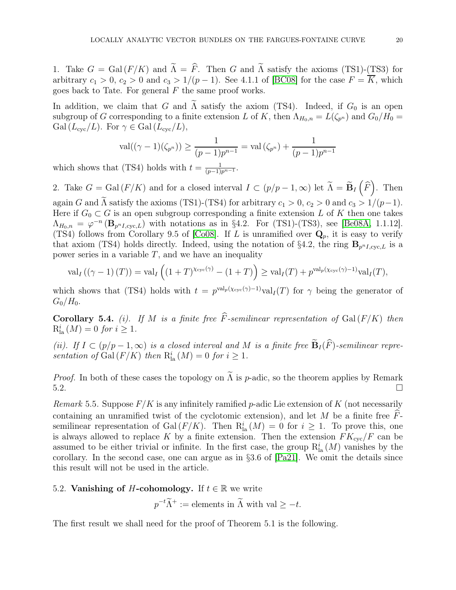1. Take  $G = \text{Gal}(F/K)$  and  $\widetilde{\Lambda} = \widehat{F}$ . Then G and  $\widetilde{\Lambda}$  satisfy the axioms (TS1)-(TS3) for arbitrary  $c_1 > 0$ ,  $c_2 > 0$  and  $c_3 > 1/(p-1)$ . See 4.1.1 of [\[BC08\]](#page-43-5) for the case  $F = \overline{K}$ , which goes back to Tate. For general  $F$  the same proof works.

In addition, we claim that G and  $\tilde{\Lambda}$  satisfy the axiom (TS4). Indeed, if  $G_0$  is an open subgroup of G corresponding to a finite extension L of K, then  $\Lambda_{H_0,n} = L(\zeta_{p^n})$  and  $G_0/H_0 =$ Gal  $(L_{\rm cyc}/L)$ . For  $\gamma \in$  Gal  $(L_{\rm cyc}/L)$ ,

$$
\operatorname{val}((\gamma - 1)(\zeta_{p^n})) \ge \frac{1}{(p-1)p^{n-1}} = \operatorname{val}(\zeta_{p^n}) + \frac{1}{(p-1)p^{n-1}}
$$

which shows that (TS4) holds with  $t = \frac{1}{(p-1)p^{n-1}}$ .

2. Take  $G = \text{Gal}(F/K)$  and for a closed interval  $I \subset (p/p-1, \infty)$  let  $\widetilde{\Lambda} = \widetilde{\mathbf{B}}_I(\widehat{F})$ . Then again G and  $\widetilde{\Lambda}$  satisfy the axioms (TS1)-(TS4) for arbitrary  $c_1 > 0$ ,  $c_2 > 0$  and  $c_3 > 1/(p-1)$ . Here if  $G_0 \subset G$  is an open subgroup corresponding a finite extension L of K then one takes  $\Lambda_{H_0,n} = \varphi^{-n} (\mathbf{B}_{p^nI,\text{cyc},L})$  with notations as in §4.2. For (TS1)-(TS3), see [\[Be08A,](#page-43-16) 1.1.12]. (TS4) follows from Corollary 9.5 of [\[Co08\]](#page-43-17). If L is unramified over  $\mathbf{Q}_p$ , it is easy to verify that axiom (TS4) holds directly. Indeed, using the notation of §4.2, the ring  $\mathbf{B}_{p^nI,\text{cyc},L}$  is a power series in a variable  $T$ , and we have an inequality

$$
\mathrm{val}_{I}\left(\left(\gamma-1\right)(T)\right)=\mathrm{val}_{I}\left(\left(1+T\right)^{\chi_{\mathrm{cyc}}\left(\gamma\right)}-\left(1+T\right)\right)\geq \mathrm{val}_{I}(T)+p^{\mathrm{val}_{p}\left(\chi_{\mathrm{cyc}}\left(\gamma\right)-1\right)}\mathrm{val}_{I}(T),
$$

which shows that (TS4) holds with  $t = p^{\text{val}_p(\chi_{\text{cyc}}(\gamma)-1)} \text{val}_I(T)$  for  $\gamma$  being the generator of  $G_0/H_0$ .

Corollary 5.4. (i). If M is a finite free  $\widehat{F}$ -semilinear representation of Gal (F/K) then  $R_{\text{la}}^{i}(M) = 0 \text{ for } i \geq 1.$ 

(ii). If  $I \subset (p/p-1,\infty)$  is a closed interval and M is a finite free  $\widetilde{\mathbf{B}}_I(\widehat{F})$ -semilinear representation of Gal $(F/K)$  then  $R^i_{la}(M) = 0$  for  $i \geq 1$ .

*Proof.* In both of these cases the topology on  $\tilde{\Lambda}$  is *p*-adic, so the theorem applies by Remark 5.2.  $5.2.$ 

Remark 5.5. Suppose  $F/K$  is any infinitely ramified p-adic Lie extension of K (not necessarily containing an unramified twist of the cyclotomic extension), and let M be a finite free  $\hat{F}$ semilinear representation of Gal  $(F/K)$ . Then  $R_{la}^{i}(M) = 0$  for  $i \geq 1$ . To prove this, one is always allowed to replace K by a finite extension. Then the extension  $FK_{\text{cyc}}/F$  can be assumed to be either trivial or infinite. In the first case, the group  $R^i_{l}$  (*M*) vanishes by the corollary. In the second case, one can argue as in §3.6 of [\[Pa21\]](#page-43-9). We omit the details since this result will not be used in the article.

# <span id="page-19-0"></span>5.2. Vanishing of H-cohomology. If  $t \in \mathbb{R}$  we write

 $p^{-t}\tilde{\Lambda}^+ :=$  elements in  $\tilde{\Lambda}$  with val  $\geq -t$ .

The first result we shall need for the proof of Theorem 5.1 is the following.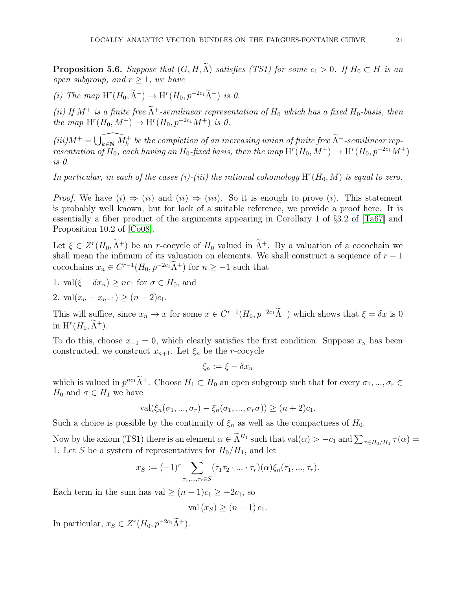**Proposition 5.6.** Suppose that  $(G, H, \tilde{\Lambda})$  satisfies (TS1) for some  $c_1 > 0$ . If  $H_0 \subset H$  is an open subgroup, and  $r > 1$ , we have

(i) The map  $H^r(H_0, \tilde{\Lambda}^+) \to H^r(H_0, p^{-2c_1}\tilde{\Lambda}^+)$  is 0.

(ii) If  $M^+$  is a finite free  $\widetilde{\Lambda}^+$ -semilinear representation of  $H_0$  which has a fixed  $H_0$ -basis, then the map  $H^r(H_0, M^+) \to H^r(H_0, p^{-2c_1}M^+)$  is 0.

 $(iii)M^+ = \widehat{\bigcup_{k \in \mathbb{N}} M_k^+}$  be the completion of an increasing union of finite free  $\widetilde{\Lambda}^+$ -semilinear representation of  $H_0$ , each having an  $H_0$ -fixed basis, then the map  $H^r(H_0, M^+) \to H^r(H_0, p^{-2c_1}M^+)$ is 0.

In particular, in each of the cases (i)-(iii) the rational cohomology  $H^r(H_0, M)$  is equal to zero.

*Proof.* We have  $(i) \Rightarrow (ii)$  and  $(ii) \Rightarrow (iii)$ . So it is enough to prove  $(i)$ . This statement is probably well known, but for lack of a suitable reference, we provide a proof here. It is essentially a fiber product of the arguments appearing in Corollary 1 of §3.2 of [\[Ta67\]](#page-44-2) and Proposition 10.2 of [\[Co08\]](#page-43-17).

Let  $\xi \in Z^r(H_0, \Lambda^+)$  be an r-cocycle of  $H_0$  valued in  $\Lambda^+$ . By a valuation of a cocochain we shall mean the infimum of its valuation on elements. We shall construct a sequence of  $r - 1$ cocochains  $x_n \in C^{r-1}(H_0, p^{-2c_1}\Lambda^+)$  for  $n \geq -1$  such that

- 1. val $(\xi \delta x_n) \geq nc_1$  for  $\sigma \in H_0$ , and
- 2. val $(x_n x_{n-1}) > (n-2)c_1$ .

This will suffice, since  $x_n \to x$  for some  $x \in C^{r-1}(H_0, p^{-2c_1}\Lambda^+)$  which shows that  $\xi = \delta x$  is 0 in  $\mathrm{H}^r(H_0,\Lambda^+).$ 

To do this, choose  $x_{-1} = 0$ , which clearly satisfies the first condition. Suppose  $x_n$  has been constructed, we construct  $x_{n+1}$ . Let  $\xi_n$  be the *r*-cocycle

$$
\xi_n := \xi - \delta x_n
$$

which is valued in  $p^{nc_1}\Lambda^+$ . Choose  $H_1 \subset H_0$  an open subgroup such that for every  $\sigma_1, ..., \sigma_r \in$  $H_0$  and  $\sigma \in H_1$  we have

$$
\operatorname{val}(\xi_n(\sigma_1, ..., \sigma_r) - \xi_n(\sigma_1, ..., \sigma_r\sigma)) \ge (n+2)c_1.
$$

Such a choice is possible by the continuity of  $\xi_n$  as well as the compactness of  $H_0$ .

Now by the axiom (TS1) there is an element  $\alpha \in \widetilde{\Lambda}^{H_1}$  such that  $val(\alpha) > -c_1$  and  $\sum_{\tau \in H_0/H_1} \tau(\alpha) =$ 1. Let S be a system of representatives for  $H_0/H_1$ , and let

$$
x_S := (-1)^r \sum_{\tau_1, ..., \tau_r \in S} (\tau_1 \tau_2 \cdot ... \cdot \tau_r)(\alpha) \xi_n(\tau_1, ..., \tau_r).
$$

Each term in the sum has val  $\geq (n-1)c_1 \geq -2c_1$ , so

$$
val(x_S) \ge (n-1)c_1.
$$

In particular,  $x_S \in Z^r(H_0, p^{-2c_1}\Lambda^+).$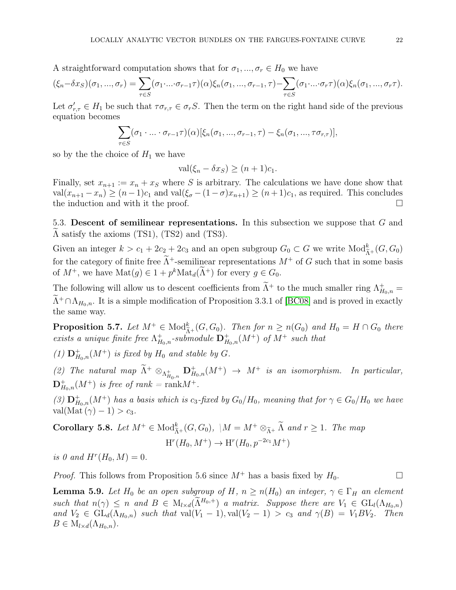A straightforward computation shows that for  $\sigma_1, ..., \sigma_r \in H_0$  we have

$$
(\xi_n - \delta x_S)(\sigma_1, ..., \sigma_r) = \sum_{\tau \in S} (\sigma_1 \cdot ... \cdot \sigma_{r-1} \tau)(\alpha) \xi_n(\sigma_1, ..., \sigma_{r-1}, \tau) - \sum_{\tau \in S} (\sigma_1 \cdot ... \cdot \sigma_r \tau)(\alpha) \xi_n(\sigma_1, ..., \sigma_r \tau).
$$

Let  $\sigma'_{r,\tau} \in H_1$  be such that  $\tau \sigma_{r,\tau} \in \sigma_r S$ . Then the term on the right hand side of the previous equation becomes

$$
\sum_{\tau \in S} (\sigma_1 \cdot \ldots \cdot \sigma_{r-1} \tau)(\alpha) [\xi_n(\sigma_1, ..., \sigma_{r-1}, \tau) - \xi_n(\sigma_1, ..., \tau \sigma_{r,\tau})],
$$

so by the the choice of  $H_1$  we have

$$
\operatorname{val}(\xi_n - \delta x_S) \ge (n+1)c_1.
$$

Finally, set  $x_{n+1} := x_n + x_S$  where S is arbitrary. The calculations we have done show that val $(x_{n+1} - x_n) \ge (n-1)c_1$  and val $(\xi_{\sigma} - (1-\sigma)x_{n+1}) \ge (n+1)c_1$ , as required. This concludes the induction and with it the proof. the induction and with it the proof.

<span id="page-21-0"></span>5.3. Descent of semilinear representations. In this subsection we suppose that  $G$  and  $\Lambda$  satisfy the axioms (TS1), (TS2) and (TS3).

Given an integer  $k > c_1 + 2c_2 + 2c_3$  and an open subgroup  $G_0 \subset G$  we write  $Mod_{\tilde{\Lambda}^+}^k(G, G_0)$ for the category of finite free  $\widetilde{\Lambda}^+$ -semilinear representations  $M^+$  of G such that in some basis of  $M^+$ , we have  $\text{Mat}(g) \in 1 + p^k \text{Mat}_d(\Lambda^+)$  for every  $g \in G_0$ .

The following will allow us to descent coefficients from  $\tilde{\Lambda}^+$  to the much smaller ring  $\Lambda_{H_{0},n}^+$  =  $\widetilde{\Lambda}^+\cap\Lambda_{H_0,n}$ . It is a simple modification of Proposition 3.3.1 of [\[BC08\]](#page-43-5) and is proved in exactly the same way.

**Proposition 5.7.** Let  $M^+ \in Mod_{\tilde{A}^+}^k(G, G_0)$ . Then for  $n \ge n(G_0)$  and  $H_0 = H \cap G_0$  there exists a unique finite free  $\Lambda_{H_0,n}^+$ -submodule  $\mathbf{D}_{H_0,n}^+(M^+)$  of  $M^+$  such that

(1)  $\mathbf{D}_{H_0,n}^+(M^+)$  is fixed by  $H_0$  and stable by  $G$ .

(2) The natural map  $\widetilde{\Lambda}^+ \otimes_{\Lambda_{H_0,n}^+} \mathbf{D}_{H_0,n}^+(M^+) \to M^+$  is an isomorphism. In particular,  $\mathbf{D}^+_{H_0,n}(M^+)$  is free of rank = rank $M^+$ .

(3)  $\mathbf{D}_{H_0,n}^+(M^+)$  has a basis which is  $c_3$ -fixed by  $G_0/H_0$ , meaning that for  $\gamma \in G_0/H_0$  we have val(Mat  $(\gamma) - 1$ ) >  $c_3$ .

Corollary 5.8. Let  $M^+ \in Mod_{\tilde{\Lambda}^+}^k(G, G_0)$ ,  $|M = M^+ \otimes_{\tilde{\Lambda}^+} \tilde{\Lambda}$  and  $r \geq 1$ . The map  $H^r(H_0, M^+) \to H^r(H_0, p^{-2c_1}M^+)$ 

is 0 and  $H^r(H_0, M) = 0$ .

*Proof.* This follows from Proposition 5.6 since  $M^+$  has a basis fixed by  $H_0$ .

**Lemma 5.9.** Let H<sub>0</sub> be an open subgroup of H,  $n \ge n(H_0)$  an integer,  $\gamma \in \Gamma_H$  an element such that  $n(\gamma) \leq n$  and  $B \in M_{l \times d}(\tilde{\Lambda}^{H_0,+})$  a matrix. Suppose there are  $V_1 \in GL_l(\Lambda_{H_0,n})$ and  $V_2 \in GL_d(\Lambda_{H_0,n})$  such that val $(V_1-1)$ , val $(V_2-1) > c_3$  and  $\gamma(B) = V_1BV_2$ . Then  $B \in M_{l \times d}(\Lambda_{H_0,n}).$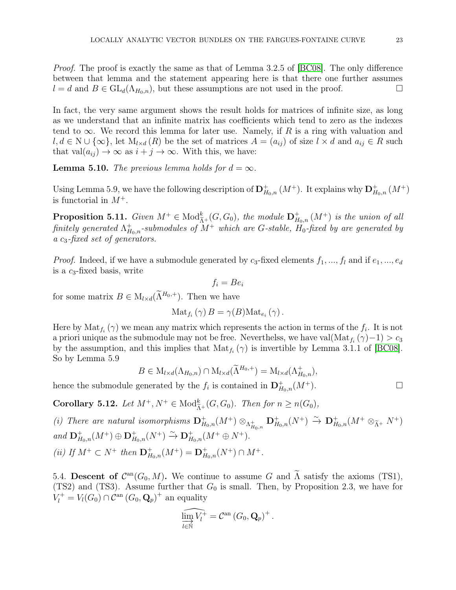Proof. The proof is exactly the same as that of Lemma 3.2.5 of [\[BC08\]](#page-43-5). The only difference between that lemma and the statement appearing here is that there one further assumes  $l = d$  and  $B \in GL_d(\Lambda_{H_0,n})$ , but these assumptions are not used in the proof.

In fact, the very same argument shows the result holds for matrices of infinite size, as long as we understand that an infinite matrix has coefficients which tend to zero as the indexes tend to  $\infty$ . We record this lemma for later use. Namely, if R is a ring with valuation and  $l, d \in \mathbb{N} \cup \{\infty\}$ , let  $M_{l \times d}(R)$  be the set of matrices  $A = (a_{ij})$  of size  $l \times d$  and  $a_{ij} \in R$  such that val $(a_{ij}) \rightarrow \infty$  as  $i + j \rightarrow \infty$ . With this, we have:

**Lemma 5.10.** The previous lemma holds for  $d = \infty$ .

Using Lemma 5.9, we have the following description of  $\mathbf{D}^+_{H_0,n}(M^+)$ . It explains why  $\mathbf{D}^+_{H_0,n}(M^+)$ is functorial in  $M^+$ .

**Proposition 5.11.** Given  $M^+ \in Mod_{\tilde{A}^+}^k(G, G_0)$ , the module  $\mathbf{D}^+_{H_0,n}(M^+)$  is the union of all finitely generated  $\Lambda^+_{H_0,n}$ -submodules of  $M^+$  which are G-stable,  $H_0$ -fixed by are generated by a  $c_3$ -fixed set of generators.

*Proof.* Indeed, if we have a submodule generated by  $c_3$ -fixed elements  $f_1, ..., f_l$  and if  $e_1, ..., e_d$ is a  $c_3$ -fixed basis, write

$$
f_i = Be_i
$$

for some matrix  $B \in M_{l \times d}(\tilde{\Lambda}^{H_0,+})$ . Then we have

$$
\mathrm{Mat}_{f_i}(\gamma) B = \gamma(B) \mathrm{Mat}_{e_i}(\gamma).
$$

Here by  $\text{Mat}_{f_i}(\gamma)$  we mean any matrix which represents the action in terms of the  $f_i$ . It is not a priori unique as the submodule may not be free. Neverthelss, we have val $(\text{Mat}_{f_i}(\gamma)-1)>c_3$ by the assumption, and this implies that  $\text{Mat}_{f_i}(\gamma)$  is invertible by Lemma 3.1.1 of [\[BC08\]](#page-43-5). So by Lemma 5.9

$$
B \in M_{l \times d}(\Lambda_{H_0,n}) \cap M_{l \times d}(\widetilde{\Lambda}^{H_0,+}) = M_{l \times d}(\Lambda_{H_0,n}^+),
$$

hence the submodule generated by the  $f_i$  is contained in  $\mathbf{D}^+_{H_0,n}(M^+)$ .

**Corollary 5.12.** Let  $M^+, N^+ \in \text{Mod}_{\tilde{\Lambda}^+}^k(G, G_0)$ . Then for  $n \geq n(G_0)$ ,

(i) There are natural isomorphisms  $\mathbf{D}^+_{H_0,n}(M^+) \otimes_{\Lambda^+_{H_0,n}} \mathbf{D}^+_{H_0,n}(N^+) \xrightarrow{\sim} \mathbf{D}^+_{H_0,n}(M^+ \otimes_{\tilde{\Lambda}^+} N^+)$ and  $\mathbf{D}_{H_0,n}^+(M^+) \oplus \mathbf{D}_{H_0,n}^+(N^+) \xrightarrow{\sim} \mathbf{D}_{H_0,n}^+(M^+ \oplus N^+).$ (ii) If  $M^+ \subset N^+$  then  ${\bf D}^+_{H_0,n}(M^+) = {\bf D}^+_{H_0,n}(N^+) \cap M^+$ .

<span id="page-22-0"></span>5.4. Descent of  $\mathcal{C}^{\text{an}}(G_0, M)$ . We continue to assume G and  $\Lambda$  satisfy the axioms (TS1), (TS2) and (TS3). Assume further that  $G_0$  is small. Then, by Proposition 2.3, we have for  $V_l^+ = V_l(G_0) \cap C^{\text{an}} (G_0, \mathbf{Q}_p)^+$  an equality

$$
\widehat{\varinjlim_{l\in\mathbb{N}}V_l^+}=\mathcal{C}^{\rm an}\left(G_0,\mathbf{Q}_p\right)^+.
$$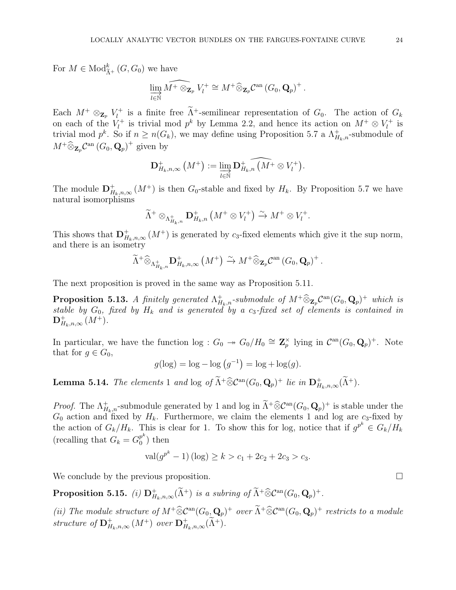For  $M \in Mod_{\tilde{A}^+}^k(G, G_0)$  we have

$$
\varinjlim_{l\in\mathbb{N}}\widehat{M^+ \otimes_{\mathbf{Z}_p} V_l^+} \cong M^+ \widehat{\otimes}_{\mathbf{Z}_p} \mathcal{C}^{\mathrm{an}}\left(G_0,\mathbf{Q}_p\right)^+.
$$

Each  $M^+ \otimes_{\mathbf{Z}_p} V_l^+$ <sup> $\tau^+$ </sup> is a finite free  $\Lambda^+$ -semilinear representation of  $G_0$ . The action of  $G_k$ on each of the  $V_l^+$  $\mathbf{z}_l^+$  is trivial mod  $p^k$  by Lemma 2.2, and hence its action on  $M^+ \otimes V_l^+$  $\iota^{t+}$  is trivial mod  $p^k$ . So if  $n \geq n(G_k)$ , we may define using Proposition 5.7 a  $\Lambda_{H_k,n}^+$ -submodule of  $M^+ \widehat{\otimes}_{\mathbf{Z}_p} \mathcal{C}^{\mathrm{an}}\left(G_0, \mathbf{Q}_p\right)^+$  given by

$$
\mathbf{D}^+_{H_k,n,\infty}(M^+) := \varinjlim_{l \in \mathbb{N}} \mathbf{D}^+_{H_k,n}(\widehat{M^+} \otimes V_l^+).
$$

The module  $\mathbf{D}^+_{H_k,n,\infty}(M^+)$  is then  $G_0$ -stable and fixed by  $H_k$ . By Proposition 5.7 we have natural isomorphisms

$$
\widetilde{\Lambda}^+ \otimes_{\Lambda^+_{H_k,n}} \mathbf{D}^+_{H_k,n} \left( M^+ \otimes V_l^+ \right) \xrightarrow{\sim} M^+ \otimes V_l^+.
$$

This shows that  $\mathbf{D}_{H_k,n,\infty}^+(M^+)$  is generated by  $c_3$ -fixed elements which give it the sup norm, and there is an isometry

$$
\widetilde{\Lambda}^+\widehat{\otimes}_{\Lambda^+_{H_k,n}}\mathbf{D}^+_{H_k,n,\infty}(M^+)\xrightarrow{\sim} M^+\widehat{\otimes}_{\mathbf{Z}_p}\mathcal{C}^{\mathrm{an}}(G_0,\mathbf{Q}_p)^+.
$$

The next proposition is proved in the same way as Proposition 5.11.

**Proposition 5.13.** A finitely generated  $\Lambda^+_{H_k,n}$ -submodule of  $M^+ \widehat{\otimes}_{\mathbf{Z}_p} \mathcal{C}^{\rm an}(G_0,\mathbf{Q}_p)^+$  which is stable by  $G_0$ , fixed by  $H_k$  and is generated by a  $c_3$ -fixed set of elements is contained in  ${\bf D}^+_{H_k,n,\infty}\,(M^+).$ 

In particular, we have the function  $\log : G_0 \twoheadrightarrow G_0/H_0 \cong \mathbb{Z}_p^{\times}$  lying in  $\mathcal{C}^{\text{an}}(G_0, \mathbf{Q}_p)^+$ . Note that for  $g \in G_0$ ,

$$
g(\log) = \log - \log (g^{-1}) = \log + \log(g).
$$

**Lemma 5.14.** The elements 1 and log of  $\tilde{\Lambda}^+\widehat{\otimes}\mathcal{C}^{\mathrm{an}}(G_0,\mathbf{Q}_p)^+$  lie in  $\mathbf{D}^+_{H_k,n,\infty}(\tilde{\Lambda}^+)$ .

*Proof.* The  $\Lambda^+_{H_{k,n}}$ -submodule generated by 1 and log in  $\widetilde{\Lambda}^+ \widehat{\otimes} \mathcal{C}^{\mathrm{an}}(G_0, \mathbf{Q}_p)^+$  is stable under the  $G_0$  action and fixed by  $H_k$ . Furthermore, we claim the elements 1 and log are  $c_3$ -fixed by the action of  $G_k/H_k$ . This is clear for 1. To show this for log, notice that if  $g^{p^k} \in G_k/H_k$ (recalling that  $G_k = G_0^{p^k}$  $_0^{p^{\alpha}}$ ) then

$$
\operatorname{val}(g^{p^k} - 1) (\log) \ge k > c_1 + 2c_2 + 2c_3 > c_3.
$$

We conclude by the previous proposition.  $\square$ 

**Proposition 5.15.** (i)  $D^+_{H_k,n,\infty}(\widetilde{\Lambda}^+)$  is a subring of  $\widetilde{\Lambda}^+\widehat{\otimes} \mathcal{C}^{\rm an}(G_0,\mathbf{Q}_p)^+$ .

(ii) The module structure of  $M^+ \widehat{\otimes} \mathcal{C}^{\mathrm{an}}(G_0, \mathbf{Q}_p)^+$  over  $\Lambda^+ \widehat{\otimes} \mathcal{C}^{\mathrm{an}}(G_0, \mathbf{Q}_p)^+$  restricts to a module structure of  $\mathbf{D}^+_{H_k,n,\infty}(M^+)$  over  $\mathbf{D}^+_{H_k,n,\infty}(\tilde{\Lambda}^+)$ .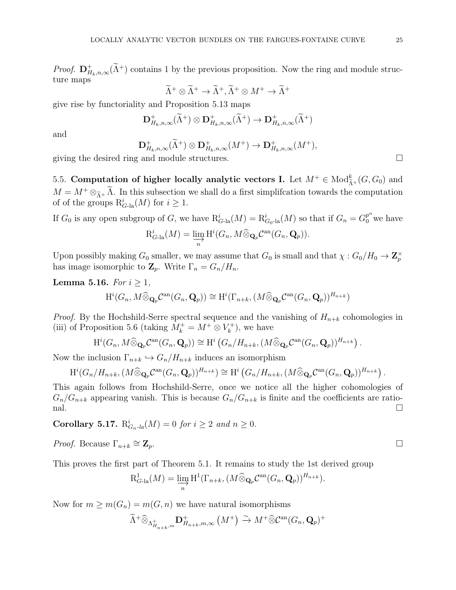*Proof.*  $\mathbf{D}_{H_k,n,\infty}^+(\tilde{\Lambda}^+)$  contains 1 by the previous proposition. Now the ring and module structure maps

$$
\widetilde{\Lambda}^+ \otimes \widetilde{\Lambda}^+ \to \widetilde{\Lambda}^+, \widetilde{\Lambda}^+ \otimes M^+ \to \widetilde{\Lambda}^+
$$

give rise by functoriality and Proposition 5.13 maps

$$
\mathbf{D}^+_{H_k,n,\infty}(\widetilde{\Lambda}^+) \otimes \mathbf{D}^+_{H_k,n,\infty}(\widetilde{\Lambda}^+) \to \mathbf{D}^+_{H_k,n,\infty}(\widetilde{\Lambda}^+)
$$

and

$$
\mathbf{D}^+_{H_k,n,\infty}(\widetilde{\Lambda}^+) \otimes \mathbf{D}^+_{H_k,n,\infty}(M^+) \to \mathbf{D}^+_{H_k,n,\infty}(M^+),
$$

<span id="page-24-0"></span>giving the desired ring and module structures.  $\Box$ 

5.5. Computation of higher locally analytic vectors I. Let  $M^+ \in Mod_{\tilde{\Lambda}^+}^k(G, G_0)$  and  $M = M^+ \otimes_{\widetilde{\Lambda}^+} \Lambda$ . In this subsection we shall do a first simplification towards the computation of of the groups  $R_{G\text{-la}}^i(M)$  for  $i \geq 1$ .

If  $G_0$  is any open subgroup of G, we have  $R_{G-\text{la}}^i(M) = R_{G_0-\text{la}}^i(M)$  so that if  $G_n = G_0^{p^n}$  we have  $R_{G\text{-la}}^{i}(M) = \varinjlim_{n} \mathrm{H}^{i}(G_{n}, M \widehat{\otimes}_{\mathbf{Q}_{p}} \mathcal{C}^{\mathrm{an}}(G_{n}, \mathbf{Q}_{p})).$ 

Upon possibly making  $G_0$  smaller, we may assume that  $G_0$  is small and that  $\chi: G_0/H_0 \to \mathbb{Z}_p^{\times}$ has image isomorphic to  $\mathbf{Z}_p$ . Write  $\Gamma_n = G_n/H_n$ .

**Lemma 5.16.** For  $i \geq 1$ ,

 $\mathrm{H}^i(G_n, M\widehat{\otimes}_{\mathbf{Q}_p}\mathcal{C}^\mathrm{an}(G_n,\mathbf{Q}_p))\cong \mathrm{H}^i(\Gamma_{n+k},(M\widehat{\otimes}_{\mathbf{Q}_p}\mathcal{C}^\mathrm{an}(G_n,\mathbf{Q}_p))^{H_{n+k}})$ 

*Proof.* By the Hochshild-Serre spectral sequence and the vanishing of  $H_{n+k}$  cohomologies in (iii) of Proposition 5.6 (taking  $M_k^+ = M^+ \otimes V_k^+$  $\binom{r}{k}$ , we have

$$
H^i(G_n, M \widehat{\otimes}_{\mathbf{Q}_p} \mathcal{C}^{an}(G_n, \mathbf{Q}_p)) \cong H^i\left(G_n/H_{n+k}, (M \widehat{\otimes}_{\mathbf{Q}_p} \mathcal{C}^{an}(G_n, \mathbf{Q}_p))^{H_{n+k}}\right).
$$

Now the inclusion  $\Gamma_{n+k} \hookrightarrow G_n/H_{n+k}$  induces an isomorphism

$$
\mathrm{H}^i(G_n/H_{n+k},(M\widehat{\otimes}_{\mathbf{Q}_p}\mathcal{C}^{\mathrm{an}}(G_n,\mathbf{Q}_p))^{H_{n+k}})\cong \mathrm{H}^i\left(G_n/H_{n+k},(M\widehat{\otimes}_{\mathbf{Q}_p}\mathcal{C}^{\mathrm{an}}(G_n,\mathbf{Q}_p))^{H_{n+k}}\right).
$$

This again follows from Hochshild-Serre, once we notice all the higher cohomologies of  $G_n/G_{n+k}$  appearing vanish. This is because  $G_n/G_{n+k}$  is finite and the coefficients are ratio- $\Box$ 

**Corollary 5.17.**  $R_{G_n \text{-} la}^i(M) = 0$  for  $i \geq 2$  and  $n \geq 0$ .

*Proof.* Because  $\Gamma_{n+k} \cong \mathbf{Z}_p$ .  $\cong {\bf Z}_p$ .

This proves the first part of Theorem 5.1. It remains to study the 1st derived group

$$
R_{G\text{-la}}^1(M) = \varinjlim_n H^1(\Gamma_{n+k}, (M \widehat{\otimes}_{\mathbf{Q}_p} \mathcal{C}^{\mathrm{an}}(G_n, \mathbf{Q}_p))^{H_{n+k}}).
$$

Now for  $m \geq m(G_n) = m(G, n)$  we have natural isomorphisms

$$
\widetilde{\Lambda}^+\widehat{\otimes}_{\Lambda^+_{H_{n+k},m}}\mathbf{D}^+_{H_{n+k},m,\infty}\left(M^+\right)\xrightarrow{\sim} M^+\widehat{\otimes}\mathcal{C}^{\mathrm{an}}(G_n,\mathbf{Q}_p)^+
$$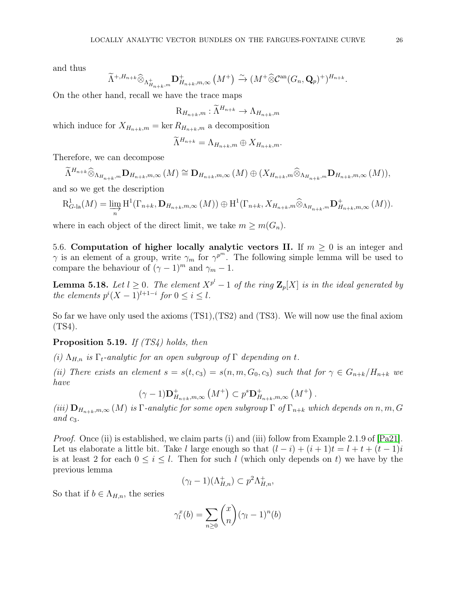and thus

$$
\widetilde{\Lambda}^{+,H_{n+k}} \widehat{\otimes}_{\Lambda^+_{H_{n+k},m}} \mathbf{D}^+_{H_{n+k},m,\infty} (M^+) \xrightarrow{\sim} (M^+ \widehat{\otimes} \mathcal{C}^{\mathrm{an}}(G_n, \mathbf{Q}_p)^+)^{H_{n+k}}.
$$

On the other hand, recall we have the trace maps

$$
\mathrm{R}_{H_{n+k},m}:\widetilde{\Lambda}^{H_{n+k}}\to\Lambda_{H_{n+k},m}
$$

which induce for  $X_{H_{n+k},m} = \ker R_{H_{n+k},m}$  a decomposition

$$
\widetilde{\Lambda}^{H_{n+k}} = \Lambda_{H_{n+k},m} \oplus X_{H_{n+k},m}.
$$

Therefore, we can decompose

 $\tilde{\Lambda}^{H_{n+k}} \widehat{\otimes}_{\Lambda_{H_{n+k},m}} \mathbf{D}_{H_{n+k},m,\infty}(M) \cong \mathbf{D}_{H_{n+k},m,\infty}(M) \oplus (X_{H_{n+k},m} \widehat{\otimes}_{\Lambda_{H_{n+k},m}} \mathbf{D}_{H_{n+k},m,\infty}(M)),$ 

and so we get the description

$$
\mathrm{R}_{G\text{-}la}^{1}(M) = \varinjlim_{n} \mathrm{H}^{1}(\Gamma_{n+k}, \mathbf{D}_{H_{n+k}, m, \infty}(M)) \oplus \mathrm{H}^{1}(\Gamma_{n+k}, X_{H_{n+k}, m} \widehat{\otimes}_{\Lambda_{H_{n+k}, m}} \mathbf{D}_{H_{n+k}, m, \infty}^{+}(M)).
$$

<span id="page-25-0"></span>where in each object of the direct limit, we take  $m \geq m(G_n)$ .

5.6. Computation of higher locally analytic vectors II. If  $m \geq 0$  is an integer and  $\gamma$  is an element of a group, write  $\gamma_m$  for  $\gamma^{p^m}$ . The following simple lemma will be used to compare the behaviour of  $(\gamma - 1)^m$  and  $\gamma_m - 1$ .

**Lemma 5.18.** Let  $l \geq 0$ . The element  $X^{p^l} - 1$  of the ring  $\mathbb{Z}_p[X]$  is in the ideal generated by the elements  $p^{i}(X-1)^{l+1-i}$  for  $0 \leq i \leq l$ .

So far we have only used the axioms (TS1),(TS2) and (TS3). We will now use the final axiom (TS4).

**Proposition 5.19.** If  $(TS4)$  holds, then

(i)  $\Lambda_{H,n}$  is  $\Gamma_t$ -analytic for an open subgroup of  $\Gamma$  depending on t.

(ii) There exists an element  $s = s(t, c_3) = s(n, m, G_0, c_3)$  such that for  $\gamma \in G_{n+k}/H_{n+k}$  we have

$$
(\gamma - 1)\mathbf{D}_{H_{n+k},m,\infty}^{+}\left(M^{+}\right) \subset p^{s}\mathbf{D}_{H_{n+k},m,\infty}^{+}\left(M^{+}\right).
$$

(iii)  $\mathbf{D}_{H_{n+k},m,\infty}(M)$  is  $\Gamma$ -analytic for some open subgroup  $\Gamma$  of  $\Gamma_{n+k}$  which depends on n, m, G and  $c_3$ .

*Proof.* Once (ii) is established, we claim parts (i) and (iii) follow from Example 2.1.9 of  $[Pa21]$ . Let us elaborate a little bit. Take l large enough so that  $(l - i) + (i + 1)t = l + t + (t - 1)i$ is at least 2 for each  $0 \leq i \leq l$ . Then for such l (which only depends on t) we have by the previous lemma

$$
(\gamma_l - 1)(\Lambda_{H,n}^+) \subset p^2 \Lambda_{H,n}^+,
$$

So that if  $b \in \Lambda_{H,n}$ , the series

$$
\gamma_l^x(b) = \sum_{n\geq 0} \binom{x}{n} (\gamma_l - 1)^n(b)
$$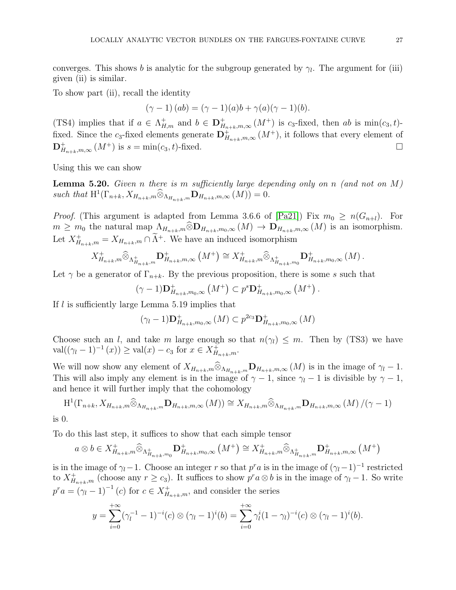converges. This shows b is analytic for the subgroup generated by  $\gamma_l$ . The argument for (iii) given (ii) is similar.

To show part (ii), recall the identity

$$
(\gamma - 1) (ab) = (\gamma - 1)(a)b + \gamma(a)(\gamma - 1)(b).
$$

(TS4) implies that if  $a \in \Lambda_{H,m}^+$  and  $b \in \mathbf{D}_{H_{n+k},m,\infty}^+(M^+)$  is  $c_3$ -fixed, then  $ab$  is  $\min(c_3,t)$ fixed. Since the c<sub>3</sub>-fixed elements generate  $\mathbf{D}^+_{H_{n+k},m,\infty}(M^+)$ , it follows that every element of  $\mathbf{D}^+_{H_{n+k},m,\infty}(M^+)$  is  $s = \min(c_3,t)$ -fixed.

Using this we can show

**Lemma 5.20.** Given n there is m sufficiently large depending only on n (and not on  $M$ ) such that  $H^1(\Gamma_{n+k}, X_{H_{n+k},m} \widehat{\otimes}_{\Lambda_{H_{n+k}},m} \mathbf{D}_{H_{n+k},m,\infty}(M)) = 0.$ 

*Proof.* (This argument is adapted from Lemma 3.6.6 of [\[Pa21\]](#page-43-9)) Fix  $m_0 \ge n(G_{n+l})$ . For  $m \geq m_0$  the natural map  $\Lambda_{H_{n+k},m} \widehat{\otimes} \mathbf{D}_{H_{n+k},m_0,\infty} (M) \to \mathbf{D}_{H_{n+k},m,\infty} (M)$  is an isomorphism. Let  $X^+_{H_{n+k},m} = X_{H_{n+k},m} \cap \tilde{\Lambda}^+$ . We have an induced isomorphism

$$
X_{H_{n+k},m}^{+} \widehat{\otimes}_{\Lambda_{H_{n+k},m}^{+}} \mathbf{D}_{H_{n+k},m,\infty}^{+} \left( M^{+} \right) \cong X_{H_{n+k},m}^{+} \widehat{\otimes}_{\Lambda_{H_{n+k},m_0}^{+}} \mathbf{D}_{H_{n+k},m_0,\infty}^{+} \left( M \right).
$$

Let  $\gamma$  be a generator of  $\Gamma_{n+k}$ . By the previous proposition, there is some s such that

$$
(\gamma - 1)\mathbf{D}^+_{H_{n+k},m_0,\infty} (M^+) \subset p^s \mathbf{D}^+_{H_{n+k},m_0,\infty} (M^+).
$$

If l is sufficiently large Lemma 5.19 implies that

$$
(\gamma_l - 1) \mathbf{D}_{H_{n+k}, m_0, \infty}^+(M) \subset p^{2c_3} \mathbf{D}_{H_{n+k}, m_0, \infty}^+(M)
$$

Choose such an l, and take m large enough so that  $n(\gamma_l) \leq m$ . Then by (TS3) we have  $\operatorname{val}((\gamma_l - 1)^{-1}(x)) \ge \operatorname{val}(x) - c_3 \text{ for } x \in X^+_{H_{n+k},m}.$ 

We will now show any element of  $X_{H_{n+k},m} \otimes_{\Lambda_{H_{n+k},m}} \mathbf{D}_{H_{n+k},m,\infty}(M)$  is in the image of  $\gamma_l - 1$ . This will also imply any element is in the image of  $\gamma - 1$ , since  $\gamma_l - 1$  is divisible by  $\gamma - 1$ , and hence it will further imply that the cohomology

$$
H^{1}(\Gamma_{n+k}, X_{H_{n+k}, m} \widehat{\otimes}_{\Lambda_{H_{n+k}}, m} \mathbf{D}_{H_{n+k}, m,\infty}(M)) \cong X_{H_{n+k}, m} \widehat{\otimes}_{\Lambda_{H_{n+k}}, m} \mathbf{D}_{H_{n+k}, m,\infty}(M) / (\gamma - 1)
$$

is 0.

To do this last step, it suffices to show that each simple tensor

$$
a \otimes b \in X^+_{H_{n+k},m} \widehat{\otimes}_{\Lambda^+_{H_{n+k},m_0}} \mathbf{D}^+_{H_{n+k},m_0,\infty} (M^+) \cong X^+_{H_{n+k},m} \widehat{\otimes}_{\Lambda^+_{H_{n+k},m}} \mathbf{D}^+_{H_{n+k},m,\infty} (M^+)
$$

is in the image of  $\gamma_l-1$ . Choose an integer r so that  $p^r a$  is in the image of  $(\gamma_l-1)^{-1}$  restricted to  $X^+_{H_{n+k},m}$  (choose any  $r \geq c_3$ ). It suffices to show  $p^r a \otimes b$  is in the image of  $\gamma_i - 1$ . So write  $p^r a = (\gamma_l - 1)^{-1} (c)$  for  $c \in X^+_{H_{n+k},m}$ , and consider the series

$$
y = \sum_{i=0}^{+\infty} (\gamma_i^{-1} - 1)^{-i} (c) \otimes (\gamma_i - 1)^i (b) = \sum_{i=0}^{+\infty} \gamma_i^i (1 - \gamma_i)^{-i} (c) \otimes (\gamma_i - 1)^i (b).
$$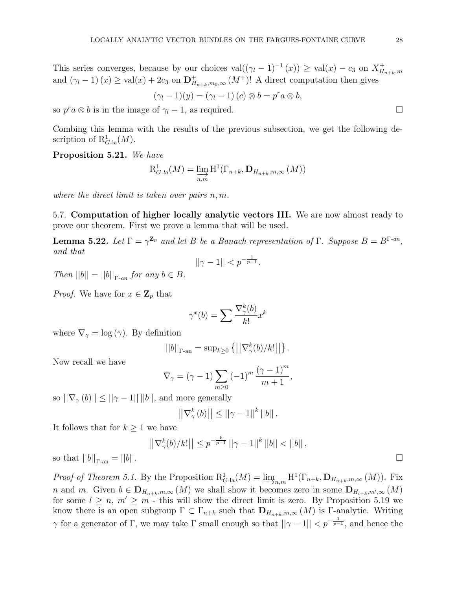This series converges, because by our choices  $val((\gamma_l - 1)^{-1}(x)) \geq val(x) - c_3$  on  $X_H^+$  $H_{n+k},m$ and  $(\gamma_l - 1)(x) \ge \text{val}(x) + 2c_3$  on  $\mathbf{D}_{H_{n+k},m_0,\infty}^+(M^+)!$  A direct computation then gives

$$
(\gamma_l - 1)(y) = (\gamma_l - 1) (c) \otimes b = p^r a \otimes b,
$$

so  $p^r a \otimes b$  is in the image of  $\gamma_l - 1$ , as required.

Combing this lemma with the results of the previous subsection, we get the following description of  $R_{G\text{-la}}^1(M)$ .

Proposition 5.21. We have

$$
\mathrm{R}_{G\text{-}la}^{1}(M) = \varinjlim_{n,m} \mathrm{H}^{1}(\Gamma_{n+k}, \mathbf{D}_{H_{n+k},m,\infty}(M))
$$

<span id="page-27-0"></span>where the direct limit is taken over pairs  $n, m$ .

5.7. Computation of higher locally analytic vectors III. We are now almost ready to prove our theorem. First we prove a lemma that will be used.

**Lemma 5.22.** Let  $\Gamma = \gamma^{\mathbf{Z}_p}$  and let B be a Banach representation of  $\Gamma$ . Suppose  $B = B^{\Gamma - an}$ , and that

$$
||\gamma - 1|| < p^{-\frac{1}{p-1}}.
$$

Then  $||b|| = ||b||_{\Gamma_{\text{max}}}$  for any  $b \in B$ .

*Proof.* We have for  $x \in \mathbb{Z}_p$  that

$$
\gamma^x(b) = \sum \frac{\nabla^k_\gamma(b)}{k!} x^k
$$

where  $\nabla_{\gamma} = \log(\gamma)$ . By definition

$$
||b||_{\Gamma\text{-an}} = \sup_{k\geq 0} \left\{ \left| \left| \nabla_{\gamma}^k(b) / k! \right| \right| \right\}
$$

Now recall we have

$$
\nabla_{\gamma} = (\gamma - 1) \sum_{m \ge 0} (-1)^m \frac{(\gamma - 1)^m}{m + 1},
$$

so  $||\nabla_{\gamma}(b)|| \le ||\gamma - 1|| ||b||$ , and more generally

$$
\left|\left|\nabla_{\gamma}^{k}\left(b\right)\right|\right| \leq \left|\left|\gamma-1\right|\right|^{k}\left|\left|b\right|\right|.
$$

It follows that for  $k \geq 1$  we have

$$
\left| |\nabla_{\gamma}^{k}(b)/k!| \right| \le p^{-\frac{k}{p-1}} \left| |\gamma - 1| \right|^{k} \left| |b| \right| < \left| |b| \right|,
$$
\n
$$
\left| |b| \right|.
$$

.

so that  $||b||_{\Gamma_{\text{can}}} =$ 

Proof of Theorem 5.1. By the Proposition  $R_{G\text{-la}}^1(M) = \varinjlim_{n,m} H^1(\Gamma_{n+k}, \mathbf{D}_{H_{n+k},m,\infty}(M))$ . Fix n and m. Given  $b \in D_{H_{n+k},m,\infty}(M)$  we shall show it becomes zero in some  $D_{H_{l+k},m',\infty}(M)$ for some  $l \geq n$ ,  $m' \geq m$  - this will show the direct limit is zero. By Proposition 5.19 we know there is an open subgroup  $\Gamma \subset \Gamma_{n+k}$  such that  $\mathbf{D}_{H_{n+k},m,\infty}(M)$  is  $\Gamma$ -analytic. Writing  $\gamma$  for a generator of Γ, we may take Γ small enough so that  $||\gamma - 1|| < p^{-\frac{1}{p-1}}$ , and hence the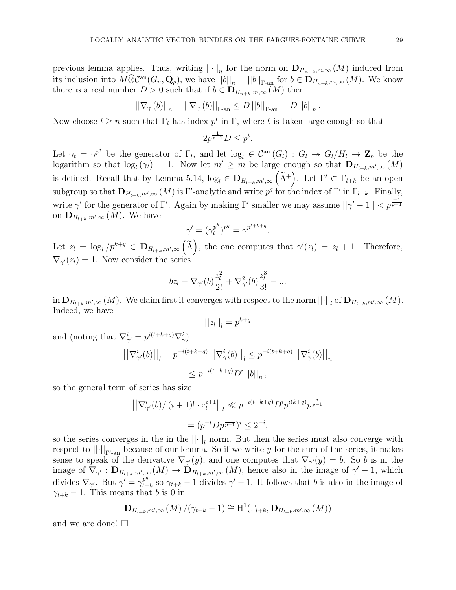previous lemma applies. Thus, writing  $||\cdot||_n$  for the norm on  $\mathbf{D}_{H_{n+k},m,\infty}(M)$  induced from its inclusion into  $M\widehat{\otimes} \mathcal{C}^{\mathrm{an}}(G_n, \mathbf{Q}_p)$ , we have  $||b||_n = ||b||_{\Gamma_{\mathrm{an}}}$  for  $b \in \mathbf{D}_{H_{n+k},m,\infty}(M)$ . We know there is a real number  $D > 0$  such that if  $b \in D_{H_{n+k},m,\infty}(M)$  then

$$
||\nabla_{\gamma}(b)||_{n} = ||\nabla_{\gamma}(b)||_{\Gamma_{\text{an}}} \leq D ||b||_{\Gamma_{\text{an}}} = D ||b||_{n}.
$$

Now choose  $l \geq n$  such that  $\Gamma_l$  has index  $p^t$  in  $\Gamma$ , where t is taken large enough so that

$$
2p^{\frac{1}{p-1}}D \leq p^t.
$$

Let  $\gamma_t = \gamma^{p^t}$  be the generator of  $\Gamma_l$ , and let  $\log_l \in C^{\text{an}}(G_l) : G_l \to G_l/H_l \to \mathbb{Z}_p$  be the logarithm so that  $log_l(\gamma_t) = 1$ . Now let  $m' \geq m$  be large enough so that  $\mathbf{D}_{H_{l+k},m',\infty}(M)$ is defined. Recall that by Lemma 5.14,  $log_l \in D_{H_{l+k},m',\infty}$  $(\widetilde{\Lambda}^+)$ . Let  $\Gamma' \subset \Gamma_{l+k}$  be an open subgroup so that  $\mathbf{D}_{H_{l+k},m',\infty}(M)$  is  $\Gamma'$ -analytic and write  $p^q$  for the index of  $\Gamma'$  in  $\Gamma_{l+k}$ . Finally, write  $\gamma'$  for the generator of Γ'. Again by making Γ' smaller we may assume  $||\gamma' - 1|| < p^{\frac{-1}{p-1}}$ on  $\mathbf{D}_{H_{l+k},m',\infty}(M)$ . We have

$$
\gamma' = (\gamma_t^{p^k})^{p^q} = \gamma^{p^{t+k+q}}.
$$

Let  $z_l = \log_l/p^{k+q} \in \mathbf{D}_{H_{l+k},m',\infty}$  $(\widetilde{\Lambda})$ , the one computes that  $\gamma'(z_l) = z_l + 1$ . Therefore,  $\nabla_{\gamma'}(z_l) = 1$ . Now consider the series

$$
bz_l - \nabla_{\gamma'}(b)\frac{z_l^2}{2!} + \nabla_{\gamma'}^2(b)\frac{z_l^3}{3!} - \dots
$$

in  $\mathbf{D}_{H_{l+k},m',\infty}(M)$ . We claim first it converges with respect to the norm  $||\cdot||_l$  of  $\mathbf{D}_{H_{l+k},m',\infty}(M)$ . Indeed, we have

$$
||z_l||_l = p^{k+q}
$$

and (noting that  $\nabla_{\gamma'}^i = p^{i(t+k+q)} \nabla_{\gamma}^i$ )

$$
\left| \left| \nabla_{\gamma'}^{i}(b) \right| \right|_{l} = p^{-i(t+k+q)} \left| \left| \nabla_{\gamma}^{i}(b) \right| \right|_{l} \leq p^{-i(t+k+q)} \left| \left| \nabla_{\gamma}^{i}(b) \right| \right|_{n}
$$
  

$$
\leq p^{-i(t+k+q)} D^{i} \left| |b| \right|_{n},
$$

so the general term of series has size

$$
\left| \left| \nabla_{\gamma'}^{i}(b) / (i+1)! \cdot z_{l}^{i+1} \right| \right|_{l} \ll p^{-i(t+k+q)} D^{i} p^{i(k+q)} p^{\frac{i}{p-1}}
$$

$$
= (p^{-t} D p^{\frac{1}{p-1}})^{i} \leq 2^{-i},
$$

so the series converges in the in the  $||\cdot||_l$  norm. But then the series must also converge with respect to  $|| \cdot ||_{\Gamma'_{\text{can}}}$  because of our lemma. So if we write y for the sum of the series, it makes sense to speak of the derivative  $\nabla_{\gamma}(y)$ , and one computes that  $\nabla_{\gamma}(y) = b$ . So b is in the image of  $\nabla_{\gamma'} : \mathbf{D}_{H_{l+k},m',\infty}(M) \to \mathbf{D}_{H_{l+k},m',\infty}(M)$ , hence also in the image of  $\gamma'-1$ , which divides  $\nabla_{\gamma'}$ . But  $\gamma' = \gamma_{t+1}^{p^q}$  $t_{t+k}^{\mathcal{P}^*}$  so  $\gamma_{t+k}-1$  divides  $\gamma'-1$ . It follows that b is also in the image of  $\gamma_{t+k}$  – 1. This means that b is 0 in

$$
\mathbf{D}_{H_{l+k},m',\infty}(M)/(\gamma_{t+k}-1) \cong \mathrm{H}^1(\Gamma_{l+k},\mathbf{D}_{H_{l+k},m',\infty}(M))
$$

and we are done!  $\square$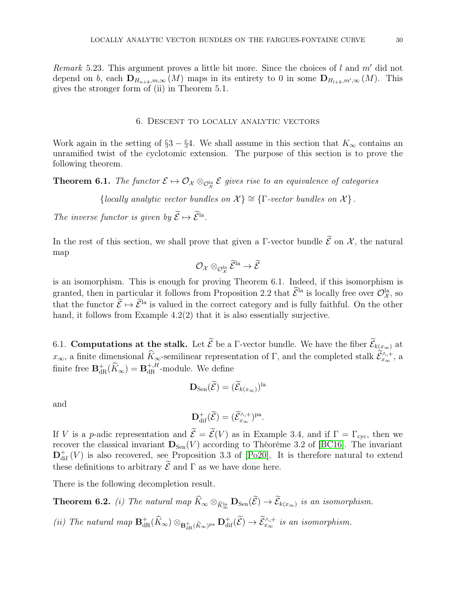<span id="page-29-0"></span>*Remark* 5.23. This argument proves a little bit more. Since the choices of l and m' did not depend on b, each  $\mathbf{D}_{H_{n+k},m,\infty}(M)$  maps in its entirety to 0 in some  $\mathbf{D}_{H_{l+k},m',\infty}(M)$ . This gives the stronger form of (ii) in Theorem 5.1.

### 6. Descent to locally analytic vectors

Work again in the setting of §3 – §4. We shall assume in this section that  $K_{\infty}$  contains an unramified twist of the cyclotomic extension. The purpose of this section is to prove the following theorem.

**Theorem 6.1.** The functor  $\mathcal{E} \mapsto \mathcal{O}_{\mathcal{X}} \otimes_{\mathcal{O}^{\text{la}}_{\mathcal{X}}} \mathcal{E}$  gives rise to an equivalence of categories

{locally analytic vector bundles on  $\mathcal{X}$ }  $\cong$  { $\Gamma$ -vector bundles on  $\mathcal{X}$ }.

The inverse functor is given by  $\mathcal{E} \mapsto \mathcal{E}^{\text{la}}$ .

In the rest of this section, we shall prove that given a Γ-vector bundle  $\tilde{\mathcal{E}}$  on  $\mathcal{X}$ , the natural map

$$
\mathcal{O}_{\mathcal{X}}\otimes_{\mathcal{O}_\mathcal{X}^{\mathrm{la}}} \widetilde{\mathcal{E}}^{\mathrm{la}} \rightarrow \widetilde{\mathcal{E}}
$$

is an isomorphism. This is enough for proving Theorem 6.1. Indeed, if this isomorphism is granted, then in particular it follows from Proposition 2.2 that  $\mathcal{E}^{\text{la}}$  is locally free over  $\mathcal{O}_{\mathcal{X}}^{\text{la}}$ , so that the functor  $\widetilde{\mathcal{E}} \mapsto \widetilde{\mathcal{E}}^{1a}$  is valued in the correct category and is fully faithful. On the other hand, it follows from Example 4.2(2) that it is also essentially surjective.

<span id="page-29-1"></span>6.1. **Computations at the stalk.** Let  $\mathcal{E}$  be a Γ-vector bundle. We have the fiber  $\mathcal{E}_{k(\underline{x}, \infty)}$  at  $x_{\infty}$ , a finite dimensional  $\hat{K}_{\infty}$ -semilinear representation of Γ, and the completed stalk  $\hat{\mathcal{E}}_{x_{\infty}}^{\wedge,+}$ , a finite free  $\mathbf{B}^+_{\text{dR}}(\widehat{K}_{\infty}) = \mathbf{B}^{+,H}_{\text{dR}}$ -module. We define

$$
\mathbf{D}_{\mathrm{Sen}}(\widetilde{\mathcal{E}}) = (\widetilde{\mathcal{E}}_{k(x_\infty)})^{\mathrm{la}}
$$

and

$$
\mathbf{D}_{\mathrm{dif}}^{+}(\widetilde{\mathcal{E}}) = (\widetilde{\mathcal{E}}_{x_{\infty}}^{\wedge,+})^{\mathrm{pa}}.
$$

If V is a p-adic representation and  $\widetilde{\mathcal{E}} = \widetilde{\mathcal{E}}(V)$  as in Example 3.4, and if  $\Gamma = \Gamma_{\text{cyc}}$ , then we recover the classical invariant  $\mathbf{D}_{\text{Sen}}(V)$  according to Théorème 3.2 of [\[BC16\]](#page-43-8). The invariant  $\mathbf{D}_{\text{dif}}^{+}(V)$  is also recovered, see Proposition 3.3 of [\[Po20\]](#page-43-18). It is therefore natural to extend these definitions to arbitrary  $\mathcal E$  and  $\Gamma$  as we have done here.

There is the following decompletion result.

**Theorem 6.2.** (i) The natural map  $K_{\infty} \otimes_{\widehat{K}_{\infty}^{\text{la}}} \mathbf{D}_{\text{Sen}}(\mathcal{E}) \to \mathcal{E}_{k(x_{\infty})}$  is an isomorphism.

(ii) The natural map  $\mathbf{B}^+_{dR}(\hat{K}_{\infty}) \otimes_{\mathbf{B}^+_{dR}(\hat{K}_{\infty})^{\text{pa}}} \mathbf{D}^+_{dR}(\mathcal{E}) \to \mathcal{E}_{x_{\infty}}^{\wedge,+}$  is an isomorphism.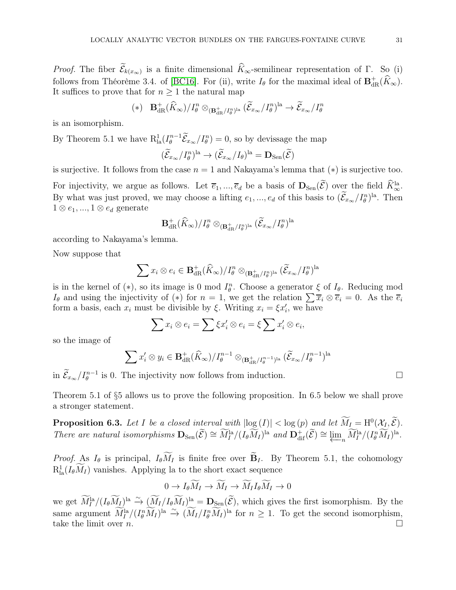*Proof.* The fiber  $\mathcal{E}_{k(x_{\infty})}$  is a finite dimensional  $K_{\infty}$ -semilinear representation of Γ. So (i) follows from Théorème 3.4. of [\[BC16\]](#page-43-8). For (ii), write  $I_{\theta}$  for the maximal ideal of  $\mathbf{B}^+_{dR}(\widehat{K}_{\infty})$ . It suffices to prove that for  $n \geq 1$  the natural map

$$
(*)\quad\mathbf{B}_{\mathrm{dR}}^+(\widehat{K}_{\infty})/I_{\theta}^n\otimes_{(\mathbf{B}_{\mathrm{dR}}^+/I_{\theta}^n)^{\mathrm{la}}}(\widetilde{\mathcal{E}}_{x_{\infty}}/I_{\theta}^n)^{\mathrm{la}}\rightarrow\widetilde{\mathcal{E}}_{x_{\infty}}/I_{\theta}^n
$$

is an isomorphism.

By Theorem 5.1 we have  $R_{1a}^1(I_\theta^{n-1}\tilde{\mathcal{E}}_{x_\infty}/I_\theta^n)=0$ , so by devissage the map

$$
(\widetilde{\mathcal{E}}_{x_{\infty}}/I_{\theta}^{n})^{\text{la}} \to (\widetilde{\mathcal{E}}_{x_{\infty}}/I_{\theta})^{\text{la}} = \mathbf{D}_{\text{Sen}}(\widetilde{\mathcal{E}})
$$

is surjective. It follows from the case  $n = 1$  and Nakayama's lemma that  $(*)$  is surjective too.

For injectivity, we argue as follows. Let  $\overline{e}_1, ..., \overline{e}_d$  be a basis of  $\mathbf{D}_{\text{Sen}}(\mathcal{E})$  over the field  $\widetilde{K}_{\infty}^{\text{la}}$ . By what was just proved, we may choose a lifting  $e_1, ..., e_d$  of this basis to  $(\mathcal{E}_{x_\infty}/I_\theta^n)^{\text{la}}$ . Then  $1 \otimes e_1, ..., 1 \otimes e_d$  generate

$$
{\bf B}_{{\rm dR}}^+(\widehat{K}_{\infty})/I_{\theta}^n\otimes_{{({\bf B}_{{\rm dR}}^+/I_{\theta}^n})^{\rm la}}(\widetilde{\mathcal{E}}_{x_{\infty}}/I_{\theta}^n)^{\rm la}
$$

according to Nakayama's lemma.

Now suppose that

$$
\sum x_i \otimes e_i \in \mathbf{B}_{\mathrm{dR}}^+(\widehat{K}_{\infty})/I_{\theta}^n \otimes_{(\mathbf{B}_{\mathrm{dR}}^+/I_{\theta}^n)^{\mathrm{la}}} (\widetilde{\mathcal{E}}_{x_{\infty}}/I_{\theta}^n)^{\mathrm{la}}
$$

is in the kernel of (\*), so its image is 0 mod  $I_{\theta}^{n}$ . Choose a generator  $\xi$  of  $I_{\theta}$ . Reducing mod I<sub>θ</sub> and using the injectivity of (\*) for  $n = 1$ , we get the relation  $\sum \overline{x}_i \otimes \overline{e}_i = 0$ . As the  $\overline{e}_i$ form a basis, each  $x_i$  must be divisible by  $\xi$ . Writing  $x_i = \xi x'_i$ , we have

$$
\sum x_i \otimes e_i = \sum \xi x_i' \otimes e_i = \xi \sum x_i' \otimes e_i,
$$

so the image of

$$
\sum x_i' \otimes y_i \in \mathbf{B}_{\mathrm{dR}}^+(\widehat{K}_{\infty})/I_{\theta}^{n-1} \otimes_{(\mathbf{B}_{\mathrm{dR}}^+/I_{\theta}^{n-1})^{\mathrm{la}}} (\widetilde{\mathcal{E}}_{x_{\infty}}/I_{\theta}^{n-1})^{\mathrm{la}}
$$

in  $\widetilde{\mathcal{E}}_{x_{\infty}}/I_{\theta}^{n-1}$  is 0. The injectivity now follows from induction.

Theorem 5.1 of §5 allows us to prove the following proposition. In 6.5 below we shall prove a stronger statement.

**Proposition 6.3.** Let I be a closed interval with  $|\log(I)| < \log(p)$  and let  $M_I = H^0(\mathcal{X}_I, \mathcal{E})$ . There are natural isomorphisms  $\mathbf{D}_{\text{Sen}}(\widetilde{\mathcal{E}}) \cong \widetilde{M}_I^{\text{la}}/(I_\theta \widetilde{M}_I)^{\text{la}}$  and  $\mathbf{D}_{\text{dif}}^+(\widetilde{\mathcal{E}}) \cong \varprojlim_n \widetilde{M}_I^{\text{la}}/(I_\theta^n \widetilde{M}_I)^{\text{la}}$ .

*Proof.* As  $I_{\theta}$  is principal,  $I_{\theta} \widetilde{M}_I$  is finite free over  $\widetilde{B}_I$ . By Theorem 5.1, the cohomology  $R_{la}^{1}(I_{\theta}M_{I})$  vanishes. Applying la to the short exact sequence

$$
0 \to I_{\theta} \bar{M}_I \to \bar{M}_I \to \bar{M}_I I_{\theta} \bar{M}_I \to 0
$$

we get  $M_I^{\text{la}}/(I_{\theta}M_I)^{\text{la}} \stackrel{\sim}{\rightarrow} (M_I/I_{\theta}M_I)^{\text{la}} = \mathbf{D}_{\text{Sen}}(\mathcal{E}),$  which gives the first isomorphism. By the same argument  $M_I^{\text{la}}/(I_\theta^n M_I)^{\text{la}} \stackrel{\sim}{\to} (M_I/I_\theta^n M_I)^{\text{la}}$  for  $n \geq 1$ . To get the second isomorphism, take the limit over  $n$ .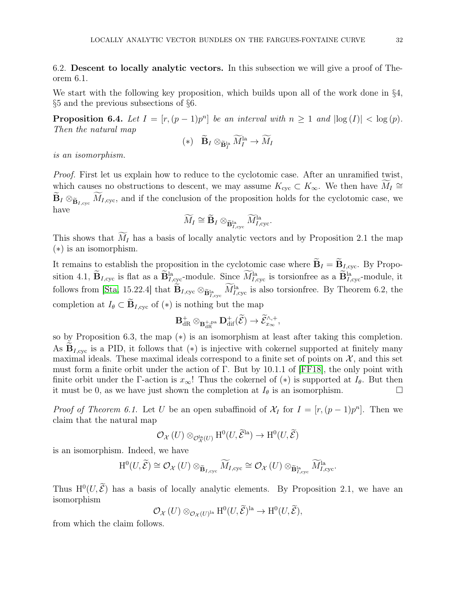<span id="page-31-0"></span>6.2. Descent to locally analytic vectors. In this subsection we will give a proof of Theorem 6.1.

We start with the following key proposition, which builds upon all of the work done in §4, §5 and the previous subsections of §6.

**Proposition 6.4.** Let  $I = [r, (p-1)p^n]$  be an interval with  $n \ge 1$  and  $|\log(I)| < \log(p)$ . Then the natural map

$$
(*) \quad \widetilde{\mathbf{B}}_I \otimes_{\widetilde{\mathbf{B}}_I^{\text{la}}} \widetilde{M}_I^{\text{la}} \to \widetilde{M}_I
$$

is an isomorphism.

Proof. First let us explain how to reduce to the cyclotomic case. After an unramified twist, which causes no obstructions to descent, we may assume  $K_{\text{cyc}} \subset K_{\infty}$ . We then have  $M_I \cong$  $\widetilde{\mathbf{B}}_I \otimes_{\widetilde{\mathbf{B}}_{I,\text{cyc}}} \widetilde{M}_{I,\text{cyc}}$ , and if the conclusion of the proposition holds for the cyclotomic case, we have

$$
\widetilde{M}_I \cong {\widetilde{\bf{B}}}_I \otimes_{{\widetilde{\bf{B}}}_{I,\rm cyc}^{\rm la}} \widetilde{M}_{I,\rm cyc}^{\rm la}.
$$

This shows that  $\widetilde{M}_I$  has a basis of locally analytic vectors and by Proposition 2.1 the map (∗) is an isomorphism.

It remains to establish the proposition in the cyclotomic case where  $\mathbf{B}_I = \mathbf{B}_{I,\text{cyc}}$ . By Proposition 4.1,  $\mathbf{B}_{I,\text{cyc}}$  is flat as a  $\mathbf{B}_{I,\text{cyc}}^{\text{la}}$ -module. Since  $M_{I,\text{cyc}}^{\text{la}}$  is torsionfree as a  $\mathbf{B}_{I,\text{cyc}}^{\text{la}}$ -module, it follows from [\[Sta,](#page-44-3) 15.22.4] that  $B_{I,\text{cyc}} \otimes_{\tilde{B}_{I,\text{cyc}}^{la}} M_{I,\text{cyc}}^{la}$  is also torsionfree. By Theorem 6.2, the completion at  $I_{\theta} \subset \widetilde{\mathbf{B}}_{I,\text{cyc}}$  of  $(*)$  is nothing but the map

$$
{\bf B}_{{\rm dR}}^+\otimes_{{\bf B}_{{\rm dR}}^{+, {\rm pa}}} {\bf D}_{{\rm dif}}^+(\widetilde{\mathcal{E}})\to \widetilde{\mathcal{E}}^{\wedge,+}_{x_\infty},
$$

so by Proposition 6.3, the map (∗) is an isomorphism at least after taking this completion. As  $B_{I,\text{cyc}}$  is a PID, it follows that (\*) is injective with cokernel supported at finitely many maximal ideals. These maximal ideals correspond to a finite set of points on  $\mathcal{X}$ , and this set must form a finite orbit under the action of Γ. But by 10.1.1 of [\[FF18\]](#page-43-12), the only point with finite orbit under the Γ-action is  $x_{\infty}$ ! Thus the cokernel of (\*) is supported at  $I_{\theta}$ . But then it must be 0, as we have just shown the completion at  $I_{\theta}$  is an isomorphism. it must be 0, as we have just shown the completion at  $I_{\theta}$  is an isomorphism.

*Proof of Theorem 6.1.* Let U be an open subaffinoid of  $\mathcal{X}_I$  for  $I = [r,(p-1)p^n]$ . Then we claim that the natural map

$$
\mathcal{O}_{\mathcal{X}}\left(U\right) \otimes_{\mathcal{O}_{\mathcal{X}}^{\text{la}}\left(U\right)} \text{H}^{0}\left(U,\widetilde{\mathcal{E}}^{\text{la}}\right) \to \text{H}^{0}\left(U,\widetilde{\mathcal{E}}\right)
$$

is an isomorphism. Indeed, we have

$$
\mathrm{H}^{0}(U,\widetilde{\mathcal{E}})\cong \mathcal{O}_{\mathcal{X}}(U)\otimes_{\widetilde{\mathbf{B}}_{I,\mathrm{cyc}}}\widetilde{M}_{I,\mathrm{cyc}}\cong \mathcal{O}_{\mathcal{X}}(U)\otimes_{\widetilde{\mathbf{B}}_{I,\mathrm{cyc}}^{\mathrm{la}}}\widetilde{M}_{I,\mathrm{cyc}}^{\mathrm{la}}.
$$

Thus  $H^0(U, \mathcal{E})$  has a basis of locally analytic elements. By Proposition 2.1, we have an isomorphism

$$
\mathcal{O}_{\mathcal{X}}(U) \otimes_{\mathcal{O}_{\mathcal{X}}(U)^{\text{la}}} \mathrm{H}^{0}(U, \widetilde{\mathcal{E}})^{\text{la}} \to \mathrm{H}^{0}(U, \widetilde{\mathcal{E}}),
$$

from which the claim follows.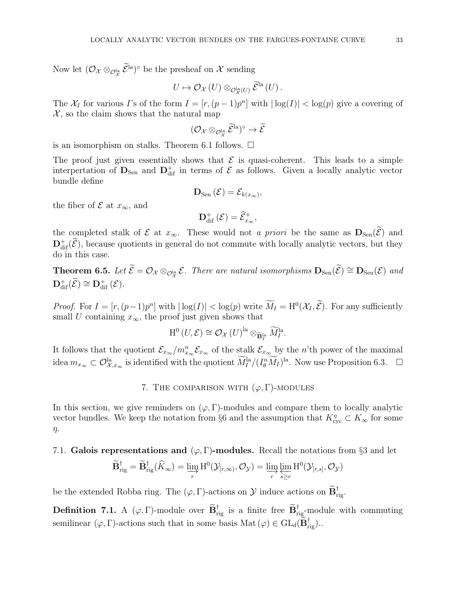Now let  $(\mathcal{O}_{\mathcal{X}} \otimes_{\mathcal{O}_{\mathcal{X}}^{\text{la}}} \mathcal{E}^{\text{la}})^{\circ}$  be the presheaf on  $\mathcal{X}$  sending

$$
U\mapsto \mathcal{O}_{\mathcal{X}}\left(U\right)\otimes_{\mathcal{O}^{\mathrm{la}}_{\mathcal{X}}\left(U\right)}\widetilde{\mathcal{E}}^{\mathrm{la}}\left(U\right).
$$

The  $\mathcal{X}_I$  for various I's of the form  $I = [r,(p-1)p^n]$  with  $|\log(I)| < \log(p)$  give a covering of  $\mathcal{X}$ , so the claim shows that the natural map

$$
(\mathcal{O}_{\mathcal{X}}\otimes_{\mathcal{O}_\mathcal{X}^{\mathrm{la}}}\widetilde{\mathcal{E}}^{\mathrm{la}})^\circ\to\widetilde{\mathcal{E}}
$$

is an isomorphism on stalks. Theorem 6.1 follows.  $\Box$ 

The proof just given essentially shows that  $\mathcal E$  is quasi-coherent. This leads to a simple interpertation of  $D_{\text{Sen}}$  and  $D_{\text{dif}}^{+}$  in terms of  $\mathcal{E}$  as follows. Given a locally analytic vector bundle define

$$
\mathbf{D}_{\text{Sen}}\left(\mathcal{E}\right)=\mathcal{E}_{k(x_{\infty})},
$$

the fiber of  $\mathcal E$  at  $x_{\infty}$ , and

$$
\mathbf{D}^+_{\text{dif}}(\mathcal{E}) = \widehat{\mathcal{E}}^+_{x_{\infty}},
$$

the completed stalk of E at  $x_{\infty}$ . These would not a priori be the same as  $D_{Sen}(\tilde{\mathcal{E}})$  and  $\mathbf{D}^{\dagger}_{\text{dif}}(\tilde{\mathcal{E}})$ , because quotients in general do not commute with locally analytic vectors, but they do in this case.

**Theorem 6.5.** Let  $\mathcal{E} = \mathcal{O}_{\mathcal{X}} \otimes_{\mathcal{O}_{\mathcal{X}}^{\text{la}}} \mathcal{E}$ . There are natural isomorphisms  $\mathbf{D}_{\text{Sen}}(\mathcal{E}) \cong \mathbf{D}_{\text{Sen}}(\mathcal{E})$  and  $\mathbf{D}_\mathrm{dif}^+(\widetilde{\mathcal{E}}) \cong \mathbf{D}_\mathrm{dif}^+(\mathcal{E}).$ 

*Proof.* For  $I = [r, (p-1)p^n]$  with  $|\log(I)| < \log(p)$  write  $M_I = H^0(\mathcal{X}_I, \mathcal{E})$ . For any sufficiently small U containing  $x_{\infty}$ , the proof just given shows that

$$
\mathrm{H}^{0}(U,\mathcal{E})\cong \mathcal{O}_{\mathcal{X}}(U)^{\mathrm{la}} \otimes_{\widetilde{\mathbf{B}}_{I}^{\mathrm{la}}} \widetilde{M}_{I}^{\mathrm{la}}.
$$

<span id="page-32-0"></span>It follows that the quotient  $\mathcal{E}_{x_\infty}/m_{x_\infty}^n \mathcal{E}_{x_\infty}$  of the stalk  $\mathcal{E}_{x_\infty}$  by the n'th power of the maximal idea  $m_{x_{\infty}} \subset \mathcal{O}_{\mathcal{X},x_{\infty}}^{\text{la}}$  is identified with the quotient  $\widetilde{M}_I^{\text{la}}/(I_{\theta}^n \widetilde{M}_I)^{\text{la}}$ . Now use Proposition 6.3.  $\Box$ 

# 7. THE COMPARISON WITH  $(\varphi, \Gamma)$ -MODULES

In this section, we give reminders on  $(\varphi, \Gamma)$ -modules and compare them to locally analytic vector bundles. We keep the notation from §6 and the assumption that  $K_{\text{cyc}}^{\eta} \subset K_{\infty}$  for some η.

<span id="page-32-1"></span>7.1. Galois representations and  $(\varphi, \Gamma)$ -modules. Recall the notations from §3 and let

$$
\widetilde{\mathbf{B}}_{\mathrm{rig}}^{\dagger}=\widetilde{\mathbf{B}}_{\mathrm{rig}}^{\dagger}(\widehat{K}_{\infty})=\varinjlim_{r} \mathrm{H}^{0}(\mathcal{Y}_{[r,\infty)},\mathcal{O}_{\mathcal{Y}})=\varinjlim_{r} \varprojlim_{s\geq r} \mathrm{H}^{0}(\mathcal{Y}_{[r,s]},\mathcal{O}_{\mathcal{Y}})
$$

be the extended Robba ring. The  $(\varphi, \Gamma)$ -actions on  $\mathcal{Y}$  induce actions on  $\mathbf{B}^{\dagger}_{\text{rig}}$ .

**Definition 7.1.** A  $(\varphi, \Gamma)$ -module over  $\mathbf{B}^{\dagger}_{\text{rig}}$  is a finite free  $\mathbf{B}^{\dagger}_{\text{rig}}$ -module with commuting semilinear  $(\varphi, \Gamma)$ -actions such that in some basis Mat  $(\varphi) \in GL_d(\mathbf{B}_{\text{rig}}^{\text{T}})$ .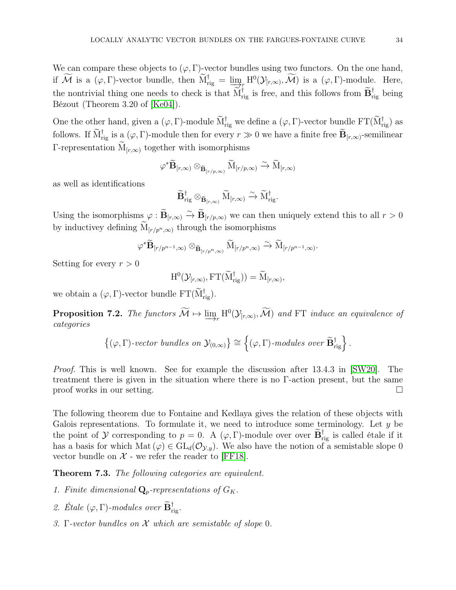We can compare these objects to  $(\varphi, \Gamma)$ -vector bundles using two functors. On the one hand, if M is a  $(\varphi, \Gamma)$ -vector bundle, then  $\overline{M}_{\text{rig}}^{\dagger} = \underline{\lim}_{\substack{\longrightarrow \\ \longrightarrow}} H^0(\mathcal{Y}_{[r,\infty)}, \mathcal{M})$  is a  $(\varphi, \Gamma)$ -module. Here, the nontrivial thing one needs to check is that  $M_{\text{rig}}^{\text{I}}$  is free, and this follows from  $B_{\text{rig}}^{\text{I}}$  being Bézout (Theorem 3.20 of [\[Ke04\]](#page-43-19)).

One the other hand, given a  $(\varphi, \Gamma)$ -module  $M_{\text{rig}}^{\dagger}$  we define a  $(\varphi, \Gamma)$ -vector bundle  $\text{FT}(M_{\text{rig}}^{\dagger})$  as follows. If  $M_{\text{rig}}^{\dagger}$  is a  $(\varphi, \Gamma)$ -module then for every  $r \gg 0$  we have a finite free  $B_{[r,\infty)}$ -semilinear Γ-representation  $\widetilde{M}_{[r,\infty)}$  together with isomorphisms

$$
\varphi^* \widetilde{\mathbf{B}}_{[r,\infty)} \otimes_{\widetilde{\mathbf{B}}_{[r/p,\infty)}} \widetilde{\mathrm{M}}_{[r/p,\infty)} \xrightarrow{\sim} \widetilde{\mathrm{M}}_{[r,\infty)}
$$

as well as identifications

$$
\widetilde{\mathbf{B}}_{\mathrm{rig}}^\dagger \otimes_{\widetilde{\mathbf{B}}_{[r,\infty)}} \widetilde{M}_{[r,\infty)} \xrightarrow{\sim} \widetilde{M}_{\mathrm{rig}}^\dagger.
$$

Using the isomorphisms  $\varphi : \mathbf{B}_{[r,\infty)} \xrightarrow{\sim} \mathbf{B}_{[r/p,\infty)}$  we can then uniquely extend this to all  $r > 0$ by inductivey defining  $\widetilde{M}_{[r/p^n,\infty)}$  through the isomorphisms

$$
\varphi^* \widetilde{\mathbf{B}}_{[r/p^{n-1},\infty)} \otimes_{\widetilde{\mathbf{B}}_{[r/p^n,\infty)}} \widetilde{\mathbf{M}}_{[r/p^n,\infty)} \xrightarrow{\sim} \widetilde{\mathbf{M}}_{[r/p^{n-1},\infty)}.
$$

Setting for every  $r > 0$ 

$$
\mathrm{H}^{0}(\mathcal{Y}_{[r,\infty)},\mathrm{FT}(\widetilde{\mathrm{M}}_{\mathrm{rig}}^{\dagger}))=\widetilde{\mathrm{M}}_{[r,\infty)},
$$

we obtain a  $(\varphi, \Gamma)$ -vector bundle  $\mathrm{FT}(\mathrm{M}^{\dagger}_{\mathrm{rig}})$ .

**Proposition 7.2.** The functors  $M \mapsto \varinjlim_{r} H^{0}(\mathcal{Y}_{[r,\infty)}, \mathcal{M})$  and FT induce an equivalence of categories categories

$$
\left\{(\varphi,\Gamma)\text{-vector bundles on }\mathcal{Y}_{(0,\infty)}\right\}\cong\left\{(\varphi,\Gamma)\text{-modules over }\widetilde{\mathbf{B}}_{\mathrm{rig}}^{\dagger}\right\}.
$$

Proof. This is well known. See for example the discussion after 13.4.3 in [\[SW20\]](#page-44-1). The treatment there is given in the situation where there is no Γ-action present, but the same  $\Box$  proof works in our setting.

The following theorem due to Fontaine and Kedlaya gives the relation of these objects with Galois representations. To formulate it, we need to introduce some terminology. Let  $y$  be the point of  $\mathcal Y$  corresponding to  $p = 0$ . A  $(\varphi, \Gamma)$ -module over over  $\mathbf{B}^{\dagger}_{\text{rig}}$  is called étale if it has a basis for which Mat  $(\varphi) \in GL_d(\mathcal{O}_{\mathcal{Y},y})$ . We also have the notion of a semistable slope 0 vector bundle on  $X$  - we refer the reader to [\[FF18\]](#page-43-12).

Theorem 7.3. The following categories are equivalent.

- 1. Finite dimensional  $\mathbf{Q}_p$ -representations of  $G_K$ .
- 2. Étale  $(\varphi, \Gamma)$ -modules over  $\mathbf{B}^{\dagger}_{\mathrm{rig}}$ .
- 3. Γ-vector bundles on  $X$  which are semistable of slope 0.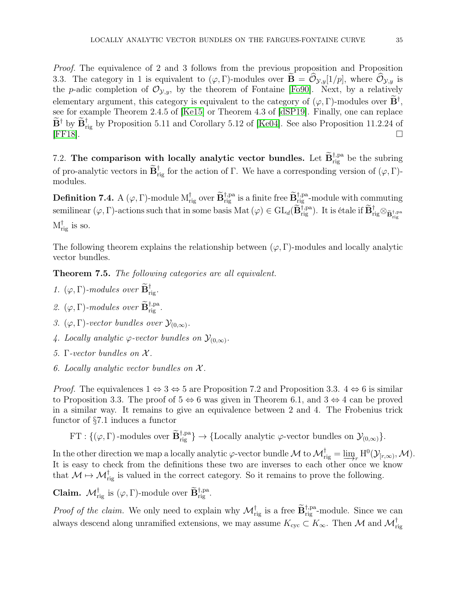*Proof.* The equivalence of 2 and 3 follows from the previous proposition and Proposition 3.3. The category in 1 is equivalent to  $(\varphi, \Gamma)$ -modules over  $\mathbf{B} = \mathcal{O}_{\mathcal{Y},y}[1/p]$ , where  $\mathcal{O}_{\mathcal{Y},y}$  is the p-adic completion of  $\mathcal{O}_{y,y}$ , by the theorem of Fontaine [\[Fo90\]](#page-43-20). Next, by a relatively elementary argument, this category is equivalent to the category of  $(\varphi, \Gamma)$ -modules over  $\mathbf{B}^{\dagger}$ , see for example Theorem 2.4.5 of [\[Ke15\]](#page-43-21) or Theorem 4.3 of [\[dSP19\]](#page-43-22). Finally, one can replace  $\mathbf{B}^{\dagger}$  by  $\mathbf{B}_{\text{rig}}^{\dagger}$  by Proposition 5.11 and Corollary 5.12 of [\[Ke04\]](#page-43-19). See also Proposition 11.2.24 of  $[FF18]$ .  $\Box$ 

<span id="page-34-0"></span>7.2. The comparison with locally analytic vector bundles. Let  $\widetilde{\mathbf{B}}_{\text{rig}}^{\dagger, \text{pa}}$  be the subring of pro-analytic vectors in  $\mathbf{B}^{\dagger}_{\text{rig}}$  for the action of  $\Gamma$ . We have a corresponding version of  $(\varphi, \Gamma)$ modules.

**Definition 7.4.** A  $(\varphi, \Gamma)$ -module  $M_{rig}^{\dagger}$  over  $\widetilde{\mathbf{B}}_{rig}^{\dagger,pa}$  is a finite free  $\widetilde{\mathbf{B}}_{rig}^{\dagger,pa}$ -module with commuting  $\operatorname{semilinear}(\varphi, \Gamma)$ -actions such that in some basis  $\operatorname{Mat}(\varphi) \in \operatorname{GL}_d(\widetilde{\mathbf{B}}_{\operatorname{rig}}^{\dagger,\operatorname{pa}})$ . It is étale if  $\widetilde{\mathbf{B}}_{\operatorname{rig}}^{\dagger} \otimes_{\widetilde{\mathbf{B}}_{\operatorname{rig}}^{\dagger,\operatorname{pa}}}$  $M_{\text{rig}}^{\dagger}$  is so.

The following theorem explains the relationship between  $(\varphi, \Gamma)$ -modules and locally analytic vector bundles.

**Theorem 7.5.** The following categories are all equivalent.

- 1.  $(\varphi, \Gamma)$ -modules over  $\mathbf{B}^{\dagger}_{\text{rig}}$ .
- 2.  $(\varphi, \Gamma)$ -modules over  $\widetilde{\mathbf{B}}_{\mathrm{rig}}^{\dagger, \mathrm{pa}}$ .
- 3.  $(\varphi, \Gamma)$ -vector bundles over  $\mathcal{Y}_{(0,\infty)}$ .
- 4. Locally analytic  $\varphi$ -vector bundles on  $\mathcal{Y}_{(0,\infty)}$ .
- 5. Γ-vector bundles on  $X$ .
- 6. Locally analytic vector bundles on  $\mathcal{X}$ .

*Proof.* The equivalences  $1 \Leftrightarrow 3 \Leftrightarrow 5$  are Proposition 7.2 and Proposition 3.3.  $4 \Leftrightarrow 6$  is similar to Proposition 3.3. The proof of  $5 \Leftrightarrow 6$  was given in Theorem 6.1, and  $3 \Leftrightarrow 4$  can be proved in a similar way. It remains to give an equivalence between 2 and 4. The Frobenius trick functor of §7.1 induces a functor

FT :  $\{(\varphi, \Gamma)$ -modules over  $\widetilde{\mathbf{B}}_{\text{rig}}^{\dagger, \text{pa}}\} \rightarrow \{\text{Locally analytic } \varphi\text{-vector bundles on } \mathcal{Y}_{(0,\infty)}\}.$ 

In the other direction we map a locally analytic  $\varphi$ -vector bundle M to  $\mathcal{M}_{\text{rig}}^{\dagger} = \varinjlim_r H^0(\mathcal{Y}_{[r,\infty)}, \mathcal{M})$ .<br>It is easy to check from the definitions these two are inverses to each other once we know It is easy to check from the definitions these two are inverses to each other once we know that  $M \mapsto M_{\text{rig}}^{\dagger}$  is valued in the correct category. So it remains to prove the following.

**Claim.**  $\mathcal{M}_{\text{rig}}^{\dagger}$  is  $(\varphi, \Gamma)$ -module over  $\widetilde{\mathbf{B}}_{\text{rig}}^{\dagger, \text{pa}}$ .

*Proof of the claim.* We only need to explain why  $\mathcal{M}_{\text{rig}}^{\dagger}$  is a free  $\widetilde{\mathbf{B}}_{\text{rig}}^{\dagger,pa}$ -module. Since we can always descend along unramified extensions, we may assume  $K_{\text{cyc}} \subset K_{\infty}$ . Then  $\mathcal{M}$  and  $\mathcal{M}^{\text{T}}_{\text{rig}}$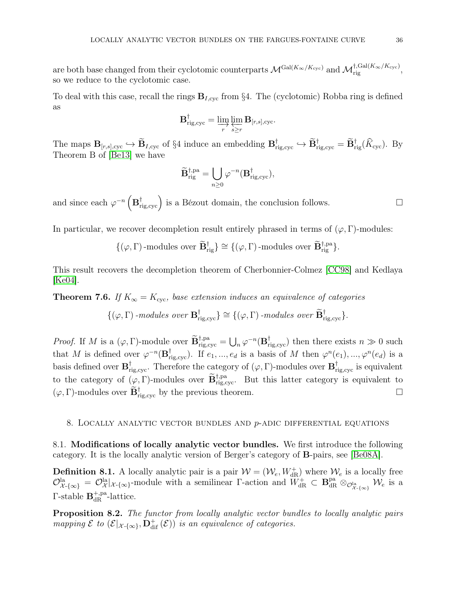are both base changed from their cyclotomic counterparts  $\mathcal{M}^{\text{Gal}(K_{\infty}/K_{\text{cyc}})}$  and  $\mathcal{M}^{\dagger,\text{Gal}(K_{\infty}/K_{\text{cyc}})}_{\text{rig}},$ so we reduce to the cyclotomic case.

To deal with this case, recall the rings  $B_{I,\text{cyc}}$  from §4. The (cyclotomic) Robba ring is defined as

$$
{\bf B}_{\mathrm{rig,cyc}}^\dagger = \varinjlim_r \varprojlim_{s \geq r} {\bf B}_{[r,s],\mathrm{cyc}}.
$$

The maps  $\mathbf{B}_{[r,s],\text{cyc}} \to \mathbf{B}_{I,\text{cyc}}$  of §4 induce an embedding  $\mathbf{B}_{\text{rig,cyc}}^{\dagger} \to \mathbf{B}_{\text{rig,cyc}}^{\dagger} = \mathbf{B}_{\text{rig}}^{\dagger}(K_{\text{cyc}})$ . By Theorem B of [\[Be13\]](#page-43-11) we have

$$
\widetilde{\mathbf{B}}_{\mathrm{rig}}^{\dagger,\mathrm{pa}}=\bigcup_{n\geq 0}\varphi^{-n}(\mathbf{B}_{\mathrm{rig,cyc}}^{\dagger}),
$$

and since each  $\varphi^{-n}(\mathbf{B}^{\dagger}_{\text{rig,cyc}})$  is a Bézout domain, the conclusion follows.

In particular, we recover decompletion result entirely phrased in terms of  $(\varphi, \Gamma)$ -modules:

$$
\{(\varphi, \Gamma) \text{-modules over } \widetilde{\mathbf{B}}_{\text{rig}}^{\dagger} \} \cong \{(\varphi, \Gamma) \text{-modules over } \widetilde{\mathbf{B}}_{\text{rig}}^{\dagger, \text{pa}} \}.
$$

This result recovers the decompletion theorem of Cherbonnier-Colmez [\[CC98\]](#page-43-3) and Kedlaya [\[Ke04\]](#page-43-19).

**Theorem 7.6.** If  $K_{\infty} = K_{\text{cyc}}$ , base extension induces an equivalence of categories

$$
\{(\varphi,\Gamma)\text{-modules over } \mathbf{B}_{\mathrm{rig,cyc}}^{\dagger}\} \cong \{(\varphi,\Gamma)\text{-modules over } \mathbf{B}_{\mathrm{rig,cyc}}^{\dagger}\}.
$$

*Proof.* If M is a  $(\varphi, \Gamma)$ -module over  $\widetilde{\mathbf{B}}_{\text{rig,cyc}}^{\dagger, \text{pa}} = \bigcup_n \varphi^{-n}(\mathbf{B}_{\text{rig,cyc}}^{\dagger})$  then there exists  $n \gg 0$  such that M is defined over  $\varphi^{-n}(\mathbf{B}^{\dagger}_{\text{rig,cyc}})$ . If  $e_1, ..., e_d$  is a basis of M then  $\varphi^{n}(e_1), ..., \varphi^{n}(e_d)$  is a basis defined over  $B^{\dagger}_{\text{rig,cyc}}$ . Therefore the category of  $(\varphi, \Gamma)$ -modules over  $B^{\dagger}_{\text{rig,cyc}}$  is equivalent to the category of  $(\varphi, \Gamma)$ -modules over  $\widetilde{\mathbf{B}}_{\text{rig,cyc}}^{\dagger, \text{pa}}$ . But this latter category is equivalent to  $(\varphi, \Gamma)$ -modules over  $\widetilde{\mathbf{B}}_{\mathrm{rig, cyc}}^{\dagger}$  by the previous theorem.

### <span id="page-35-1"></span><span id="page-35-0"></span>8. LOCALLY ANALYTIC VECTOR BUNDLES AND  $p$ -ADIC DIFFERENTIAL EQUATIONS

8.1. Modifications of locally analytic vector bundles. We first introduce the following category. It is the locally analytic version of Berger's category of B-pairs, see [\[Be08A\]](#page-43-16).

**Definition 8.1.** A locally analytic pair is a pair  $W = (W_e, W_{dR}^+)$  where  $W_e$  is a locally free  $\mathcal{O}_{\mathcal{X}\text{-}\{\infty\}}^{\text{la}} = \mathcal{O}_{\mathcal{X}}^{\text{la}}|_{\mathcal{X}\text{-}\{\infty\}}$ -module with a semilinear  $\Gamma$ -action and  $W_{\text{dR}}^{+} \subset \mathbf{B}_{\text{dR}}^{\text{pa}} \otimes_{\mathcal{O}_{\mathcal{X}\text{-}\{\infty\}}^{\text{la}}}\mathcal{W}_{e}$  is a  $\Gamma$ -stable  $\mathbf{B}_{\text{dR}}^{+,pa}$ -lattice.

Proposition 8.2. The functor from locally analytic vector bundles to locally analytic pairs mapping  $\mathcal E$  to  $(\mathcal E|_{\mathcal X\text{-}\{\infty\}},\mathbf{D}_\text{dif}^+(\mathcal E))$  is an equivalence of categories.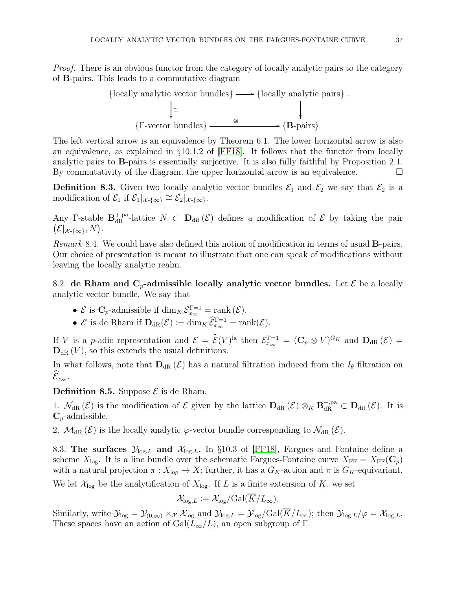*Proof.* There is an obvious functor from the category of locally analytic pairs to the category of B-pairs. This leads to a commutative diagram



The left vertical arrow is an equivalence by Theorem 6.1. The lower horizontal arrow is also an equivalence, as explained in §10.1.2 of [\[FF18\]](#page-43-12). It follows that the functor from locally analytic pairs to B-pairs is essentially surjective. It is also fully faithful by Proposition 2.1. By commutativity of the diagram, the upper horizontal arrow is an equivalence.  $\Box$ 

**Definition 8.3.** Given two locally analytic vector bundles  $\mathcal{E}_1$  and  $\mathcal{E}_2$  we say that  $\mathcal{E}_2$  is a modification of  $\mathcal{E}_1$  if  $\mathcal{E}_1|_{\mathcal{X}\text{-}\{\infty\}} \cong \mathcal{E}_2|_{\mathcal{X}\text{-}\{\infty\}}$ .

Any Γ-stable  $\mathbf{B}_{\text{dR}}^{+,p\text{a}}$ -lattice  $N \subset \mathbf{D}_{\text{dif}}(\mathcal{E})$  defines a modification of  $\mathcal E$  by taking the pair  $\bigl(\mathcal E|_{\mathcal X\text{-}\{\infty\}},N\bigr).$ 

Remark 8.4. We could have also defined this notion of modification in terms of usual **B**-pairs. Our choice of presentation is meant to illustrate that one can speak of modifications without leaving the locally analytic realm.

<span id="page-36-0"></span>8.2. de Rham and  $C_p$ -admissible locally analytic vector bundles. Let  $\mathcal E$  be a locally analytic vector bundle. We say that

• 
$$
\mathcal{E}
$$
 is  $C_p$ -admissible if  $\dim_K \mathcal{E}_{x_\infty}^{\Gamma=1} = \text{rank}(\mathcal{E}).$ 

•  $\mathscr E$  is de Rham if  $\mathbf{D}_{\mathrm{dR}}(\mathcal E) := \dim_K \widehat{\mathcal E}_{x_\infty}^{\Gamma=1} = \mathrm{rank}(\mathcal E).$ 

If V is a p-adic representation and  $\mathcal{E} = \mathcal{E}(V)^{la}$  then  $\mathcal{E}_{x_{\infty}}^{\Gamma=1} = (\mathbf{C}_p \otimes V)^{G_K}$  and  $\mathbf{D}_{dR}(\mathcal{E}) =$  $\mathbf{D}_{dR}(V)$ , so this extends the usual definitions.

In what follows, note that  $D_{dR}(\mathcal{E})$  has a natural filtration induced from the  $I_{\theta}$  filtration on  $\widehat{\mathcal E}_{x_\infty}.$ 

# **Definition 8.5.** Suppose  $\mathcal{E}$  is de Rham.

1.  $\mathcal{N}_{dR}(\mathcal{E})$  is the modification of  $\mathcal{E}$  given by the lattice  $\mathbf{D}_{dR}(\mathcal{E}) \otimes_K \mathbf{B}_{dR}^{+,pa} \subset \mathbf{D}_{dif}(\mathcal{E})$ . It is  $C_p$ -admissible.

<span id="page-36-1"></span>2.  $\mathcal{M}_{dR}(\mathcal{E})$  is the locally analytic  $\varphi$ -vector bundle corresponding to  $\mathcal{N}_{dR}(\mathcal{E})$ .

8.3. The surfaces  $\mathcal{Y}_{\text{log},L}$  and  $\mathcal{X}_{\text{log},L}$ . In §10.3 of [\[FF18\]](#page-43-12), Fargues and Fontaine define a scheme  $X_{\text{log}}$ . It is a line bundle over the schematic Fargues-Fontaine curve  $X_{\text{FF}} = X_{\text{FF}}(\mathbf{C}_p)$ with a natural projection  $\pi: X_{\text{log}} \to X$ ; further, it has a  $G_K$ -action and  $\pi$  is  $G_K$ -equivariant.

We let  $\mathcal{X}_{\text{log}}$  be the analytification of  $X_{\text{log}}$ . If L is a finite extension of K, we set

$$
\mathcal{X}_{\log,L} := \mathcal{X}_{\log}/\text{Gal}(\overline{K}/L_{\infty}).
$$

Similarly, write  $\mathcal{Y}_{\text{log}} = \mathcal{Y}_{(0,\infty)} \times_{\mathcal{X}} \mathcal{X}_{\text{log}}$  and  $\mathcal{Y}_{\text{log},L} = \mathcal{Y}_{\text{log}}/\text{Gal}(\overline{K}/L_{\infty})$ ; then  $\mathcal{Y}_{\text{log},L}/\varphi = \mathcal{X}_{\text{log},L}$ . These spaces have an action of  $Gal(L_{\infty}/L)$ , an open subgroup of  $\Gamma$ .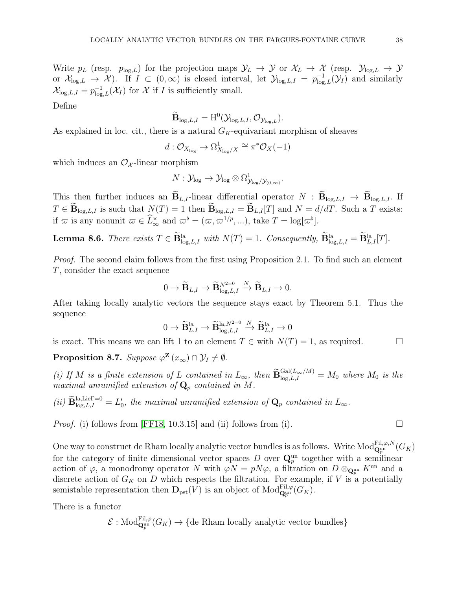Write  $p_L$  (resp.  $p_{\log,L}$ ) for the projection maps  $\mathcal{Y}_L \to \mathcal{Y}$  or  $\mathcal{X}_L \to \mathcal{X}$  (resp.  $\mathcal{Y}_{\log,L} \to \mathcal{Y}$ or  $\mathcal{X}_{\log,L} \to \mathcal{X}$ ). If  $I \subset (0,\infty)$  is closed interval, let  $\mathcal{Y}_{\log,L,I} = p_{\log,L}^{-1}(\mathcal{Y}_I)$  and similarly  $\mathcal{X}_{\log,L,I} = p_{\log,L}^{-1}(\mathcal{X}_I)$  for  $\mathcal X$  if  $I$  is sufficiently small.

Define

$$
\widetilde{\mathbf{B}}_{\log,L,I} = \mathrm{H}^0(\mathcal{Y}_{\log,L,I}, \mathcal{O}_{\mathcal{Y}_{\log,L}}).
$$

As explained in loc. cit., there is a natural  $G_K$ -equivariant morphism of sheaves

$$
d: \mathcal{O}_{X_{\log}} \to \Omega^1_{X_{\log}/X} \cong \pi^* \mathcal{O}_X(-1)
$$

which induces an  $\mathcal{O}_{\mathcal{X}}$ -linear morphism

$$
N:\mathcal{Y}_{\text{log}}\to\mathcal{Y}_{\text{log}}\otimes\Omega^1_{\mathcal{Y}_{\text{log}}/\mathcal{Y}_{(0,\infty)}}.
$$

This then further induces an  $\mathbf{B}_{L,I}$ -linear differential operator  $N : \mathbf{B}_{\log,L,I} \to \mathbf{B}_{\log,L,I}$ . If  $T \in \widetilde{\mathbf{B}}_{\log,L,I}$  is such that  $N(T) = 1$  then  $\mathbf{B}_{\log,L,I} = \mathbf{B}_{L,I}[T]$  and  $N = d/dT$ . Such a T exists: if  $\varpi$  is any nonunit  $\varpi \in \widetilde{L}_{\infty}^{\times}$  and  $\varpi^{\flat} = (\varpi, \varpi^{1/p}, \ldots)$ , take  $T = \log[\varpi^{\flat}].$ 

**Lemma 8.6.** There exists  $T \in \mathbf{B}^{\text{la}}_{\log,L,I}$  with  $N(T) = 1$ . Consequently,  $\mathbf{B}^{\text{la}}_{\log,L,I} = \mathbf{B}^{\text{la}}_{L,I}[T]$ .

*Proof.* The second claim follows from the first using Proposition 2.1. To find such an element T, consider the exact sequence

$$
0 \to \widetilde{{\mathbf B}}_{L,I} \to \widetilde{{\mathbf B}}_{\log,L,I}^{N^{2=0}} \overset{N}{\to} \widetilde{{\mathbf B}}_{L,I} \to 0.
$$

After taking locally analytic vectors the sequence stays exact by Theorem 5.1. Thus the sequence

$$
0 \to \widetilde{\mathbf{B}}_{L,I}^{\mathrm{la}} \to \widetilde{\mathbf{B}}_{\mathrm{log},L,I}^{\mathrm{la},N^{2=0}} \overset{N}{\to} \widetilde{\mathbf{B}}_{L,I}^{\mathrm{la}} \to 0
$$

is exact. This means we can lift 1 to an element  $T \in \text{with } N(T) = 1$ , as required.

**Proposition 8.7.** Suppose  $\varphi^{\mathbf{Z}}(x_{\infty}) \cap \mathcal{Y}_{I} \neq \emptyset$ .

(i) If M is a finite extension of L contained in  $L_{\infty}$ , then  $\widetilde{\mathbf{B}}_{\text{log},L,I}^{\text{Gal}(L_{\infty}/M)}=M_0$  where  $M_0$  is the maximal unramified extension of  $\mathbf{Q}_p$  contained in M.

(ii) 
$$
\widetilde{\mathbf{B}}_{\text{log},L,I}^{\text{la,Lier}=0} = L'_0
$$
, the maximal unramified extension of  $\mathbf{Q}_p$  contained in  $L_{\infty}$ .

Proof. (i) follows from [\[FF18,](#page-43-12) 10.3.15] and (ii) follows from (i).

One way to construct de Rham locally analytic vector bundles is as follows. Write  $\mathrm{Mod}^{\mathrm{Fil},\varphi,N}_{\mathbf{Q}_p^{\mathrm{un}}} (G_K)$ for the category of finite dimensional vector spaces D over  $\mathbf{Q}_p^{\text{un}}$  together with a semilinear action of  $\varphi$ , a monodromy operator N with  $\varphi N = pN\varphi$ , a filtration on  $D \otimes_{\mathbf{Q}^{\text{un}}_{p}} K^{\text{un}}$  and a discrete action of  $G_K$  on D which respects the filtration. For example, if V is a potentially semistable representation then  $\mathbf{D}_{\mathrm{pst}}(V)$  is an object of  $\mathrm{Mod}_{\mathbf{Q}_p^{\mathrm{un}}}(G_K)$ .

There is a functor

$$
\mathcal{E}: \text{Mod}_{\mathbf{Q}_{p}^{\text{un}}}(G_{K}) \to \{\text{de Rham locally analytic vector bundles}\}
$$

$$
\Box
$$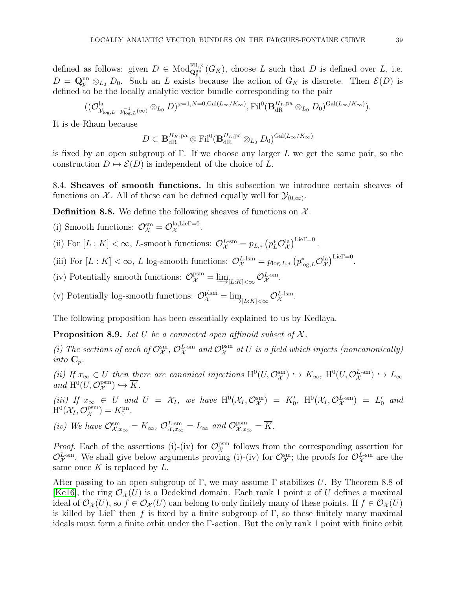defined as follows: given  $D \in \text{Mod}_{\mathbf{Q}_p^{\text{un}}}(G_K)$ , choose L such that D is defined over L, i.e.  $D = \mathbf{Q}_p^{\text{un}} \otimes_{L_0} D_0$ . Such an L exists because the action of  $G_K$  is discrete. Then  $\mathcal{E}(D)$  is defined to be the locally analytic vector bundle corresponding to the pair

$$
((\mathcal{O}_{\mathcal{Y}_{\log,L}-p_{\log,L}^{-1}(\infty)}^{\mathrm{la}}\otimes_{L_{0}}D)^{\varphi=1,N=0,\mathrm{Gal}(L_{\infty}/K_{\infty})},\mathrm{Fil}^{0}(\mathbf{B}_{\mathrm{dR}}^{H_{L},\mathrm{pa}}\otimes_{L_{0}}D_{0})^{\mathrm{Gal}(L_{\infty}/K_{\infty})}).
$$

It is de Rham because

$$
D \subset \mathbf{B}_{\mathrm{dR}}^{H_K, \mathrm{pa}} \otimes \mathrm{Fil}^0(\mathbf{B}_{\mathrm{dR}}^{H_L, \mathrm{pa}} \otimes_{L_0} D_0)^{\mathrm{Gal}(L_\infty/K_\infty)}
$$

is fixed by an open subgroup of  $\Gamma$ . If we choose any larger L we get the same pair, so the construction  $D \mapsto \mathcal{E}(D)$  is independent of the choice of L.

<span id="page-38-0"></span>8.4. Sheaves of smooth functions. In this subsection we introduce certain sheaves of functions on  $\mathcal{X}$ . All of these can be defined equally well for  $\mathcal{Y}_{(0,\infty)}$ .

**Definition 8.8.** We define the following sheaves of functions on  $\mathcal{X}$ .

(i) Smooth functions:  $\mathcal{O}_{\mathcal{X}}^{\text{sm}} = \mathcal{O}_{\mathcal{X}}^{\text{la,Lie}}$ <sup>1=0</sup>  $\chi^{\text{flat, Lie1 = 0}}$ .

- (ii) For  $[L:K] < \infty$ , L-smooth functions:  $\mathcal{O}_{\mathcal{X}}^{L\text{-sm}} = p_{L,*} (p_L^* \mathcal{O}_{\mathcal{X}}^{\text{la}})^{\text{Lie}\Gamma=0}$ .
- (iii) For  $[L:K] < \infty$ , L log-smooth functions:  $\mathcal{O}_{\mathcal{X}}^{L\text{-}\mathrm{lsm}} = p_{\log,L,*} (p_{\log,L}^* \mathcal{O}_{\mathcal{X}}^{\mathrm{la}})^{\mathrm{Lie}\Gamma=0}$ .
- (iv) Potentially smooth functions:  $\mathcal{O}_{\mathcal{X}}^{\text{psm}} = \underline{\lim}_{[L:K]<\infty} \mathcal{O}_{\mathcal{X}}^{L\text{-sm}}$ .
- (v) Potentially log-smooth functions:  $\mathcal{O}_{\mathcal{X}}^{\text{plsm}} = \underline{\lim}_{[L:K]<\infty} \mathcal{O}_{\mathcal{X}}^{L\text{-lsm}}.$

The following proposition has been essentially explained to us by Kedlaya.

**Proposition 8.9.** Let U be a connected open affinoid subset of  $\mathcal{X}$ .

(i) The sections of each of  $\mathcal{O}_\mathcal{X}^{\text{sm}}$ ,  $\mathcal{O}_\mathcal{X}^{L-\text{sm}}$  and  $\mathcal{O}_\mathcal{X}^{\text{psm}}$  $\mathcal{X}^{\text{psm}}$  at U is a field which injects (noncanonically) into  $\mathbf{C}_p$ .

(ii) If  $x_{\infty} \in U$  then there are canonical injections  $H^0(U, \mathcal{O}_{\mathcal{X}}^{\text{sm}}) \hookrightarrow K_{\infty}$ ,  $H^0(U, \mathcal{O}_{\mathcal{X}}^{L-\text{sm}}) \hookrightarrow L_{\infty}$ and  $\mathrm{H}^{0}(U, \mathcal{O}_{\mathcal{X}}^{\mathrm{psm}}) \hookrightarrow \overline{K}$ .  $\lambda$ 

(iii) If  $x_{\infty} \in U$  and  $U = \mathcal{X}_I$ , we have  $\mathrm{H}^0(\mathcal{X}_I, \mathcal{O}_{\mathcal{X}}^{\mathrm{sm}}) = K'_0$ ,  $\mathrm{H}^0(\mathcal{X}_I, \mathcal{O}_{\mathcal{X}}^{L-\mathrm{sm}}) = L'_0$  and  $\mathrm{H}^{0}(\mathcal{X}_I, \mathcal{O}^{\mathrm{psm}}_{\mathcal{X}}$  $\chi^{\text{psm}}$ ) =  $K_0^{\text{un}}$ .

(iv) We have  $\mathcal{O}_{\mathcal{X},x_\infty}^{\text{sm}} = K_\infty$ ,  $\mathcal{O}_{\mathcal{X},x_\infty}^{L-\text{sm}} = L_\infty$  and  $\mathcal{O}_{\mathcal{X},x_\infty}^{\text{psm}} = \overline{K}$ .

*Proof.* Each of the assertions (i)-(iv) for  $\mathcal{O}_\mathcal{X}^{\text{psm}}$  $\chi^{\text{psm}}$  follows from the corresponding assertion for  $\mathcal{O}_\mathcal{X}^{L\text{-sm}}$ . We shall give below arguments proving (i)-(iv) for  $\mathcal{O}_\mathcal{X}^{\text{sm}}$ ; the proofs for  $\mathcal{O}_\mathcal{X}^{L\text{-sm}}$  are the same once K is replaced by  $L$ .

After passing to an open subgroup of Γ, we may assume Γ stabilizes U. By Theorem 8.8 of [\[Ke16\]](#page-43-23), the ring  $\mathcal{O}_{\mathcal{X}}(U)$  is a Dedekind domain. Each rank 1 point x of U defines a maximal ideal of  $\mathcal{O}_{\mathcal{X}}(U)$ , so  $f \in \mathcal{O}_{\mathcal{X}}(U)$  can belong to only finitely many of these points. If  $f \in \mathcal{O}_{\mathcal{X}}(U)$ is killed by LieΓ then f is fixed by a finite subgroup of Γ, so these finitely many maximal ideals must form a finite orbit under the Γ-action. But the only rank 1 point with finite orbit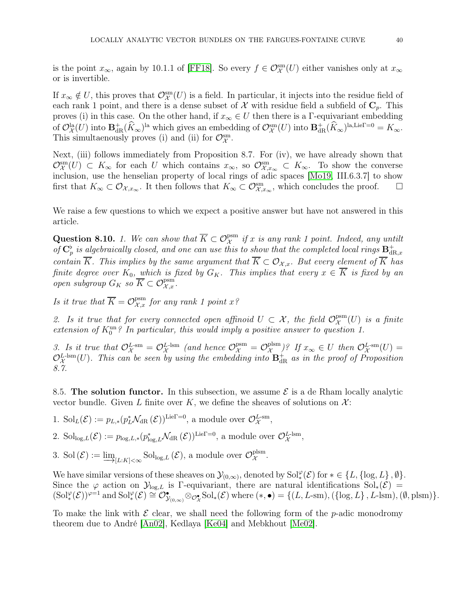is the point  $x_{\infty}$ , again by 10.1.1 of [\[FF18\]](#page-43-12). So every  $f \in \mathcal{O}_{\mathcal{X}}^{\rm sm}(U)$  either vanishes only at  $x_{\infty}$ or is invertible.

If  $x_{\infty} \notin U$ , this proves that  $\mathcal{O}_{\mathcal{X}}^{\text{sm}}(U)$  is a field. In particular, it injects into the residue field of each rank 1 point, and there is a dense subset of X with residue field a subfield of  $\mathbb{C}_p$ . This proves (i) in this case. On the other hand, if  $x_{\infty} \in U$  then there is a Γ-equivariant embedding of  $\mathcal{O}_{\mathcal{X}}^{\text{la}}(U)$  into  $\mathbf{B}^+_{\text{dR}}(\widehat{K}_{\infty})^{\text{la}}$  which gives an embedding of  $\mathcal{O}_{\mathcal{X}}^{\text{sm}}(U)$  into  $\mathbf{B}^+_{\text{dR}}(\widehat{K}_{\infty})^{\text{la},\text{Lie}^{\text{Te}}} = K_{\infty}$ . This simultaenously proves (i) and (ii) for  $\mathcal{O}_{\mathcal{X}}^{sm}$ .

Next, (iii) follows immediately from Proposition 8.7. For (iv), we have already shown that  $\mathcal{O}_{\mathcal{X},x\infty}^{\text{sm}}(U) \subset K_{\infty}$  for each U which contains  $x_{\infty}$ , so  $\mathcal{O}_{\mathcal{X},x\infty}^{\text{sm}} \subset K_{\infty}$ . To show the converse inclusion, use the henselian property of local rings of adic spaces [\[Mo19,](#page-43-24) III.6.3.7] to show first that  $K_{\infty} \subset \mathcal{O}_{\mathcal{X},x_{\infty}}$ . It then follows that  $K_{\infty} \subset \mathcal{O}_{\mathcal{X},x_{\infty}}^{sm}$ , which concludes the proof.  $\Box$ 

We raise a few questions to which we expect a positive answer but have not answered in this article.

Question 8.10. 1. We can show that  $\overline{K} \subset \mathcal{O}_{\mathcal{X}}^{\text{psm}}$  if x is any rank 1 point. Indeed, any untilt of  $\mathbf{C}_p^{\flat}$  is algebraically closed, and one can use this to show that the completed local rings  $\mathbf{B}_{\text{dl}}^{+}$  $_{\mathrm{dR},x}$ contain  $\overline{K}$ . This implies by the same argument that  $\overline{K} \subset \mathcal{O}_{\mathcal{X},x}$ . But every element of  $\overline{K}$  has finite degree over  $K_0$ , which is fixed by  $G_K$ . This implies that every  $x \in K$  is fixed by an open subgroup  $G_K$  so  $\overline{K} \subset \mathcal{O}_{\mathcal{X},x}^{\text{psm}}$ .

Is it true that  $\overline{K} = \mathcal{O}_{\mathcal{X},x}^{\text{psm}}$  for any rank 1 point  $x^{\circ}$ 

2. Is it true that for every connected open affinoid  $U \subset \mathcal{X}$ , the field  $\mathcal{O}_{\mathcal{X}}^{\text{psm}}(U)$  is a finite extension of  $K_0^{\text{un } 2}$  In particular, this would imply a positive answer to question 1.

3. Is it true that  $\mathcal{O}_{\mathcal{X}}^{L\text{-sm}} = \mathcal{O}_{\mathcal{X}}^{L\text{-ism}}$  (and hence  $\mathcal{O}_{\mathcal{X}}^{\text{psm}} = \mathcal{O}_{\mathcal{X}}^{\text{plsm}}$  $\mathcal{L}^{\text{plsm}}(U)$  *If*  $x_{\infty} \in U$  then  $\mathcal{O}_{\mathcal{X}}^{L\text{-sm}}(U) =$  $\mathcal{O}_\mathcal{X}^{L\text{-}\mathrm{lsm}}(U)$ . This can be seen by using the embedding into  $\mathbf{B}^+_{\mathrm{dR}}$  as in the proof of Proposition 8.7.

<span id="page-39-0"></span>8.5. The solution functor. In this subsection, we assume  $\mathcal E$  is a de Rham locally analytic vector bundle. Given L finite over K, we define the sheaves of solutions on  $\mathcal{X}$ :

1.  $\mathrm{Sol}_L(\mathcal{E}) := p_{L,\ast}(p_L^{\ast}\mathcal{N}_{\mathrm{dR}}(\mathcal{E}))^{\mathrm{Lie}\Gamma=0}$ , a module over  $\mathcal{O}_{\mathcal{X}}^{L\text{-sm}}$ ,

2.  $\text{Sol}_{\text{log},L}(\mathcal{E}) := p_{\log,L,*}(p_{\log,L}^*\mathcal{N}_{\text{dR}}(\mathcal{E}))^{\text{Lie}\Gamma=0}$ , a module over  $\mathcal{O}_{\mathcal{X}}^{L\text{-lsm}}$ ,

3. Sol $(\mathcal{E}) := \varinjlim_{[L:K] < \infty}$  Sol<sub>log, L</sub> $(\mathcal{E})$ , a module over  $\mathcal{O}_{\mathcal{X}}^{\text{plsm}}$ pism<br> $\mathcal{X}$ .

We have similar versions of these sheaves on  $\mathcal{Y}_{(0,\infty)}$ , denoted by  $\text{Sol}_*^{\varphi}(\mathcal{E})$  for  $* \in \{L, \{\log, L\}, \emptyset\}$ . Since the  $\varphi$  action on  $\mathcal{Y}_{\text{log},L}$  is Γ-equivariant, there are natural identifications  $\text{Sol}_*(\mathcal{E}) =$  $(\mathrm{Sol}_*^{\varphi}(\mathcal{E}))^{\varphi=1}$  and  $\mathrm{Sol}_*^{\varphi}(\mathcal{E}) \cong \mathcal{O}_{\mathcal{Y}_{(0,\infty)}}^{\bullet} \otimes_{\mathcal{O}_{\mathcal{X}}} \mathrm{Sol}_*(\mathcal{E})$  where  $(*, \bullet) = \{(L, L\text{-sm}), (\{\log, L\}, L\text{-lsm}), (\emptyset, \mathrm{plsm})\}.$ 

To make the link with  $\mathcal E$  clear, we shall need the following form of the p-adic monodromy theorem due to André [\[An02\]](#page-43-25), Kedlaya [\[Ke04\]](#page-43-19) and Mebkhout [\[Me02\]](#page-43-26).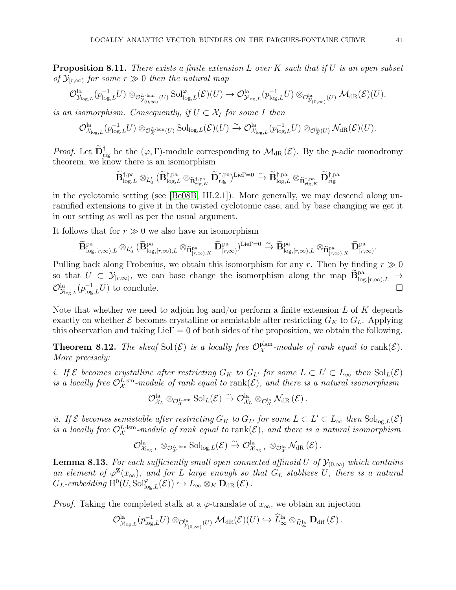**Proposition 8.11.** There exists a finite extension L over K such that if U is an open subset of  $\mathcal{Y}_{[r,\infty)}$  for some  $r \gg 0$  then the natural map

$$
\mathcal{O}_{\mathcal{Y}_{\log,L}}^{\mathrm{la}}(p_{\log,L}^{-1}U)\otimes_{\mathcal{O}_{\mathcal{Y}_{(0,\infty)}^{\mathrm{L,1sm}}}(U)}\mathrm{Sol}_{\log,L}^{\varphi}(\mathcal{E})(U)\rightarrow \mathcal{O}_{\mathcal{Y}_{\log,L}}^{\mathrm{la}}(p_{\log,L}^{-1}U)\otimes_{\mathcal{O}_{\mathcal{Y}_{(0,\infty)}^{\mathrm{la}}}(U)}\mathcal{M}_{\mathrm{dR}}(\mathcal{E})(U).
$$

is an isomorphism. Consequently, if  $U \subset \mathcal{X}_I$  for some I then

$$
\mathcal{O}_{\mathcal{X}_{\log,L}}^{\mathrm{la}}(p_{\log,L}^{-1}U) \otimes_{\mathcal{O}_{\mathcal{X}}^{L-\mathrm{lsm}}(U)} \mathrm{Sol}_{\log,L}(\mathcal{E})(U) \xrightarrow{\sim} \mathcal{O}_{\mathcal{X}_{\log,L}}^{\mathrm{la}}(p_{\log,L}^{-1}U) \otimes_{\mathcal{O}_{\mathcal{X}}^{\mathrm{la}}(U)} \mathcal{N}_{\mathrm{dR}}(\mathcal{E})(U).
$$

*Proof.* Let  $\mathbf{D}_{\text{rig}}^{\dagger}$  be the  $(\varphi, \Gamma)$ -module corresponding to  $\mathcal{M}_{\text{dR}}(\mathcal{E})$ . By the *p*-adic monodromy theorem, we know there is an isomorphism

$$
\widetilde{\mathbf{B}}_{\mathrm{log},L}^{\dagger,\mathrm{pa}}\otimes_{L_{0}'}(\widetilde{\mathbf{B}}_{\mathrm{log},L}^{\dagger,\mathrm{pa}}\otimes_{\widetilde{\mathbf{B}}_{\mathrm{rig},K}^{\dagger,\mathrm{pa}}}\widetilde{\mathbf{D}}_{\mathrm{rig}}^{\dagger,\mathrm{pa}})^{\mathrm{Lie}\Gamma=0}\xrightarrow{\sim}\widetilde{\mathbf{B}}_{\mathrm{log},L}^{\dagger,\mathrm{pa}}\otimes_{\widetilde{\mathbf{B}}_{\mathrm{rig},K}^{\dagger,\mathrm{pa}}}\widetilde{\mathbf{D}}_{\mathrm{rig}}^{\dagger,\mathrm{pa}}
$$

in the cyclotomic setting (see [\[Be08B,](#page-43-4) III.2.1]). More generally, we may descend along unramified extensions to give it in the twisted cyclotomic case, and by base changing we get it in our setting as well as per the usual argument.

It follows that for  $r \gg 0$  we also have an isomorphism

$$
\widetilde{\mathbf{B}}^{\mathrm{pa}}_{\log,[r,\infty),L}\otimes_{L_0'} (\widetilde{\mathbf{B}}^{\mathrm{pa}}_{\log,[r,\infty),L}\otimes_{\widetilde{\mathbf{B}}^{\mathrm{pa}}_{[r,\infty),K}} \widetilde{\mathbf{D}}^{\mathrm{pa}}_{[r,\infty)})^{\mathrm{Lie}\Gamma=0} \xrightarrow{\sim} \widetilde{\mathbf{B}}^{\mathrm{pa}}_{\log,[r,\infty),L}\otimes_{\widetilde{\mathbf{B}}^{\mathrm{pa}}_{[r,\infty),K}} \widetilde{\mathbf{D}}^{\mathrm{pa}}_{[r,\infty)}.
$$

Pulling back along Frobenius, we obtain this isomorphism for any r. Then by finding  $r \gg 0$ so that  $U \subset \mathcal{Y}_{[r,\infty)}$ , we can base change the isomorphism along the map  $\widetilde{\mathbf{B}}_{\log,[r,\infty),L}^{\text{pa}} \to$  $\mathcal{O}^{\text{la}}_{\mathcal{Y}_{\log,L}}(p_{\log,L}^{-1}U)$  to conclude.

Note that whether we need to adjoin log and/or perform a finite extension  $L$  of  $K$  depends exactly on whether  $\mathcal E$  becomes crystalline or semistable after restricting  $G_K$  to  $G_L$ . Applying this observation and taking  $Lie\Gamma = 0$  of both sides of the proposition, we obtain the following.

**Theorem 8.12.** The sheaf Sol $(\mathcal{E})$  is a locally free  $\mathcal{O}_{\mathcal{X}}^{\text{plsm}}$  $\mathcal{X}^{\text{pism}}$ -module of rank equal to rank $(\mathcal{E})$ . More precisely:

i. If  $\mathcal E$  becomes crystalline after restricting  $G_K$  to  $G_{L'}$  for some  $L \subset L' \subset L_{\infty}$  then  $\text{Sol}_L(\mathcal E)$ is a locally free  $\mathcal{O}_\mathcal{X}^{\tilde{L}\text{-sm}}$ -module of rank equal to  $\text{rank}(\mathcal{E})$ , and there is a natural isomorphism

 $\mathcal{O}_{\mathcal{X}_L}^{\mathrm{la}} \otimes_{\mathcal{O}_{\mathcal{X}}^{L-\mathrm{sm}}} \mathrm{Sol}_L(\mathcal{E}) \xrightarrow{\sim} \mathcal{O}_{\mathcal{X}_L}^{\mathrm{la}} \otimes_{\mathcal{O}_{\mathcal{X}}^{\mathrm{la}}} \mathcal{N}_{\mathrm{dR}}\left(\mathcal{E}\right).$ 

ii. If  $\mathcal E$  becomes semistable after restricting  $G_K$  to  $G_{L'}$  for some  $L \subset L' \subset L_\infty$  then  $\text{Sol}_{\log,L}(\mathcal E)$ is a locally free  $\mathcal{O}_X^{L\text{-}lsm}$ -module of rank equal to  $\text{rank}(\mathcal{E})$ , and there is a natural isomorphism

$$
\mathcal{O}_{\mathcal{X}_{\log,L}}^{\mathrm{la}} \otimes_{\mathcal{O}_\mathcal{X}^{\mathrm{L-1sm}}} \mathrm{Sol}_{\log,L}(\mathcal{E}) \overset{\sim}{\to} \mathcal{O}_{\mathcal{X}_{\log,L}}^{\mathrm{la}} \otimes_{\mathcal{O}_\mathcal{X}^{\mathrm{la}}} \mathcal{N}_{\mathrm{dR}}\left(\mathcal{E}\right).
$$

**Lemma 8.13.** For each sufficiently small open connected affinoid U of  $\mathcal{Y}_{(0,\infty)}$  which contains an element of  $\varphi^{\mathbf{Z}}(x_{\infty})$ , and for L large enough so that  $G_L$  stablizes U, there is a natural  $G_L\text{-}embedding \ H^0(U,\mathrm{Sol}^\varphi_{\log,L}(\mathcal{E})) \hookrightarrow L_\infty \otimes_K \mathbf{D}_{\mathrm{dR}}(\mathcal{E}).$ 

*Proof.* Taking the completed stalk at a  $\varphi$ -translate of  $x_{\infty}$ , we obtain an injection

$$
\mathcal{O}_{\mathcal{Y}_{\log,L}}^{\mathrm{la}}(p_{\log,L}^{-1}U)\otimes_{\mathcal{O}_{\mathcal{Y}_{(0,\infty)}}^{\mathrm{la}}(U)}\mathcal{M}_{\mathrm{dR}}(\mathcal{E})(U)\hookrightarrow \widehat{L}_{\infty}^{\mathrm{la}}\otimes_{\widehat{K}_{\infty}^{\mathrm{la}}}\mathbf{D}_{\mathrm{dif}}\left(\mathcal{E}\right).
$$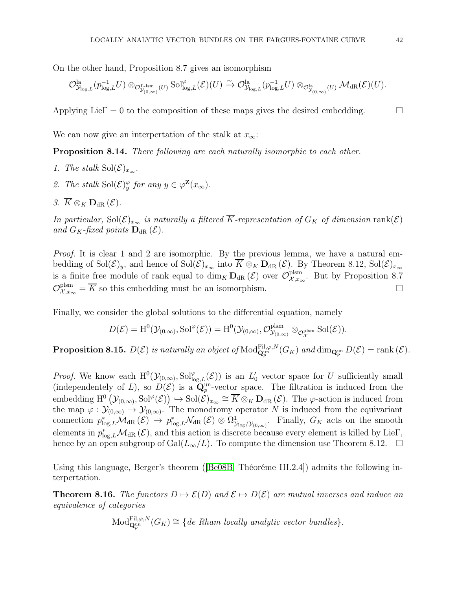On the other hand, Proposition 8.7 gives an isomorphism

$$
\mathcal{O}_{\mathcal{Y}_{\log,L}}^{\mathrm{la}}(p_{\log,L}^{-1}U)\otimes_{\mathcal{O}_{\mathcal{Y}_{(0,\infty)}^{L-\mathrm{lsm}}}(U)}\mathrm{Sol}_{\log,L}^{\varphi}(\mathcal{E})(U)\xrightarrow{\sim} \mathcal{O}_{\mathcal{Y}_{\log,L}}^{\mathrm{la}}(p_{\log,L}^{-1}U)\otimes_{\mathcal{O}_{\mathcal{Y}_{(0,\infty)}^{L}}^{\mathrm{la}}(U)}\mathcal{M}_{\mathrm{dR}}(\mathcal{E})(U).
$$

Applying Lie $\Gamma = 0$  to the composition of these maps gives the desired embedding.  $\Box$ 

We can now give an interpertation of the stalk at  $x_{\infty}$ :

Proposition 8.14. There following are each naturally isomorphic to each other.

- 1. The stalk  $Sol(\mathcal{E})_{x_{\infty}}$ .
- 2. The stalk  $\text{Sol}(\mathcal{E})_y^{\varphi}$  for any  $y \in \varphi^{\mathbf{Z}}(x_{\infty})$ .
- 3.  $\overline{K} \otimes_K \mathbf{D}_{\text{dR}} (\mathcal{E}).$

In particular, Sol $(\mathcal{E})_{x_{\infty}}$  is naturally a filtered  $\overline{K}$ -representation of  $G_K$  of dimension rank( $\mathcal{E}$ ) and  $G_K$ -fixed points  $\mathbf{D}_{dR}(\mathcal{E})$ .

Proof. It is clear 1 and 2 are isomorphic. By the previous lemma, we have a natural embedding of  $Sol(\mathcal{E})_y$ , and hence of  $Sol(\mathcal{E})_{x_\infty}$  into  $\overline{K} \otimes_K \mathbf{D}_{dR}(\mathcal{E})$ . By Theorem 8.12,  $Sol(\mathcal{E})_{x_\infty}$ is a finite free module of rank equal to  $\dim_K \mathbf{D}_{\mathrm{dR}}(\mathcal{E})$  over  $\mathcal{O}_{\mathcal{X},x_\circ}^{\mathrm{plsm}}$  $\lim_{\mathcal{X},x_{\infty}}$ . But by Proposition 8.7  $\mathcal{O}_{\mathcal{X},x_\infty}^{\text{plsm}} = \overline{K}$  so this embedding must be an isomorphism.

Finally, we consider the global solutions to the differential equation, namely

$$
D(\mathcal{E}) = H^0(\mathcal{Y}_{(0,\infty)}, \text{Sol}^{\varphi}(\mathcal{E})) = H^0(\mathcal{Y}_{(0,\infty)}, \mathcal{O}_{\mathcal{Y}_{(0,\infty)}}^{\text{plsm}} \otimes_{\mathcal{O}_{\mathcal{X}}^{\text{plsm}}} \text{Sol}(\mathcal{E})).
$$

**Proposition 8.15.**  $D(\mathcal{E})$  is naturally an object of  $\text{Mod}_{\mathbf{Q}_p^{\text{un}}}(G_K)$  and  $\text{dim}_{\mathbf{Q}_p^{\text{un}}}D(\mathcal{E}) = \text{rank}(\mathcal{E})$ .

*Proof.* We know each  $H^0(\mathcal{Y}_{(0,\infty)},\text{Sol}_{\text{log},L}^{\varphi}(\mathcal{E}))$  is an  $L'_0$  vector space for U sufficiently small (independentely of L), so  $D(\mathcal{E})$  is a  $\mathbf{Q}_p^{\text{un}}$ -vector space. The filtration is induced from the embedding  $H^0(\mathcal{Y}_{(0,\infty)},\mathrm{Sol}^{\varphi}(\mathcal{E})) \longrightarrow \mathrm{Sol}(\mathcal{E})_{x_{\infty}} \cong \overline{K} \otimes_K \mathbf{D}_{dR}(\mathcal{E})$ . The  $\varphi$ -action is induced from the map  $\varphi: \mathcal{Y}_{(0,\infty)} \to \mathcal{Y}_{(0,\infty)}$ . The monodromy operator N is induced from the equivariant connection  $p_{\log,L}^* \mathcal{M}_{\mathrm{dR}}(\mathcal{E}) \to p_{\log,L}^* \mathcal{N}_{\mathrm{dR}}(\mathcal{E}) \otimes \Omega_{\mathcal{Y}_{\log}/\mathcal{Y}_{(0,\infty)}}^1$ . Finally,  $G_K$  acts on the smooth elements in  $p_{\log,L}^* \mathcal{M}_{\text{dR}}(\mathcal{E})$ , and this action is discrete because every element is killed by Lie $\Gamma$ , hence by an open subgroup of Gal $(L_{\infty}/L)$ . To compute the dimension use Theorem 8.12.  $\Box$ 

Using this language, Berger's theorem ([\[Be08B,](#page-43-4) Théoréme III.2.4]) admits the following interpertation.

**Theorem 8.16.** The functors  $D \mapsto \mathcal{E}(D)$  and  $\mathcal{E} \mapsto D(\mathcal{E})$  are mutual inverses and induce an equivalence of categories

Mod<sub>Q<sub>p</sub><sup>Fil</sup>,
$$
\varphi
$$
,<sup>N</sup>( $G_K$ )  $\cong$  {*de Rham locally analytic vector bundles*}.</sub>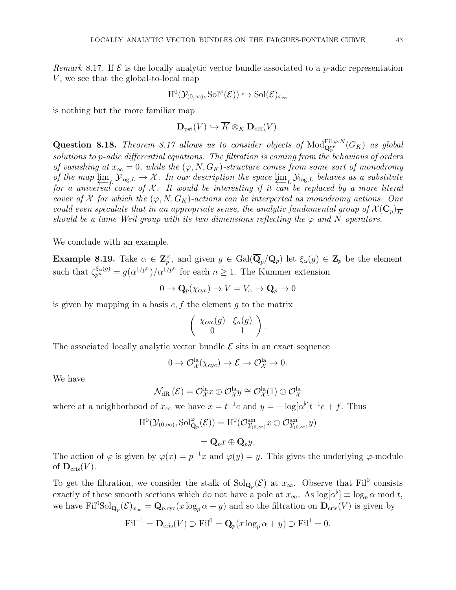Remark 8.17. If  $\mathcal E$  is the locally analytic vector bundle associated to a p-adic representation  $V$ , we see that the global-to-local map

$$
H^0(\mathcal{Y}_{(0,\infty)},\mathrm{Sol}^\varphi(\mathcal{E})) \hookrightarrow \mathrm{Sol}(\mathcal{E})_{x_\infty}
$$

is nothing but the more familiar map

$$
\mathbf{D}_{\mathrm{pst}}(V) \hookrightarrow \overline{K} \otimes_K \mathbf{D}_{\mathrm{dR}}(V).
$$

Question 8.18. Theorem 8.17 allows us to consider objects of  $\mathrm{Mod}^{\mathrm{Fil},\varphi,N}_{\mathbf{Q}_p^{\mathrm{un}}}(G_K)$  as global solutions to p-adic differential equations. The filtration is coming from the behavious of orders of vanishing at  $x_{\infty} = 0$ , while the  $(\varphi, N, G_K)$ -structure comes from some sort of monodromy of the map  $\varprojlim_L \mathcal{Y}_{\log,L} \to \mathcal{X}$ . In our description the space  $\varprojlim_L \mathcal{Y}_{\log,L}$  behaves as a substitute<br>for a universal cover of X It would be interesting if it can be replaced by a more literal for a universal cover of  $\mathcal X$ . It would be interesting if it can be replaced by a more literal cover of X for which the  $(\varphi, N, G_K)$ -actions can be interperted as monodromy actions. One could even speculate that in an appropriate sense, the analytic fundamental group of  $\mathcal{X}(\mathbb{C}_p)_{\overline{K}}$ should be a tame Weil group with its two dimensions reflecting the  $\varphi$  and N operators.

We conclude with an example.

**Example 8.19.** Take  $\alpha \in \mathbb{Z}_p^{\times}$ , and given  $g \in \text{Gal}(\overline{\mathbf{Q}}_p/\mathbf{Q}_p)$  let  $\xi_{\alpha}(g) \in \mathbf{Z}_p$  be the element such that  $\zeta_{p^n}^{\xi_\alpha(g)} = g(\alpha^{1/p^n})/\alpha^{1/p^n}$  for each  $n \ge 1$ . The Kummer extension

$$
0 \to \mathbf{Q}_p(\chi_{\text{cyc}}) \to V = V_\alpha \to \mathbf{Q}_p \to 0
$$

is given by mapping in a basis  $e, f$  the element g to the matrix

$$
\left(\begin{array}{cc} \chi_{\operatorname{cyc}}(g) & \xi_\alpha(g) \\ 0 & 1 \end{array}\right)
$$

.

The associated locally analytic vector bundle  $\mathcal E$  sits in an exact sequence

$$
0 \to \mathcal{O}_{\mathcal{X}}^{\text{la}}(\chi_{\text{cyc}}) \to \mathcal{E} \to \mathcal{O}_{\mathcal{X}}^{\text{la}} \to 0.
$$

We have

$$
\mathcal{N}_{\mathrm{dR}}\left(\mathcal{E}\right)=\mathcal{O}^{\mathrm{la}}_{\mathcal{X}}x\oplus\mathcal{O}^{\mathrm{la}}_{\mathcal{X}}y\cong\mathcal{O}^{\mathrm{la}}_{\mathcal{X}}(1)\oplus\mathcal{O}^{\mathrm{la}}_{\mathcal{X}}
$$

where at a neighborhood of  $x_{\infty}$  we have  $x = t^{-1}e$  and  $y = -\log[\alpha^{\flat}]t^{-1}e + f$ . Thus

$$
\mathrm{H}^{0}(\mathcal{Y}_{(0,\infty)},\mathrm{Sol}^{\varphi}_{\mathbf{Q}_{p}}(\mathcal{E}))=\mathrm{H}^{0}(\mathcal{O}^{\mathrm{sm}}_{\mathcal{Y}_{(0,\infty)}}x\oplus \mathcal{O}^{\mathrm{sm}}_{\mathcal{Y}_{(0,\infty)}}y)
$$

 $= \mathbf{Q}_p x \oplus \mathbf{Q}_p y.$ 

The action of  $\varphi$  is given by  $\varphi(x) = p^{-1}x$  and  $\varphi(y) = y$ . This gives the underlying  $\varphi$ -module of  $\mathbf{D}_{\mathrm{cris}}(V)$ .

To get the filtration, we consider the stalk of  $Sol_{\mathbf{Q}_p}(\mathcal{E})$  at  $x_{\infty}$ . Observe that  $Fil^0$  consists exactly of these smooth sections which do not have a pole at  $x_{\infty}$ . As  $\log[\alpha^{\flat}] \equiv \log_p \alpha \mod t$ , we have  $\text{Fil}^0\text{Sol}_{\mathbf{Q}_p}(\mathcal{E})_{x_\infty} = \mathbf{Q}_{p,\text{cyc}}(x \log_p \alpha + y)$  and so the filtration on  $\mathbf{D}_{\text{cris}}(V)$  is given by

$$
\mathrm{Fil}^{-1} = \mathbf{D}_{\mathrm{cris}}(V) \supset \mathrm{Fil}^0 = \mathbf{Q}_p(x \log_p \alpha + y) \supset \mathrm{Fil}^1 = 0.
$$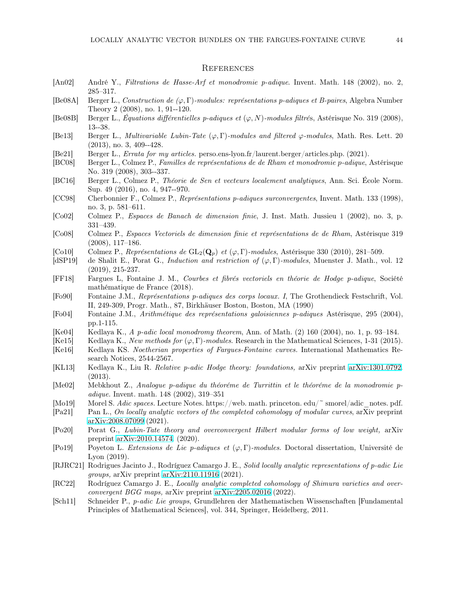### <span id="page-43-0"></span>**REFERENCES**

- <span id="page-43-25"></span>[An02] André Y., Filtrations de Hasse-Arf et monodromie p-adique. Invent. Math. 148 (2002), no. 2, 285–317.
- <span id="page-43-16"></span>[Be08A] Berger L., Construction de (ϕ, Γ)-modules: représentations p-adiques et B-paires, Algebra Number Theory 2 (2008), no. 1, 91--120.
- <span id="page-43-4"></span>[Be08B] Berger L., Équations différentielles p-adiques et  $(\varphi, N)$ -modules filtrés, Astérisque No. 319 (2008), 13--38.
- <span id="page-43-11"></span>[Be13] Berger L., *Multivariable Lubin-Tate*  $(\varphi, \Gamma)$ -modules and filtered  $\varphi$ -modules, Math. Res. Lett. 20 (2013), no. 3, 409--428.
- <span id="page-43-14"></span>[Be21] Berger L., Errata for my articles. perso.ens-lyon.fr/laurent.berger/articles.php. (2021).
- <span id="page-43-5"></span>[BC08] Berger L., Colmez P., Familles de représentations de de Rham et monodromie p-adique, Astérisque No. 319 (2008), 303--337.
- <span id="page-43-8"></span>[BC16] Berger L., Colmez P., Théorie de Sen et vecteurs localement analytiques, Ann. Sci. École Norm. Sup. 49 (2016), no. 4, 947--970.
- <span id="page-43-3"></span>[CC98] Cherbonnier F., Colmez P., Représentations p-adiques surconvergentes, Invent. Math. 133 (1998), no. 3, p. 581–611.
- <span id="page-43-15"></span>[Co02] Colmez P., Espaces de Banach de dimension finie, J. Inst. Math. Jussieu 1 (2002), no. 3, p. 331–439.
- <span id="page-43-17"></span>[Co08] Colmez P., Espaces Vectoriels de dimension finie et représentations de de Rham, Astérisque 319 (2008), 117–186.
- <span id="page-43-1"></span>[Co10] Colmez P., Représentations de  $GL_2(\mathbf{Q}_p)$  et  $(\varphi, \Gamma)$ -modules, Astérisque 330 (2010), 281–509.
- <span id="page-43-22"></span>[dSP19] de Shalit E., Porat G., *Induction and restriction of*  $(\varphi, \Gamma)$ -modules, Muenster J. Math., vol. 12 (2019), 215-237.
- <span id="page-43-12"></span>[FF18] Fargues L, Fontaine J. M., Courbes et fibrés vectoriels en théorie de Hodge p-adique, Société mathématique de France (2018).
- <span id="page-43-20"></span>[Fo90] Fontaine J.M., Représentations p-adiques des corps locaux. I, The Grothendieck Festschrift, Vol. II, 249-309, Progr. Math., 87, Birkhäuser Boston, Boston, MA (1990)
- <span id="page-43-2"></span>[Fo04] Fontaine J.M., Arithmétique des représentations galoisiennes p-adiques Astérisque, 295 (2004), pp.1-115.
- <span id="page-43-19"></span>[Ke04] Kedlaya K., A p-adic local monodromy theorem, Ann. of Math. (2) 160 (2004), no. 1, p. 93–184.
- <span id="page-43-21"></span>[Ke15] Kedlaya K., New methods for  $(\varphi, \Gamma)$ -modules. Research in the Mathematical Sciences, 1-31 (2015).
- <span id="page-43-23"></span>[Ke16] Kedlaya KS. Noetherian properties of Fargues-Fontaine curves. International Mathematics Research Notices, 2544-2567.
- <span id="page-43-13"></span>[KL13] Kedlaya K., Liu R. Relative p-adic Hodge theory: foundations, arXiv preprint [arXiv:1301.0792.](http://arxiv.org/abs/1301.0792) (2013).
- <span id="page-43-26"></span>[Me02] Mebkhout Z., Analogue p-adique du théoréme de Turrittin et le théoréme de la monodromie padique. Invent. math. 148 (2002), 319–351
- <span id="page-43-24"></span>[Mo19] Morel S. Adic spaces. Lecture Notes. https://web. math. princeton. edu/~ smorel/adic\_notes. pdf.
- <span id="page-43-9"></span>[Pa21] Pan L., On locally analytic vectors of the completed cohomology of modular curves, arXiv preprint [arXiv:2008.07099](http://arxiv.org/abs/2008.07099) (2021).
- <span id="page-43-18"></span>[Po20] Porat G., Lubin-Tate theory and overconvergent Hilbert modular forms of low weight, arXiv preprint [arXiv:2010.14574.](http://arxiv.org/abs/2010.14574) (2020).
- $[Pol9]$  Poyeton L. Extensions de Lie p-adiques et  $(\varphi, \Gamma)$ -modules. Doctoral dissertation, Université de Lyon (2019).
- <span id="page-43-6"></span>[RJRC21] Rodrigues Jacinto J., Rodríguez Camargo J. E., Solid locally analytic representations of p-adic Lie groups, arXiv preprint [arXiv:2110.11916](http://arxiv.org/abs/2110.11916) (2021).
- <span id="page-43-7"></span>[RC22] Rodríguez Camargo J. E., Locally analytic completed cohomology of Shimura varieties and overconvergent BGG maps, arXiv preprint [arXiv:2205.02016](http://arxiv.org/abs/2205.02016) (2022).
- <span id="page-43-10"></span>[Sch11] Schneider P., p-adic Lie groups, Grundlehren der Mathematischen Wissenschaften [Fundamental Principles of Mathematical Sciences], vol. 344, Springer, Heidelberg, 2011.